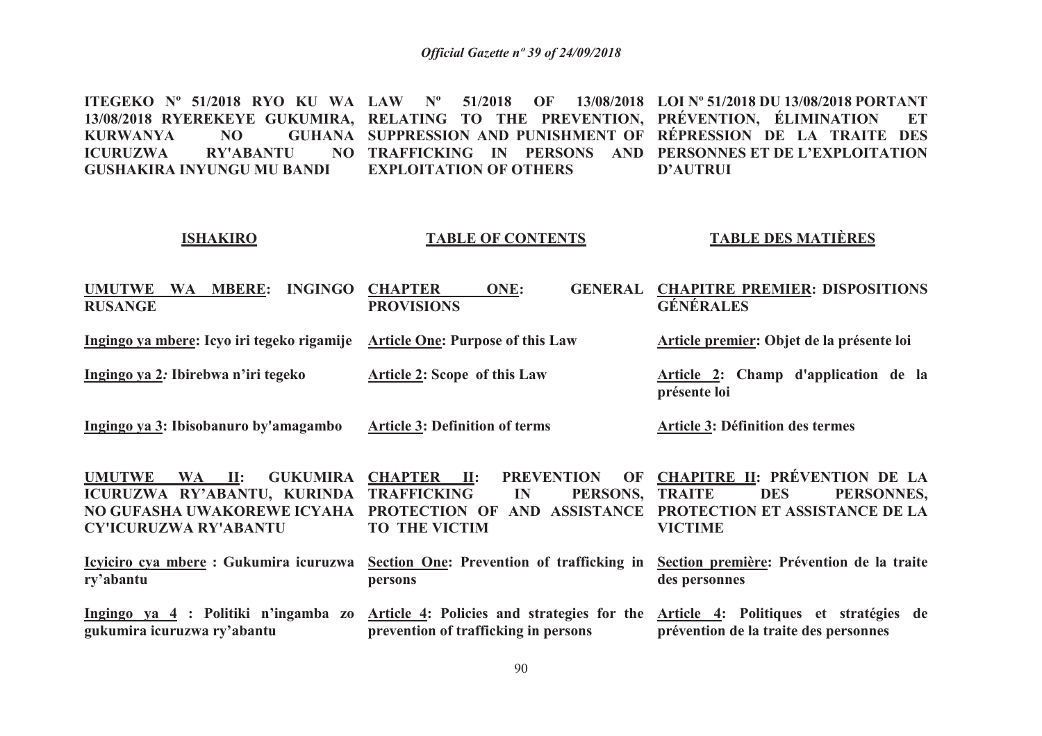**ITEGEKO Nº 51/2018 RYO KU WA LAW Nº 51/2018 OF 13/08/2018 LOI Nº 51/2018 DU 13/08/2018 PORTANT 13/08/2018 RYEREKEYE GUKUMIRA, RELATING TO THE PREVENTION, PRÉVENTION, ÉLIMINATION ET KURWANYA NO TRAFFICKING IN PERSONS AND PERSONNES ET DE L'EXPLOITATION ICURUZWA RY'ABANTU GUSHAKIRA INYUNGU MU BANDI SUPPRESSION AND PUNISHMENT OF RÉPRESSION DE LA TRAITE DES EXPLOITATION OF OTHERSD'AUTRUI**

#### **ISHAKIRO**

### **TABLE OF CONTENTS**

### **TABLE DES MATIÈRES**

| <b>UMUTWE</b><br><b>WA</b><br><b>MBERE:</b><br><b>INGINGO</b><br><b>RUSANGE</b>                                                          | <b>CHAPTER</b><br>ONE:<br><b>GENERAL</b><br><b>PROVISIONS</b>                                                                                                    | <b>CHAPITRE PREMIER: DISPOSITIONS</b><br><b>GÉNÉRALES</b>                                                                             |
|------------------------------------------------------------------------------------------------------------------------------------------|------------------------------------------------------------------------------------------------------------------------------------------------------------------|---------------------------------------------------------------------------------------------------------------------------------------|
| Ingingo ya mbere: Icyo iri tegeko rigamije                                                                                               | <b>Article One: Purpose of this Law</b>                                                                                                                          | Article premier: Objet de la présente loi                                                                                             |
| Ingingo ya 2: Ibirebwa n'iri tegeko                                                                                                      | <b>Article 2: Scope of this Law</b>                                                                                                                              | Article 2: Champ d'application de la<br>présente loi                                                                                  |
| Ingingo ya 3: Ibisobanuro by'amagambo                                                                                                    | <b>Article 3: Definition of terms</b>                                                                                                                            | <b>Article 3: Définition des termes</b>                                                                                               |
| <b>GUKUMIRA</b><br><b>UMUTWE</b><br>WA II:<br>ICURUZWA RY'ABANTU, KURINDA<br>NO GUFASHA UWAKOREWE ICYAHA<br><b>CY'ICURUZWA RY'ABANTU</b> | <b>PREVENTION</b><br>OF<br>CHAPTER II:<br><b>TRAFFICKING</b><br>PERSONS,<br>$\mathbf{I}$ N<br>PROTECTION OF<br><b>ASSISTANCE</b><br>AND.<br><b>TO THE VICTIM</b> | <b>CHAPITRE II: PRÉVENTION DE LA</b><br><b>TRAITE</b><br><b>DES</b><br>PERSONNES,<br>PROTECTION ET ASSISTANCE DE LA<br><b>VICTIME</b> |
| Icyiciro cya mbere: Gukumira icuruzwa<br>ry'abantu                                                                                       | Section One: Prevention of trafficking in<br>persons                                                                                                             | Section première: Prévention de la traite<br>des personnes                                                                            |
| Ingingo ya 4 : Politiki n'ingamba zo<br>gukumira icuruzwa ry'abantu                                                                      | Article 4: Policies and strategies for the<br>prevention of trafficking in persons                                                                               | Article 4: Politiques et stratégies de<br>prévention de la traite des personnes                                                       |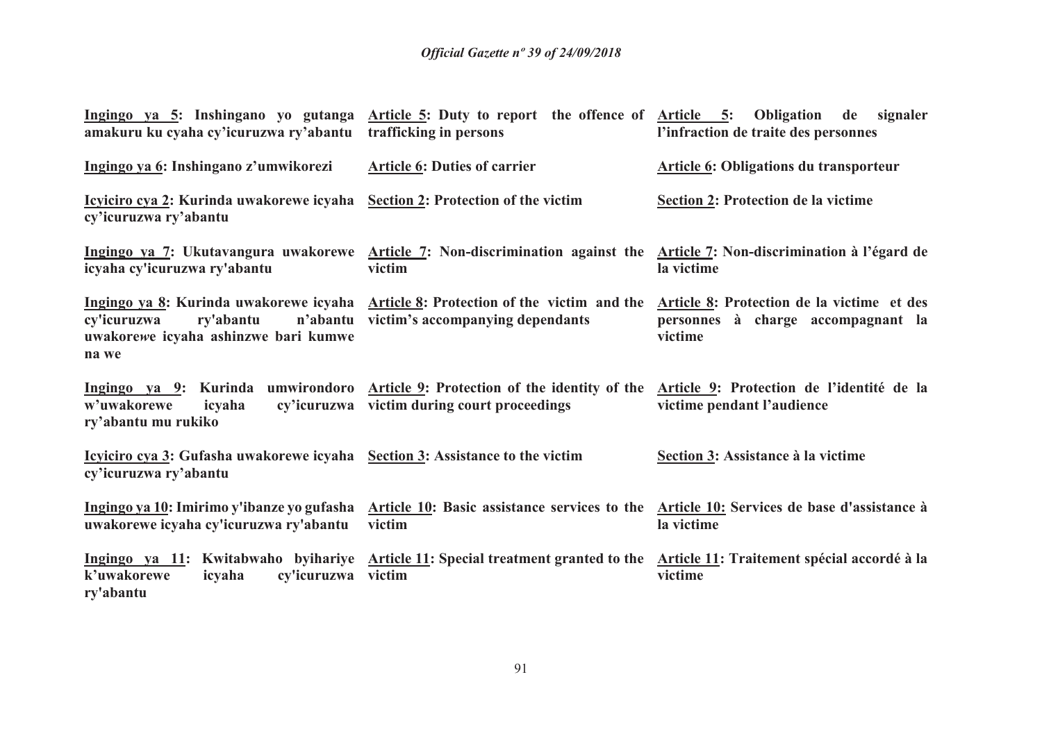| amakuru ku cyaha cy'icuruzwa ry'abantu trafficking in persons                                                         | Ingingo ya 5: Inshingano yo gutanga Article 5: Duty to report the offence of Article 5: Obligation                                                                      | de signaler<br>l'infraction de traite des personnes                                         |
|-----------------------------------------------------------------------------------------------------------------------|-------------------------------------------------------------------------------------------------------------------------------------------------------------------------|---------------------------------------------------------------------------------------------|
| Ingingo ya 6: Inshingano z'umwikorezi                                                                                 | <b>Article 6: Duties of carrier</b>                                                                                                                                     | <b>Article 6: Obligations du transporteur</b>                                               |
| <u>Icyticiro cya 2:</u> Kurinda uwakorewe icyaha <u>Section 2</u> : Protection of the victim<br>cy'icuruzwa ry'abantu |                                                                                                                                                                         | Section 2: Protection de la victime                                                         |
| icyaha cy'icuruzwa ry'abantu                                                                                          | Ingingo ya 7: Ukutavangura uwakorewe Article 7: Non-discrimination against the Article 7: Non-discrimination à l'égard de<br>victim                                     | la victime                                                                                  |
| cy'icuruzwa<br>ry'abantu<br>uwakorewe icyaha ashinzwe bari kumwe<br>na we                                             | Ingingo ya 8: Kurinda uwakorewe icyaha Article 8: Protection of the victim and the<br>n'abantu victim's accompanying dependants                                         | Article 8: Protection de la victime et des<br>personnes à charge accompagnant la<br>victime |
| w'uwakorewe<br>icyaha<br>ry'abantu mu rukiko                                                                          | Ingingo ya 9: Kurinda umwirondoro Article 9: Protection of the identity of the Article 9: Protection de l'identité de la<br>cy'icuruzwa victim during court proceedings | victime pendant l'audience                                                                  |
| <u>Icyiciro cya 3</u> : Gufasha uwakorewe icyaha <u>Section 3</u> : Assistance to the victim<br>cy'icuruzwa ry'abantu |                                                                                                                                                                         | Section 3: Assistance à la victime                                                          |
| Ingingo ya 10: Imirimo y'ibanze yo gufasha<br>uwakorewe icyaha cy'icuruzwa ry'abantu                                  | Article 10: Basic assistance services to the Article 10: Services de base d'assistance à<br>victim                                                                      | la victime                                                                                  |
| k'uwakorewe<br>cy'icuruzwa<br>icyaha<br>ry'abantu                                                                     | Ingingo ya 11: Kwitabwaho byihariye Article 11: Special treatment granted to the Article 11: Traitement spécial accordé à la<br>victim                                  | victime                                                                                     |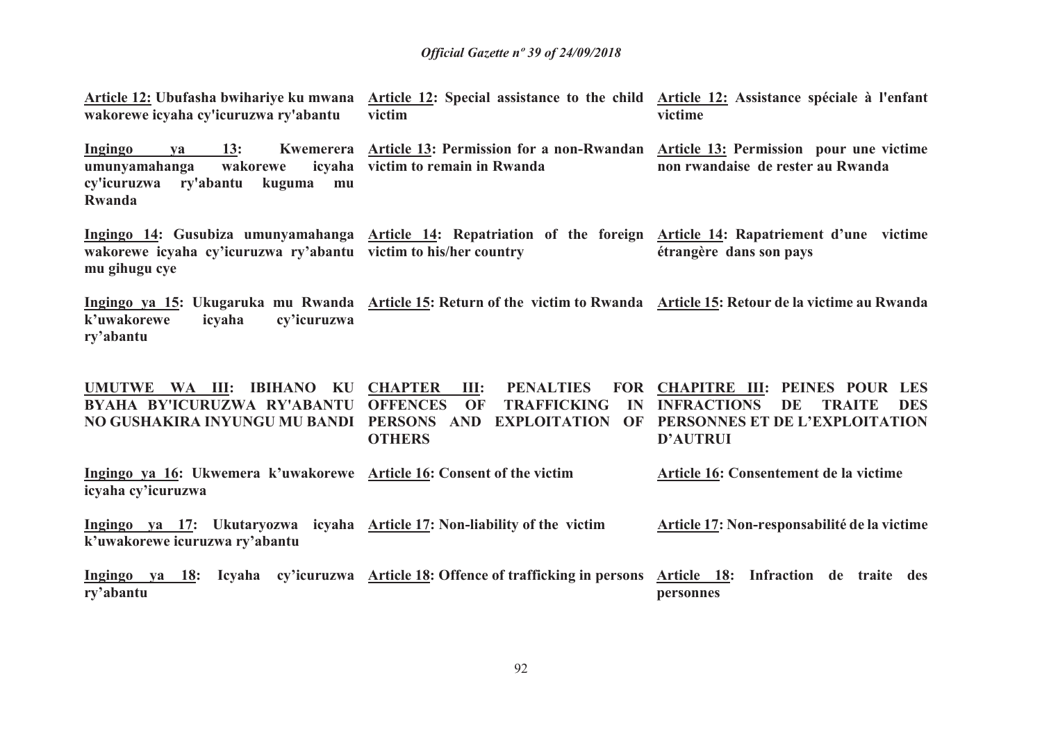**Article 12: Ubufasha bwihariye ku mwana Article 12: Special assistance to the child Article 12: Assistance spéciale à l'enfant wakorewe icyaha cy'icuruzwa ry'abantu victim victime** 

**Ingingo ya 13: Kwemerera Article 13: Permission for a non-Rwandan Article 13: Permission pour une victime victim to remain in Rwandaumunyamahanga** wakorewe **cy'icuruzwa ry'abantu kuguma mu Rwandanon rwandaise de rester au Rwanda**

**Ingingo 14: Gusubiza umunyamahanga Article 14: Repatriation of the foreign Article 14: Rapatriement d'une victime wakorewe icyaha cy'icuruzwa ry'abantu victim to his/her country mu gihugu cyeétrangère dans son pays** 

**Ingingo ya 15: Ukugaruka mu Rwanda Article 15: Return of the victim to Rwanda Article 15: Retour de la victime au Rwanda k'uwakorewe icyaha cy'icuruzwa ry'abantu**

**UMUTWE WA III: IBIHANO KU CHAPTER III: PENALTIES FOR BYAHA BY'ICURUZWA RY'ABANTU NO GUSHAKIRA INYUNGU MU BANDI PERSONS AND EXPLOITATION OF PERSONNES ET DE L'EXPLOITATION Ingingo ya 16: Ukwemera k'uwakorewe Article 16: Consent of the victimicyaha cy'icuruzwaIngingo ya 17: Ukutaryozwa icyaha Article 17: Non-liability of the victim k'uwakorewe icuruzwa ry'abantuOFFENCES OF TRAFFICKING IN INFRACTIONS DE TRAITE DES OTHERSCHAPITRE III: PEINES POUR LES D'AUTRUIArticle 16: Consentement de la victimeArticle 17: Non-responsabilité de la victime** 

**Ingingo ya 18: Icyaha cy'icuruzwa Article 18: Offence of trafficking in persons ry'abantuArticle 18: Infraction de traite des personnes**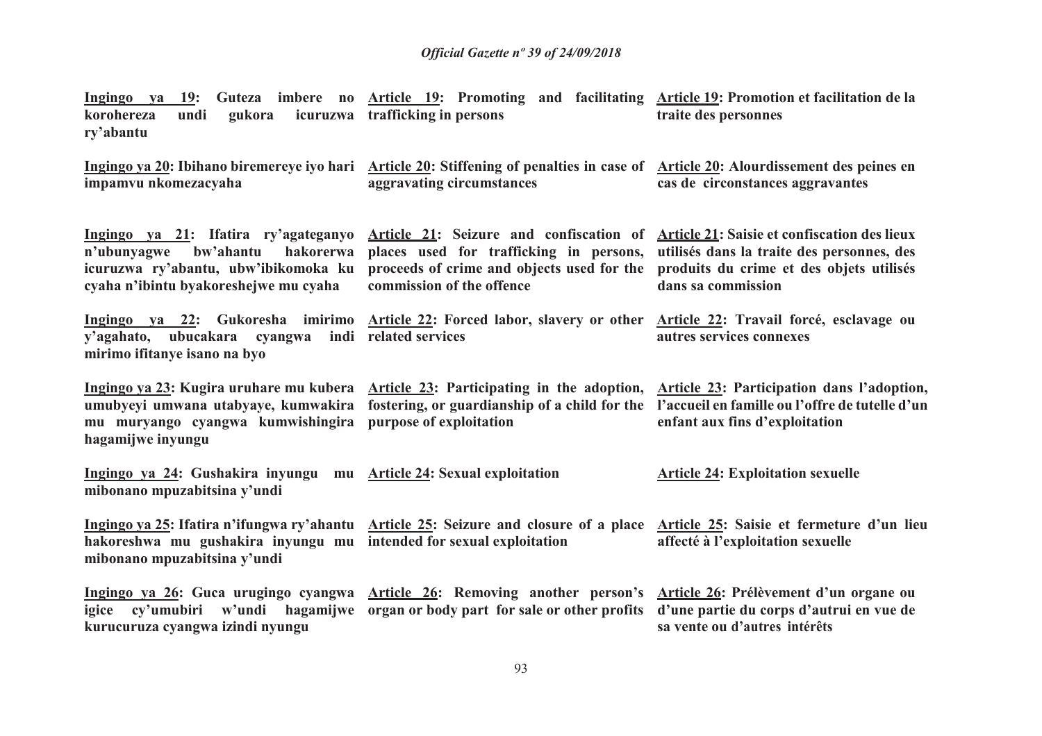| Ingingo ya<br><b>19:</b><br>korohereza<br>gukora<br>undi<br>ry'abantu                                                                                          | Guteza imbere no Article 19: Promoting and facilitating Article 19: Promotion et facilitation de la<br>icuruzwa trafficking in persons                          | traite des personnes                                                                                                                                                |
|----------------------------------------------------------------------------------------------------------------------------------------------------------------|-----------------------------------------------------------------------------------------------------------------------------------------------------------------|---------------------------------------------------------------------------------------------------------------------------------------------------------------------|
| impamvu nkomezacyaha                                                                                                                                           | Ingingo ya 20: Ibihano biremereye iyo hari Article 20: Stiffening of penalties in case of Article 20: Alourdissement des peines en<br>aggravating circumstances | cas de circonstances aggravantes                                                                                                                                    |
| Ingingo ya 21: Ifatira ry'agateganyo<br>n'ubunyagwe<br>bw'ahantu<br>hakorerwa<br>icuruzwa ry'abantu, ubw'ibikomoka ku<br>cyaha n'ibintu byakoreshejwe mu cyaha | Article 21: Seizure and confiscation of<br>places used for trafficking in persons,<br>proceeds of crime and objects used for the<br>commission of the offence   | <b>Article 21: Saisie et confiscation des lieux</b><br>utilisés dans la traite des personnes, des<br>produits du crime et des objets utilisés<br>dans sa commission |
| y'agahato, ubucakara cyangwa<br>mirimo ifitanye isano na byo                                                                                                   | Ingingo ya 22: Gukoresha imirimo Article 22: Forced labor, slavery or other<br>indi related services                                                            | Article 22: Travail forcé, esclavage ou<br>autres services connexes                                                                                                 |
| umubyeyi umwana utabyaye, kumwakira<br>mu muryango cyangwa kumwishingira<br>hagamijwe inyungu                                                                  | Ingingo ya 23: Kugira uruhare mu kubera Article 23: Participating in the adoption,<br>fostering, or guardianship of a child for the<br>purpose of exploitation  | Article 23: Participation dans l'adoption,<br>l'accueil en famille ou l'offre de tutelle d'un<br>enfant aux fins d'exploitation                                     |
| Ingingo ya 24: Gushakira inyungu<br>mibonano mpuzabitsina y'undi                                                                                               | mu Article 24: Sexual exploitation                                                                                                                              | <b>Article 24: Exploitation sexuelle</b>                                                                                                                            |
| hakoreshwa mu gushakira inyungu mu intended for sexual exploitation<br>mibonano mpuzabitsina y'undi                                                            | Ingingo ya 25: Ifatira n'ifungwa ry'ahantu Article 25: Seizure and closure of a place                                                                           | Article 25: Saisie et fermeture d'un lieu<br>affecté à l'exploitation sexuelle                                                                                      |
| Ingingo ya 26: Guca urugingo cyangwa<br>kurucuruza cyangwa izindi nyungu                                                                                       | <b>Article 26: Removing another person's</b><br>igice cy'umubiri w'undi hagamijwe organ or body part for sale or other profits                                  | Article 26: Prélèvement d'un organe ou<br>d'une partie du corps d'autrui en vue de<br>sa vente ou d'autres intérêts                                                 |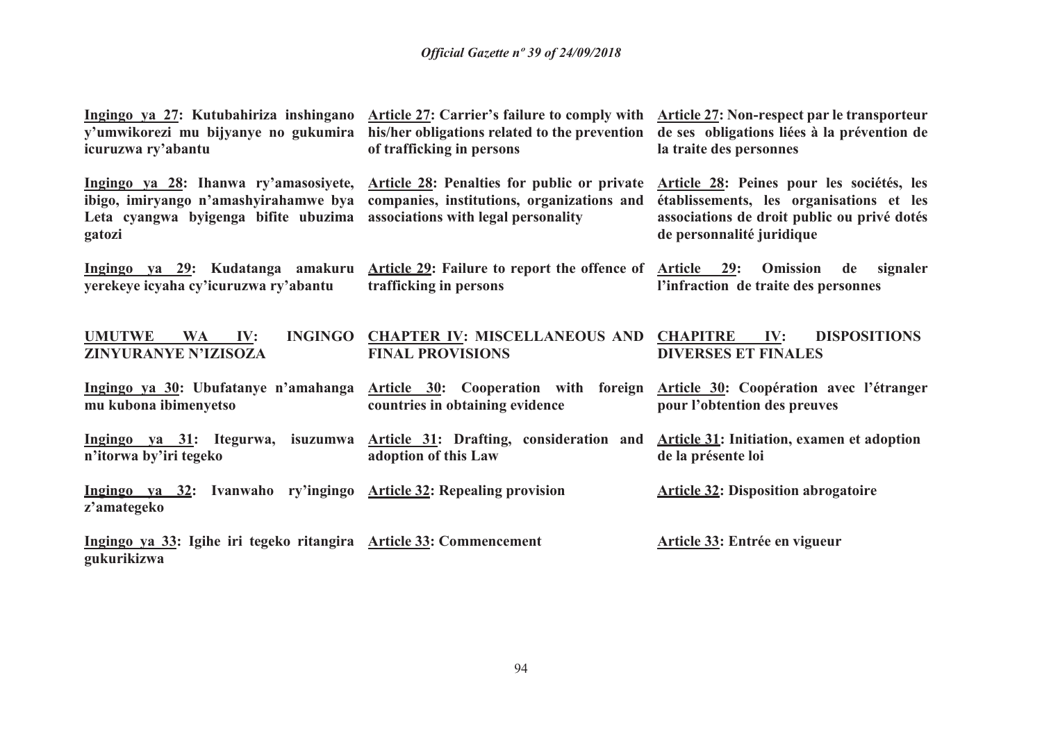| Ingingo ya 27: Kutubahiriza inshingano<br>y'umwikorezi mu bijyanye no gukumira<br>icuruzwa ry'abantu | <b>Article 27: Carrier's failure to comply with</b><br>his/her obligations related to the prevention<br>of trafficking in persons                                     | <b>Article 27: Non-respect par le transporteur</b><br>de ses obligations liées à la prévention de<br>la traite des personnes                                      |
|------------------------------------------------------------------------------------------------------|-----------------------------------------------------------------------------------------------------------------------------------------------------------------------|-------------------------------------------------------------------------------------------------------------------------------------------------------------------|
| Leta cyangwa byigenga bifite ubuzima associations with legal personality<br>gatozi                   | Ingingo ya 28: Ihanwa ry'amasosiyete, Article 28: Penalties for public or private<br>ibigo, imiryango n'amashyirahamwe bya companies, institutions, organizations and | Article 28: Peines pour les sociétés, les<br>établissements, les organisations et les<br>associations de droit public ou privé dotés<br>de personnalité juridique |
| yerekeye icyaha cy'icuruzwa ry'abantu                                                                | <u>Ingingo ya 29</u> : Kudatanga amakuru <u>Article 29</u> : Failure to report the offence of <u>Article 29</u> :<br>trafficking in persons                           | <b>Omission</b><br>de<br>signaler<br>l'infraction de traite des personnes                                                                                         |
| <b>UMUTWE</b><br><b>INGINGO</b><br>IV:<br><b>WA</b><br>ZINYURANYE N'IZISOZA                          | <b>CHAPTER IV: MISCELLANEOUS AND CHAPITRE</b><br><b>FINAL PROVISIONS</b>                                                                                              | IV:<br><b>DISPOSITIONS</b><br><b>DIVERSES ET FINALES</b>                                                                                                          |
| Ingingo ya 30: Ubufatanye n'amahanga<br>mu kubona ibimenyetso                                        | Article 30: Cooperation with foreign<br>countries in obtaining evidence                                                                                               | Article 30: Coopération avec l'étranger<br>pour l'obtention des preuves                                                                                           |
| n'itorwa by'iri tegeko                                                                               | Ingingo ya 31: Itegurwa, isuzumwa Article 31: Drafting, consideration and<br>adoption of this Law                                                                     | <b>Article 31: Initiation, examen et adoption</b><br>de la présente loi                                                                                           |
| Ingingo va 32: Ivanwaho ry'ingingo Article 32: Repealing provision<br>z'amategeko                    |                                                                                                                                                                       | <b>Article 32: Disposition abrogatoire</b>                                                                                                                        |
| Ingingo ya 33: Igihe iri tegeko ritangira Article 33: Commencement<br>gukurikizwa                    |                                                                                                                                                                       | Article 33: Entrée en vigueur                                                                                                                                     |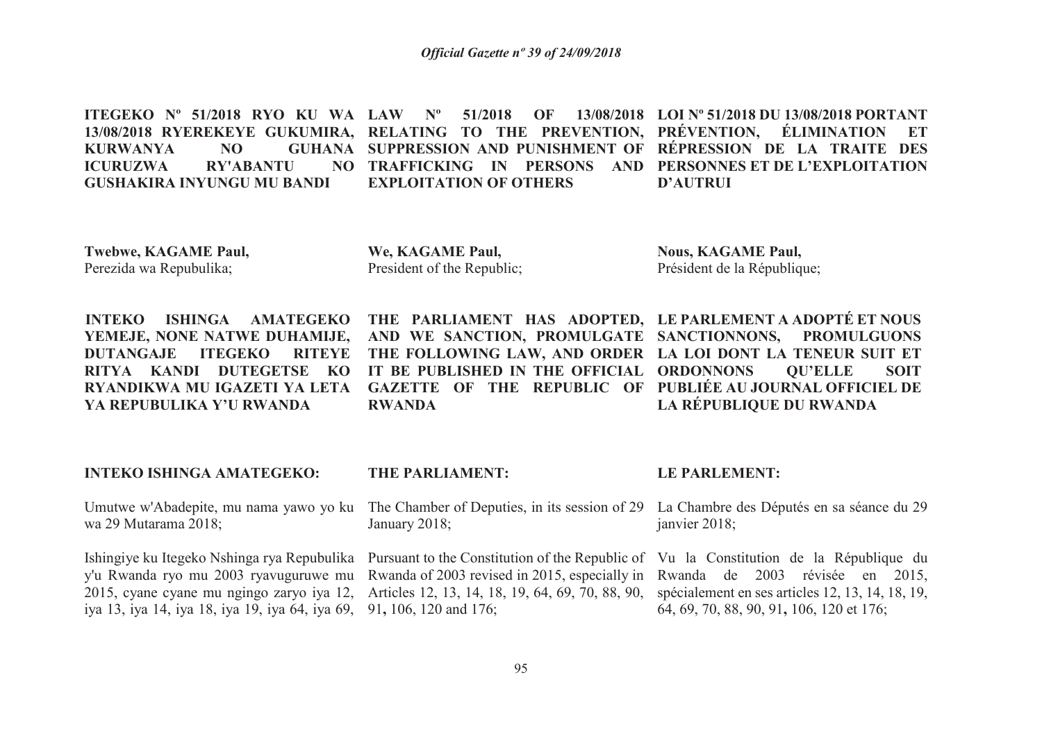**ITEGEKO Nº 51/2018 RYO KU WA LAW Nº 51/2018 OF 13/08/2018 13/08/2018 RYEREKEYE GUKUMIRA, RELATING TO THE PREVENTION, PRÉVENTION, ÉLIMINATION ET KURWANYA NO TRAFFICKING IN PERSONS AND PERSONNES ET DE L'EXPLOITATION ICURUZWA RY'ABANTU GUSHAKIRA INYUNGU MU BANDI SUPPRESSION AND PUNISHMENT OF RÉPRESSION DE LA TRAITE DES EXPLOITATION OF OTHERSLOI Nº 51/2018 DU 13/08/2018 PORTANT D'AUTRUI**

**Twebwe, KAGAME Paul,**Perezida wa Repubulika;

**We, KAGAME Paul,**President of the Republic; **Nous, KAGAME Paul,** Président de la République;

**INTEKO ISHINGA AMATEGEKO YEMEJE, NONE NATWE DUHAMIJE, DUTANGAJE ITEGEKO RITEYE RITYA KANDI DUTEGETSE KO RYANDIKWA MU IGAZETI YA LETA YA REPUBULIKA Y'U RWANDA**

 **AND WE SANCTION, PROMULGATE SANCTIONNONS, PROMULGUONS THE FOLLOWING LAW, AND ORDER LA LOI DONT LA TENEUR SUIT ET IT BE PUBLISHED IN THE OFFICIAL ORDONNONS QU'ELLE SOIT GAZETTE OF THE REPUBLIC OF PUBLIÉE AU JOURNAL OFFICIEL DE RWANDA**

**THE PARLIAMENT HAS ADOPTED, 21. LE PARLEMENT A ADOPTÉ ET NOUS LA RÉPUBLIQUE DU RWANDA**

**INTEKO ISHINGA AMATEGEKO:**

wa 29 Mutarama 2018;

Ishingiye ku Itegeko Nshinga rya Repubulika Pursuant to the Constitution of the Republic of Vu la Constitution de la République du iya 13, iya 14, iya 18, iya 19, iya 64, iya 69, 91**,** 106, 120 and 176;

### **THE PARLIAMENT:**

Umutwe w'Abadepite, mu nama yawo yo ku The Chamber of Deputies, in its session of 29 La Chambre des Députés en sa séance du 29 January 2018;

y'u Rwanda ryo mu 2003 ryavuguruwe mu Rwanda of 2003 revised in 2015, especially in Rwanda de 2003 révisée en 2015, 2015, cyane cyane mu ngingo zaryo iya 12, Articles 12, 13, 14, 18, 19, 64, 69, 70, 88, 90,

### **LE PARLEMENT:**

janvier 2018;

 spécialement en ses articles 12, 13, 14, 18, 19, 64, 69, 70, 88, 90, 91**,** 106, 120 et 176;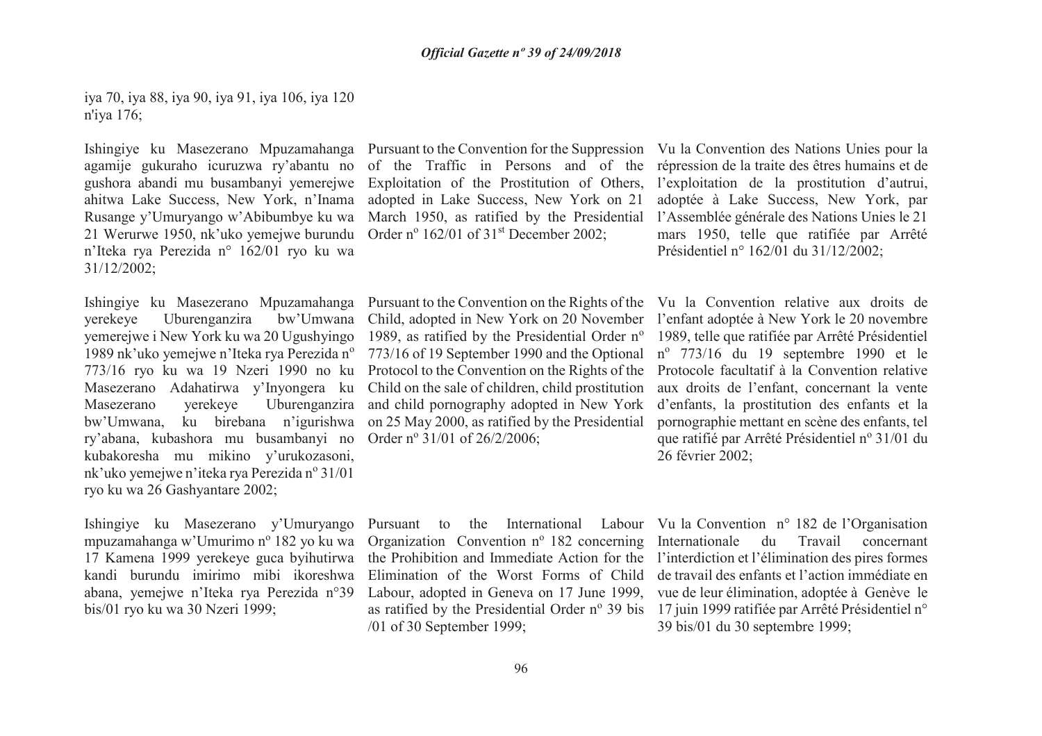iya 70, iya 88, iya 90, iya 91, iya 106, iya 120 n'iya 176;

Ishingiye ku Masezerano Mpuzamahanga Pursuant to the Convention for the Suppression Vu la Convention des Nations Unies pour la agamije gukuraho icuruzwa ry'abantu no of the Traffic in Persons and of the répression de la traite des êtres humains et de gushora abandi mu busambanyi yemerejwe Exploitation of the Prostitution of Others, l'exploitation de la prostitution d'autrui, ahitwa Lake Success, New York, n'Inama Rusange y'Umuryango w'Abibumbye ku wa March 1950, as ratified by the Presidential 21 Werurwe 1950, nk'uko yemejwe burundu Order n<sup>o</sup> 162/01 of 31<sup>st</sup> December 2002; n'Iteka rya Perezida n° 162/01 ryo ku wa 31/12/2002;

Ishingiye ku Masezerano Mpuzamahanga yerekeye Uburenganzira bw'Umwana yemerejwe i New York ku wa 20 Ugushyingo 1989 nk'uko yemejwe n'Iteka rya Perezida n<sup>o</sup> 773/16 ryo ku wa 19 Nzeri 1990 no ku Masezerano Adahatirwa y'Inyongera ku Masezerano yerekeye Uburenganzira ry'abana, kubashora mu busambanyi no Order nº 31/01 of 26/2/2006; kubakoresha mu mikino y'urukozasoni, nk'uko yemejwe n'iteka rya Perezida nº 31/01 ryo ku wa 26 Gashyantare 2002;

Ishingiye ku Masezerano y'Umuryango mpuzamahanga w'Umurimo nº 182 yo ku wa 17 Kamena 1999 yerekeye guca byihutirwa kandi burundu imirimo mibi ikoreshwa abana, yemejwe n'Iteka rya Perezida n°39 bis/01 ryo ku wa 30 Nzeri 1999;

adopted in Lake Success, New York on 21

bw'Umwana, ku birebana n'igurishwa on 25 May 2000, as ratified by the Presidential Pursuant to the Convention on the Rights of the Vu la Convention relative aux droits de Child, adopted in New York on 20 November l'enfant adoptée à New York le 20 novembre 1989, as ratified by the Presidential Order nº 1989, telle que ratifiée par Arrêté Présidentiel 773/16 of 19 September 1990 and the Optional  $n^{\circ}$  773/16 du 19 septembre 1990 et le Protocol to the Convention on the Rights of the Protocole facultatif à la Convention relative Child on the sale of children, child prostitution and child pornography adopted in New York

/01 of 30 September 1999;

adoptée à Lake Success, New York, par l'Assemblée générale des Nations Unies le 21 mars 1950, telle que ratifiée par Arrêté Présidentiel n° 162/01 du 31/12/2002;

 aux droits de l'enfant, concernant la vente d'enfants, la prostitution des enfants et la pornographie mettant en scène des enfants, tel que ratifié par Arrêté Présidentiel nº 31/01 du 26 février 2002;

Pursuant to the International Labour Vu la Convention n° 182 de l'Organisation Organization Convention nº 182 concerning Internationale du Travail concernant the Prohibition and Immediate Action for the l'interdiction et l'élimination des pires formes Elimination of the Worst Forms of Child de travail des enfants et l'action immédiate en Labour, adopted in Geneva on 17 June 1999, vue de leur élimination, adoptée à Genève le as ratified by the Presidential Order nº 39 bis 17 juin 1999 ratifiée par Arrêté Présidentiel n° 39 bis/01 du 30 septembre 1999;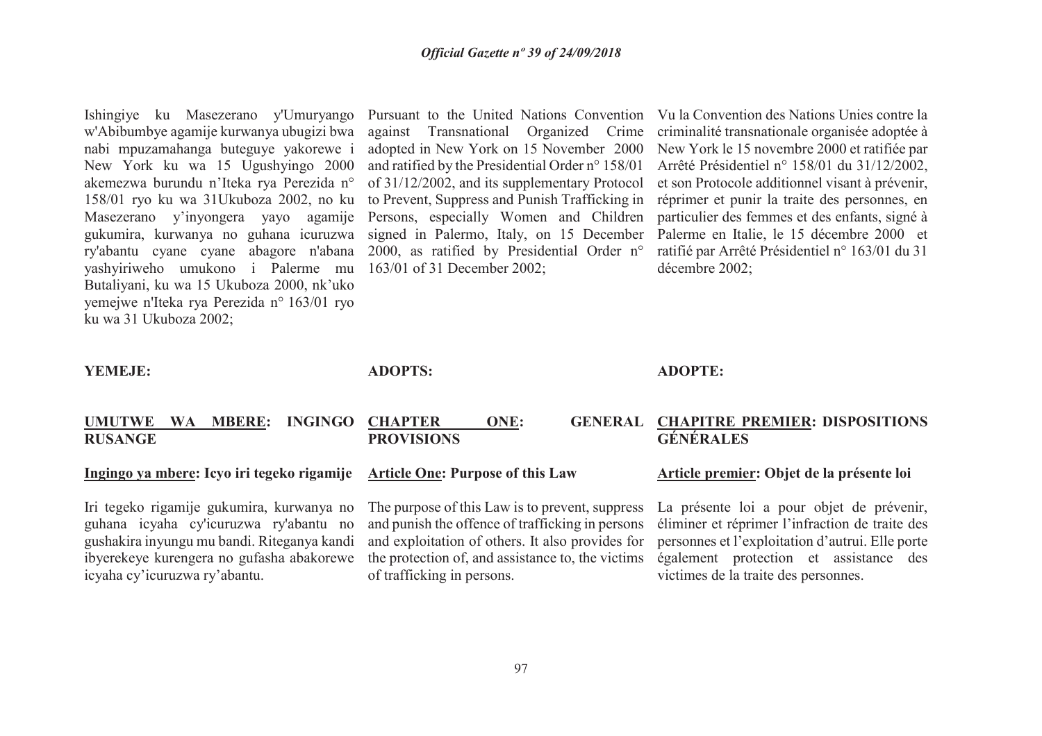Ishingiye ku Masezerano y'Umuryango Pursuant to the United Nations Convention Vu la Convention des Nations Unies contre la w'Abibumbye agamije kurwanya ubugizi bwa nabi mpuzamahanga buteguye yakorewe i New York ku wa 15 Ugushyingo 2000 akemezwa burundu n'Iteka rya Perezida n° 158/01 ryo ku wa 31Ukuboza 2002, no ku Masezerano y'inyongera yayo agamije Persons, especially Women and Children gukumira, kurwanya no guhana icuruzwa signed in Palermo, Italy, on 15 December Palerme en Italie, le 15 décembre 2000 et ry'abantu cyane cyane abagore n'abana 2000, as ratified by Presidential Order n° yashyiriweho umukono i Palerme mu 163/01 of 31 December 2002; Butaliyani, ku wa 15 Ukuboza 2000, nk'uko yemejwe n'Iteka rya Perezida n° 163/01 ryo ku wa 31 Ukuboza 2002;

 against Transnational Organized Crime adopted in New York on 15 November 2000 and ratified by the Presidential Order n° 158/01 of 31/12/2002, and its supplementary Protocol

 to Prevent, Suppress and Punish Trafficking in réprimer et punir la traite des personnes, en criminalité transnationale organisée adoptée à New York le 15 novembre 2000 et ratifiée par Arrêté Présidentiel n° 158/01 du 31/12/2002, et son Protocole additionnel visant à prévenir, particulier des femmes et des enfants, signé à ratifié par Arrêté Présidentiel n° 163/01 du 31 décembre 2002;

#### **YEMEJE:**

**ADOPTS:**

### **ADOPTE:**

### **UMUTWE WA MBERE: INGINGO RUSANGE**

### **Ingingo ya mbere: Icyo iri tegeko rigamije**

Iri tegeko rigamije gukumira, kurwanya no guhana icyaha cy'icuruzwa ry'abantu no gushakira inyungu mu bandi. Riteganya kandi ibyerekeye kurengera no gufasha abakorewe icyaha cy'icuruzwa ry'abantu.

### **PROVISIONS**

### **Article One: Purpose of this Law**

The purpose of this Law is to prevent, suppress and punish the offence of trafficking in persons and exploitation of others. It also provides for the protection of, and assistance to, the victims of trafficking in persons.

### **CHAPTER ONE: GENERAL CHAPITRE PREMIER: DISPOSITIONS GÉNÉRALES**

### **Article premier: Objet de la présente loi**

La présente loi a pour objet de prévenir, éliminer et réprimer l'infraction de traite des personnes et l'exploitation d'autrui. Elle porte également protection et assistance des victimes de la traite des personnes.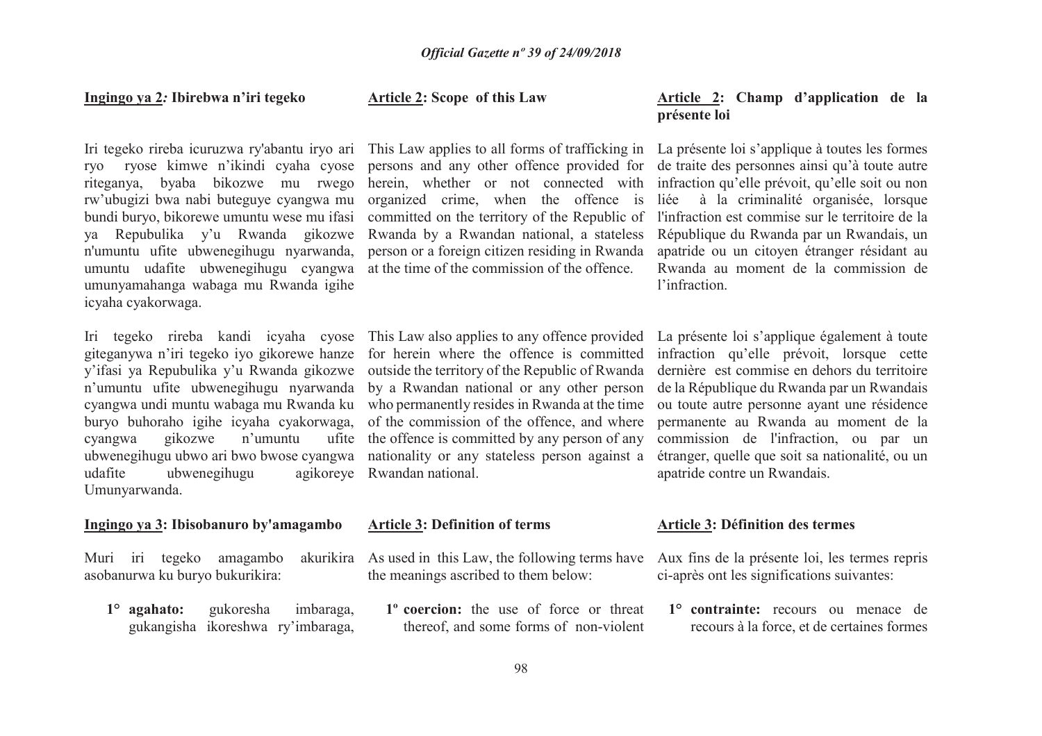#### **Ingingo ya 2***:* **Ibirebwa n'iri tegeko**

 riteganya, byaba bikozwe mu rwego rw'ubugizi bwa nabi buteguye cyangwa mu bundi buryo, bikorewe umuntu wese mu ifasi n'umuntu ufite ubwenegihugu nyarwanda, person or a foreign citizen residing in Rwanda umuntu udafite ubwenegihugu cyangwa at the time of the commission of the offence. umunyamahanga wabaga mu Rwanda igihe icyaha cyakorwaga.

cyangwa gikozwe n'umuntu udafite ubwenegihugu Umunyarwanda.

### **Ingingo ya 3: Ibisobanuro by'amagambo**

Muri iri tegeko amagambo asobanurwa ku buryo bukurikira:

**1° agahato:** gukoresha imbaraga, gukangisha ikoreshwa ry'imbaraga,

### **Article 2: Scope of this Law**

organized crime, when the offence is

Iri tegeko rireba kandi icyaha cyose This Law also applies to any offence provided La présente loi s'applique également à toute giteganywa n'iri tegeko iyo gikorewe hanze for herein where the offence is committed infraction qu'elle prévoit, lorsque cette y'ifasi ya Repubulika y'u Rwanda gikozwe outside the territory of the Republic of Rwanda n'umuntu ufite ubwenegihugu nyarwanda by a Rwandan national or any other person cyangwa undi muntu wabaga mu Rwanda ku who permanently resides in Rwanda at the time buryo buhoraho igihe icyaha cyakorwaga, of the commission of the offence, and where the offence is committed by any person of any ubwenegihugu ubwo ari bwo bwose cyangwa nationality or any stateless person against a Rwandan national.

#### **Article 3: Definition of terms**

As used in this Law, the following terms have Aux fins de la présente loi, les termes repris the meanings ascribed to them below:

**1º coercion:** the use of force or threat thereof, and some forms of non-violent

### **Article 2: Champ d'application de la présente loi**

Iri tegeko rireba icuruzwa ry'abantu iryo ari This Law applies to all forms of trafficking in La présente loi s'applique à toutes les formes ryo ryose kimwe n'ikindi cyaha cyose persons and any other offence provided for de traite des personnes ainsi qu'à toute autre ya Repubulika y'u Rwanda gikozwe Rwanda by a Rwandan national, a stateless République du Rwanda par un Rwandais, un herein, whether or not connected with infraction qu'elle prévoit, qu'elle soit ou non committed on the territory of the Republic of l'infraction est commise sur le territoire de la liée à la criminalité organisée, lorsque apatride ou un citoyen étranger résidant au Rwanda au moment de la commission del'infraction.

> dernière est commise en dehors du territoire de la République du Rwanda par un Rwandais ou toute autre personne ayant une résidence permanente au Rwanda au moment de la commission de l'infraction, ou par un étranger, quelle que soit sa nationalité, ou un apatride contre un Rwandais.

### **Article 3: Définition des termes**

ci-après ont les significations suivantes:

**1° contrainte:** recours ou menace de recours à la force, et de certaines formes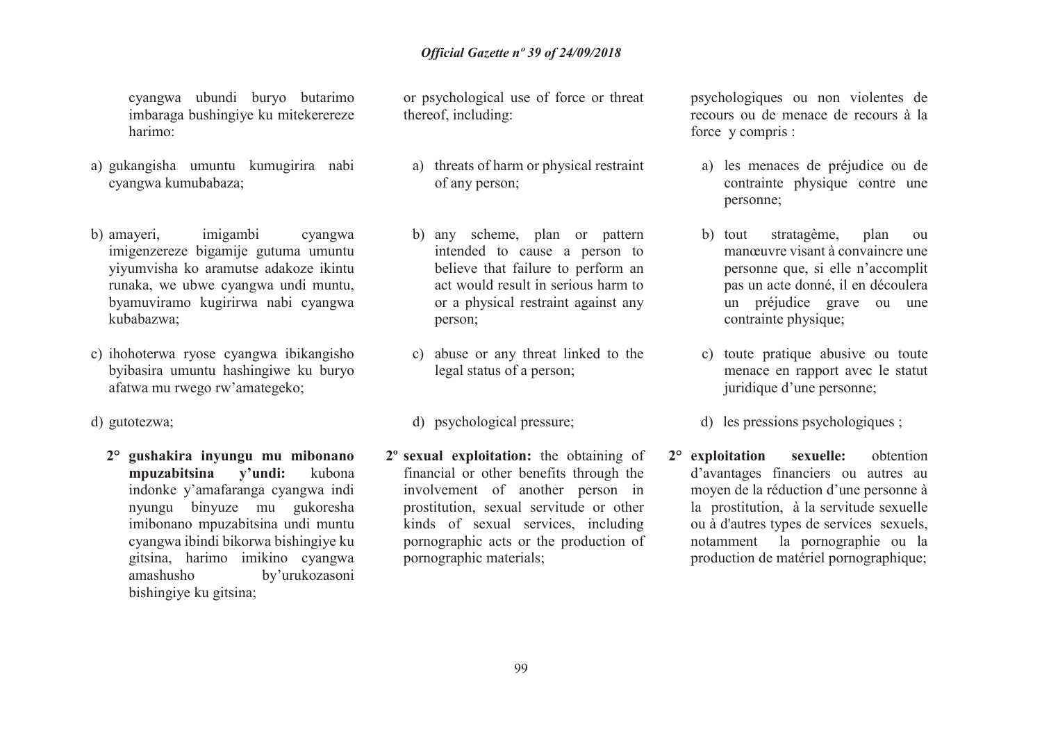cyangwa ubundi buryo butarimo imbaraga bushingiye ku mitekerereze harimo:

- a) gukangisha umuntu kumugirira nabi cyangwa kumubabaza;
- b) amayeri, imigambi cyangwa imigenzereze bigamije gutuma umuntu yiyumvisha ko aramutse adakoze ikintu runaka, we ubwe cyangwa undi muntu, byamuviramo kugirirwa nabi cyangwa kubabazwa;
- c) ihohoterwa ryose cyangwa ibikangisho byibasira umuntu hashingiwe ku buryo afatwa mu rwego rw'amategeko;
- d) gutotezwa;
	- **2° gushakira inyungu mu mibonano mpuzabitsina y'undi:** kubona indonke y'amafaranga cyangwa indi nyungu binyuze mu gukoresha imibonano mpuzabitsina undi muntu cyangwa ibindi bikorwa bishingiye ku gitsina, harimo imikino cyangwa amashusho by'urukozasoni bishingiye ku gitsina;

or psychological use of force or threat thereof, including:

- a) threats of harm or physical restraint of any person;
- b) any scheme, plan or pattern intended to cause a person to believe that failure to perform an act would result in serious harm to or a physical restraint against any person;
- c) abuse or any threat linked to the legal status of a person;
- d) psychological pressure;
- **2º sexual exploitation:** the obtaining of financial or other benefits through the involvement of another person in prostitution, sexual servitude or other kinds of sexual services, including pornographic acts or the production of pornographic materials;

psychologiques ou non violentes de recours ou de menace de recours à la force y compris :

- a) les menaces de préjudice ou de contrainte physique contre une personne;
- b) tout stratagème, plan ou manœuvre visant à convaincre une personne que, si elle n'accomplit pas un acte donné, il en découlera un préjudice grave ou une contrainte physique;
- c) toute pratique abusive ou toute menace en rapport avec le statut juridique d'une personne;
- d) les pressions psychologiques ;
- **2° exploitation sexuelle:** obtention d'avantages financiers ou autres au moyen de la réduction d'une personne à la prostitution, à la servitude sexuelle ou à d'autres types de services sexuels, notamment la pornographie ou la production de matériel pornographique;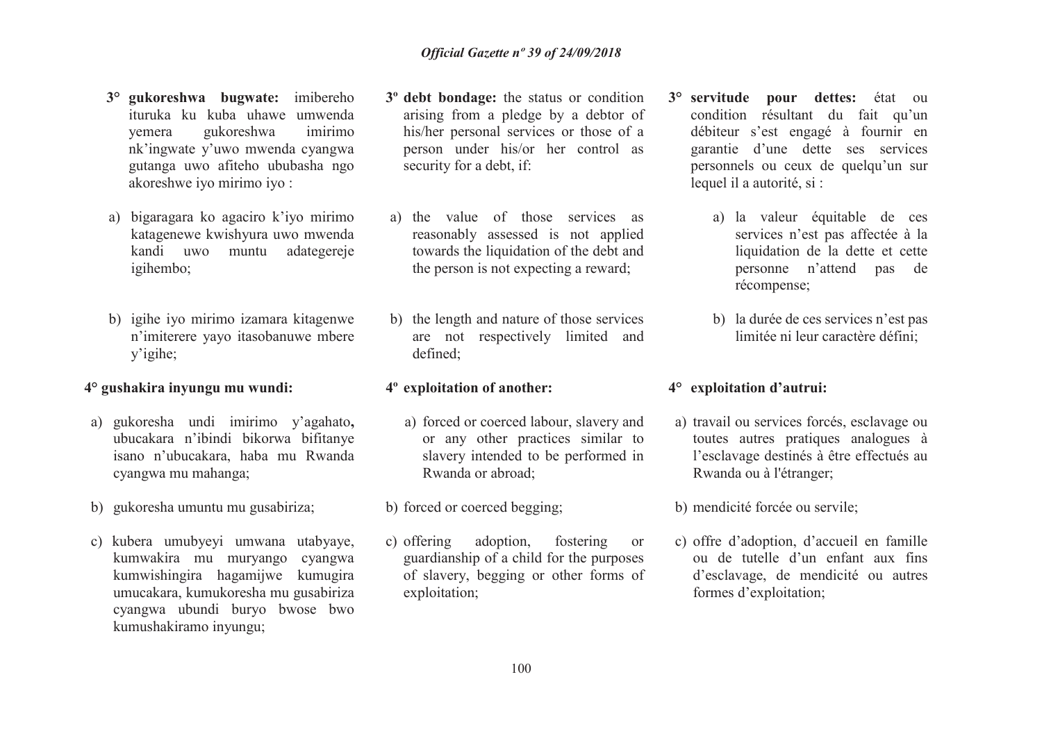- **3° gukoreshwa bugwate:** imibereho ituruka ku kuba uhawe umwenda imirimo yemera gukoreshwa nk'ingwate y'uwo mwenda cyangwa gutanga uwo afiteho ububasha ngo akoreshwe iyo mirimo iyo :
- a) bigaragara ko agaciro k'iyo mirimo katagenewe kwishyura uwo mwenda kandi uwo muntu adategereje igihembo;
- b) igihe iyo mirimo izamara kitagenwe n'imiterere yayo itasobanuwe mbere y'igihe;

### **4° gushakira inyungu mu wundi:**

- a) gukoresha undi imirimo y'agahato**,**  ubucakara n'ibindi bikorwa bifitanye isano n'ubucakara, haba mu Rwanda cyangwa mu mahanga;
- b) gukoresha umuntu mu gusabiriza;
- c) kubera umubyeyi umwana utabyaye, kumwakira mu muryango cyangwa kumwishingira hagamijwe kumugira umucakara, kumukoresha mu gusabiriza cyangwa ubundi buryo bwose bwo kumushakiramo inyungu;
- **3º debt bondage:** the status or condition arising from a pledge by a debtor of his/her personal services or those of a person under his/or her control as security for a debt, if:
- a) the value of those services as reasonably assessed is not applied towards the liquidation of the debt and the person is not expecting a reward;
- b) the length and nature of those services are not respectively limited and defined;

### **4º exploitation of another:**

- a) forced or coerced labour, slavery and or any other practices similar to slavery intended to be performed in Rwanda or abroad;
- b) forced or coerced begging;
- c) offering adoption, fostering or guardianship of a child for the purposes of slavery, begging or other forms of exploitation;
- **3° servitude pour dettes:** état ou condition résultant du fait qu'un débiteur s'est engagé à fournir en garantie d'une dette ses services personnels ou ceux de quelqu'un sur lequel il a autorité, si :
	- a) la valeur équitable de ces services n'est pas affectée à la liquidation de la dette et cette personne n'attend pas de récompense;
	- b) la durée de ces services n'est pas limitée ni leur caractère défini;

### **4° exploitation d'autrui:**

- a) travail ou services forcés, esclavage ou toutes autres pratiques analogues à l'esclavage destinés à être effectués au Rwanda ou à l'étranger;
- b) mendicité forcée ou servile;
- c) offre d'adoption, d'accueil en famille ou de tutelle d'un enfant aux fins d'esclavage, de mendicité ou autres formes d'exploitation;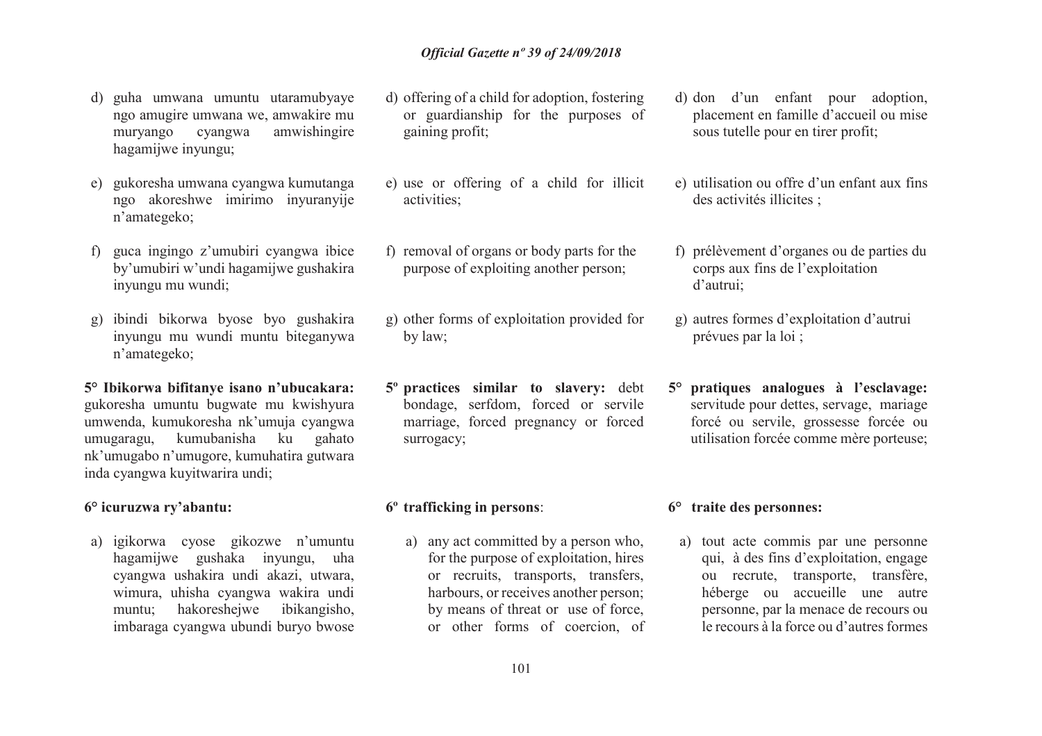- d) guha umwana umuntu utaramubyaye ngo amugire umwana we, amwakire mu muryango cyangwa amwishingire hagamijwe inyungu;
- e) gukoresha umwana cyangwa kumutanga ngo akoreshwe imirimo inyuranyije n'amategeko;
- f) guca ingingo z'umubiri cyangwa ibice by'umubiri w'undi hagamijwe gushakira inyungu mu wundi;
- g) ibindi bikorwa byose byo gushakira inyungu mu wundi muntu biteganywa n'amategeko;
- **5° Ibikorwa bifitanye isano n'ubucakara:** gukoresha umuntu bugwate mu kwishyura umwenda, kumukoresha nk'umuja cyangwa umugaragu, kumubanisha ku gahato nk'umugabo n'umugore, kumuhatira gutwara inda cyangwa kuyitwarira undi;

### **6° icuruzwa ry'abantu:**

a) igikorwa cyose gikozwe n'umuntu hagamijwe gushaka inyungu, uha cyangwa ushakira undi akazi, utwara, wimura, uhisha cyangwa wakira undi muntu; hakoreshejwe ibikangisho, imbaraga cyangwa ubundi buryo bwose

- d) offering of a child for adoption, fostering or guardianship for the purposes of gaining profit;
- e) use or offering of a child for illicit activities;
- f) removal of organs or body parts for the purpose of exploiting another person;
- g) other forms of exploitation provided for by law;
- **5º practices similar to slavery:** debt bondage, serfdom, forced or servile marriage, forced pregnancy or forced surrogacy;

### **6º trafficking in persons**:

a) any act committed by a person who, for the purpose of exploitation, hires or recruits, transports, transfers, harbours, or receives another person; by means of threat or use of force, or other forms of coercion, of

- d) don d'un enfant pour adoption, placement en famille d'accueil ou mise sous tutelle pour en tirer profit;
- e) utilisation ou offre d'un enfant aux fins des activités illicites ;
- f) prélèvement d'organes ou de parties du corps aux fins de l'exploitation d'autrui;
- g) autres formes d'exploitation d'autrui prévues par la loi ;
- **5° pratiques analogues à l'esclavage:** servitude pour dettes, servage, mariage forcé ou servile, grossesse forcée ou utilisation forcée comme mère porteuse;

### **6° traite des personnes:**

a) tout acte commis par une personne qui, à des fins d'exploitation, engage ou recrute, transporte, transfère, héberge ou accueille une autre personne, par la menace de recours ou le recours à la force ou d'autres formes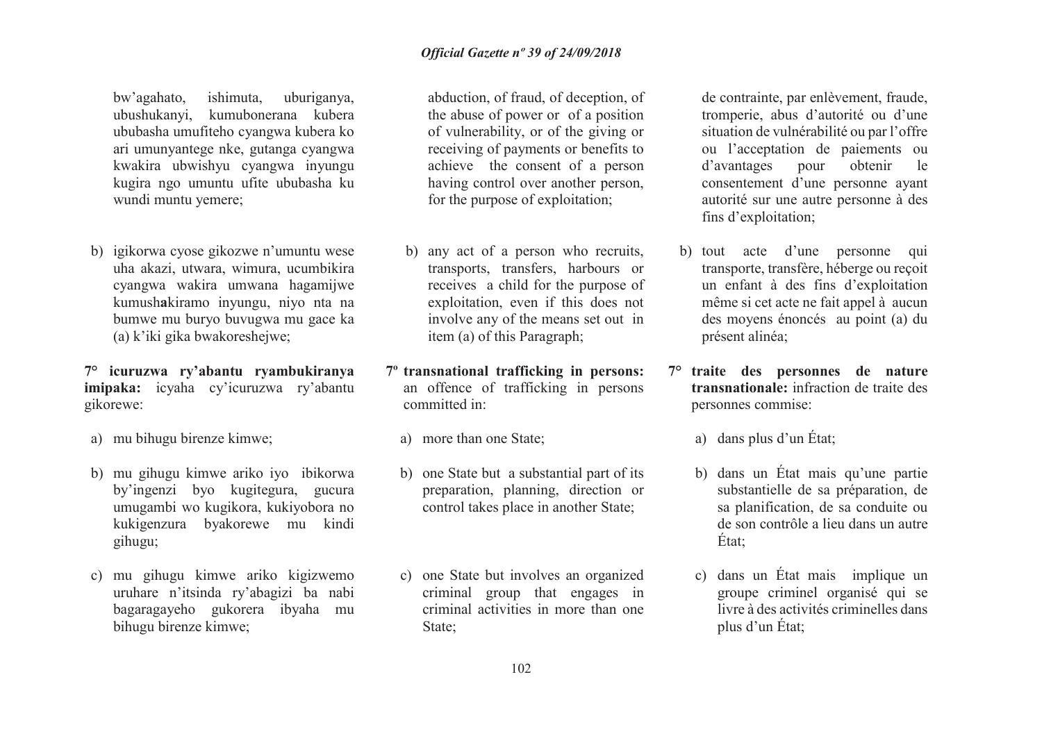bw'agahato, ishimuta, uburiganya, ubushukanyi, kumubonerana kubera ububasha umufiteho cyangwa kubera ko ari umunyantege nke, gutanga cyangwa kwakira ubwishyu cyangwa inyungu kugira ngo umuntu ufite ububasha ku wundi muntu yemere;

b) igikorwa cyose gikozwe n'umuntu wese uha akazi, utwara, wimura, ucumbikira cyangwa wakira umwana hagamijwe kumush**a**kiramo inyungu, niyo nta na bumwe mu buryo buvugwa mu gace ka (a) k'iki gika bwakoreshejwe;

**7° icuruzwa ry'abantu ryambukiranya imipaka:** icyaha cy'icuruzwa ry'abantu gikorewe:

- a) mu bihugu birenze kimwe;
- b) mu gihugu kimwe ariko iyo ibikorwa by'ingenzi byo kugitegura, gucura umugambi wo kugikora, kukiyobora no kukigenzura byakorewe mu kindi gihugu;
- c) mu gihugu kimwe ariko kigizwemo uruhare n'itsinda ry'abagizi ba nabi bagaragayeho gukorera ibyaha mu bihugu birenze kimwe;

abduction, of fraud, of deception, of the abuse of power or of a position of vulnerability, or of the giving or receiving of payments or benefits to achieve the consent of a person having control over another person, for the purpose of exploitation;

- b) any act of a person who recruits, transports, transfers, harbours or receives a child for the purpose of exploitation, even if this does not involve any of the means set out in item (a) of this Paragraph;
- **7º transnational trafficking in persons:**  an offence of trafficking in persons committed in:
	- a) more than one State;
	- b) one State but a substantial part of its preparation, planning, direction or control takes place in another State;
	- c) one State but involves an organized criminal group that engages in criminal activities in more than one State;

de contrainte, par enlèvement, fraude, tromperie, abus d'autorité ou d'une situation de vulnérabilité ou par l'offre ou l'acceptation de paiements ou d'avantages pour obtenir le consentement d'une personne ayant autorité sur une autre personne à des fins d'exploitation;

- b) tout acte d'une personne qui transporte, transfère, héberge ou reçoit un enfant à des fins d'exploitation même si cet acte ne fait appel à aucun des moyens énoncés au point (a) du présent alinéa;
- **7° traite des personnes de nature transnationale:** infraction de traite des personnes commise:
	- a) dans plus d'un État;
	- b) dans un État mais qu'une partie substantielle de sa préparation, de sa planification, de sa conduite ou de son contrôle a lieu dans un autre État;
	- c) dans un État mais implique un groupe criminel organisé qui se livre à des activités criminelles dans plus d'un État;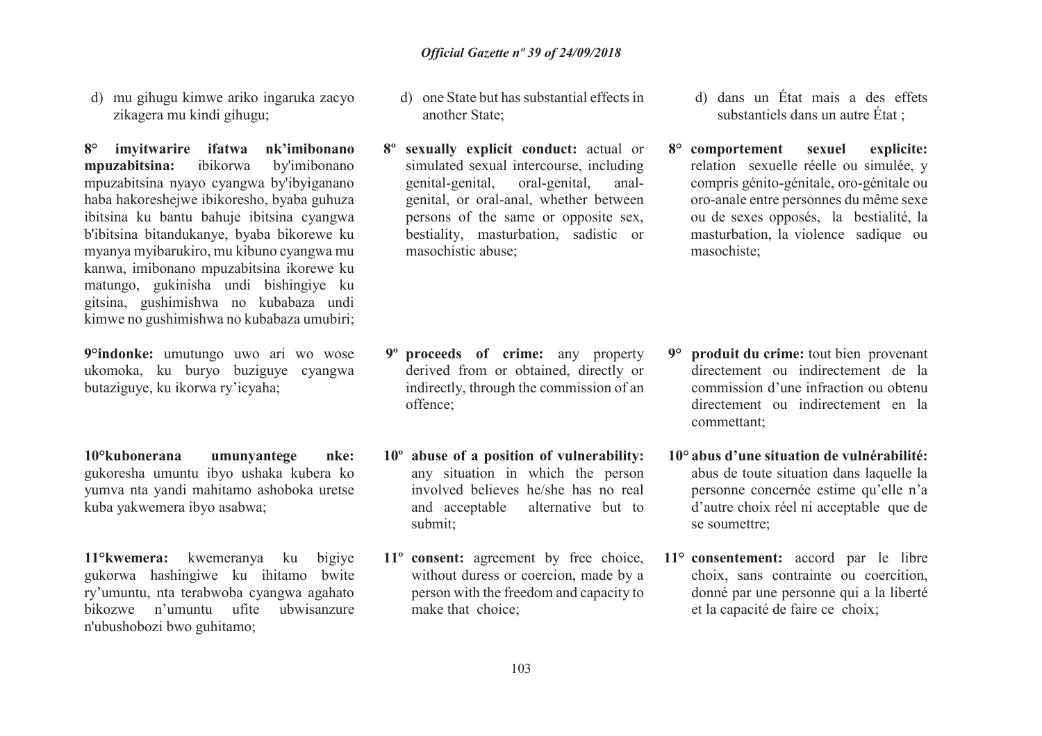d) mu gihugu kimwe ariko ingaruka zacyo zikagera mu kindi gihugu;

**8° imyitwarire ifatwa nk'imibonano mpuzabitsina:** ibikorwa by'imibonano mpuzabitsina nyayo cyangwa by'ibyiganano haba hakoreshejwe ibikoresho, byaba guhuza ibitsina ku bantu bahuje ibitsina cyangwa b'ibitsina bitandukanye, byaba bikorewe ku myanya myibarukiro, mu kibuno cyangwa mu kanwa, imibonano mpuzabitsina ikorewe ku matungo, gukinisha undi bishingiye ku gitsina, gushimishwa no kubabaza undi kimwe no gushimishwa no kubabaza umubiri;

**9°indonke:** umutungo uwo ari wo wose ukomoka, ku buryo buziguye cyangwa butaziguye, ku ikorwa ry'icyaha;

**10°kubonerana umunyantege nke:** gukoresha umuntu ibyo ushaka kubera ko yumva nta yandi mahitamo ashoboka uretse kuba yakwemera ibyo asabwa;

**11°kwemera:** kwemeranya ku bigiye gukorwa hashingiwe ku ihitamo bwite ry'umuntu, nta terabwoba cyangwa agahato ubwisanzure bikozwe <sup>n</sup>'umuntu ufite ubwisanzure n'ubushobozi bwo guhitamo;

- d) one State but has substantial effects in another State;
- **8º sexually explicit conduct:** actual or simulated sexual intercourse, including genital-genital, oral-genital, analgenital, or oral-anal, whether between persons of the same or opposite sex, bestiality, masturbation, sadistic or masochistic abuse;

- **9º proceeds of crime:** any property derived from or obtained, directly or indirectly, through the commission of an offence;
- **10º abuse of a position of vulnerability:**  any situation in which the person involved believes he/she has no real and acceptable alternative but to submit;
- **11º consent:** agreement by free choice, without duress or coercion, made by a person with the freedom and capacity to make that choice;
- d) dans un État mais a des effets substantiels dans un autre État ;
- **8° comportement sexuel explicite:** relation sexuelle réelle ou simulée, y compris génito-génitale, oro-génitale ou oro-anale entre personnes du même sexe ou de sexes opposés, la bestialité, la masturbation, la violence sadique ou masochiste;

- **9° produit du crime:** tout bien provenant directement ou indirectement de la commission d'une infraction ou obtenu directement ou indirectement en la commettant;
- **10° abus d'une situation de vulnérabilité:** abus de toute situation dans laquelle la personne concernée estime qu'elle n'a d'autre choix réel ni acceptable que de se soumettre;
- **11° consentement:** accord par le libre choix, sans contrainte ou coercition, donné par une personne qui a la liberté et la capacité de faire ce choix;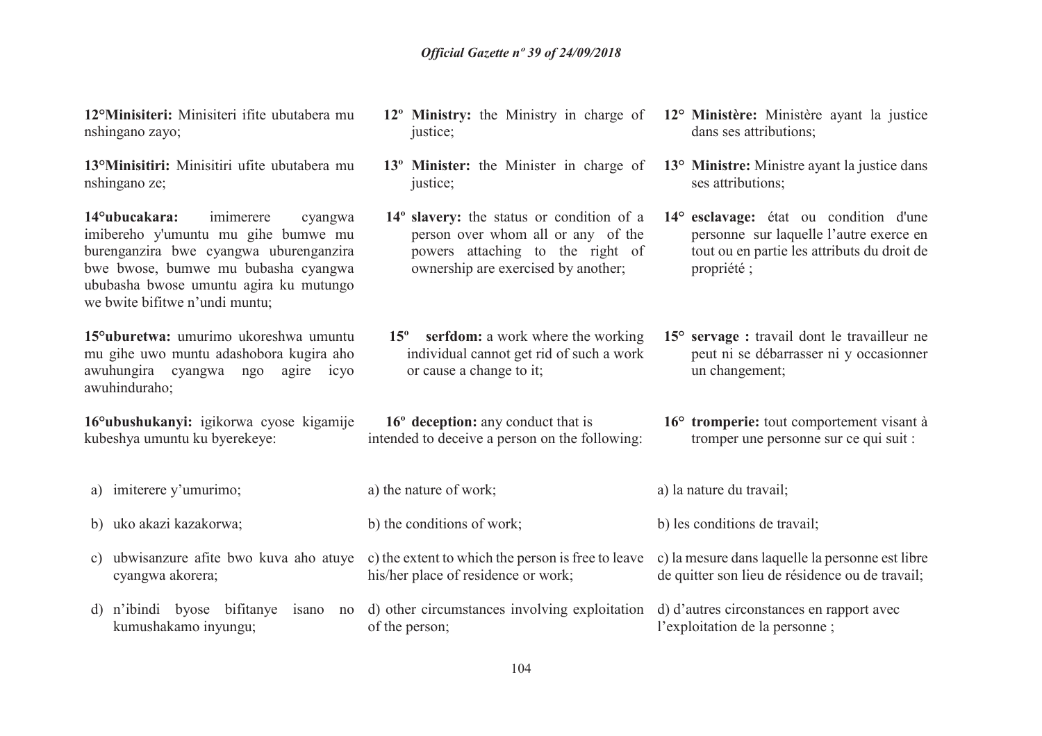**12°Minisiteri:** Minisiteri ifite ubutabera mu nshingano zayo;

**13°Minisitiri:** Minisitiri ufite ubutabera mu nshingano ze;

**14°ubucakara:** imimerere cyangwa imibereho y'umuntu mu gihe bumwe mu burenganzira bwe cyangwa uburenganzira bwe bwose, bumwe mu bubasha cyangwa ububasha bwose umuntu agira ku mutungo we bwite bifitwe n'undi muntu;

**15°uburetwa:** umurimo ukoreshwa umuntu mu gihe uwo muntu adashobora kugira aho awuhungira cyangwa ngo agire icyo awuhinduraho;

**16°ubushukanyi:** igikorwa cyose kigamije kubeshya umuntu ku byerekeye:

- a) imiterere y'umurimo;
- b) uko akazi kazakorwa;
- cyangwa akorera;
- d) <sup>n</sup>'ibindi byose bifitanye isano no kumushakamo inyungu;
- **12º Ministry:** the Ministry in charge of justice;
- **13º Minister:** the Minister in charge of justice:
- **14º slavery:** the status or condition of a person over whom all or any of the powers attaching to the right of ownership are exercised by another;
- **15º serfdom:** a work where the working individual cannot get rid of such a work or cause a change to it;
- **16º deception:** any conduct that is intended to deceive a person on the following:
- a) the nature of work;
- b) the conditions of work;
- c) ubwisanzure afite bwo kuva aho atuye c) the extent to which the person is free to leave c) la mesure dans laquelle la personne est libre his/her place of residence or work;
	- d) other circumstances involving exploitation d) d'autres circonstances en rapport avec of the person; l'exploitation de la personne ;
		- 104
- **12° Ministère:** Ministère ayant la justice dans ses attributions;
- **13° Ministre:** Ministre ayant la justice dans ses attributions;
- **14° esclavage:** état ou condition d'une personne sur laquelle l'autre exerce en tout ou en partie les attributs du droit de propriété ;
- **15° servage :** travail dont le travailleur ne peut ni se débarrasser ni y occasionner un changement;
- **16° tromperie:** tout comportement visant à tromper une personne sur ce qui suit :
- a) la nature du travail;
- b) les conditions de travail;
- de quitter son lieu de résidence ou de travail;
-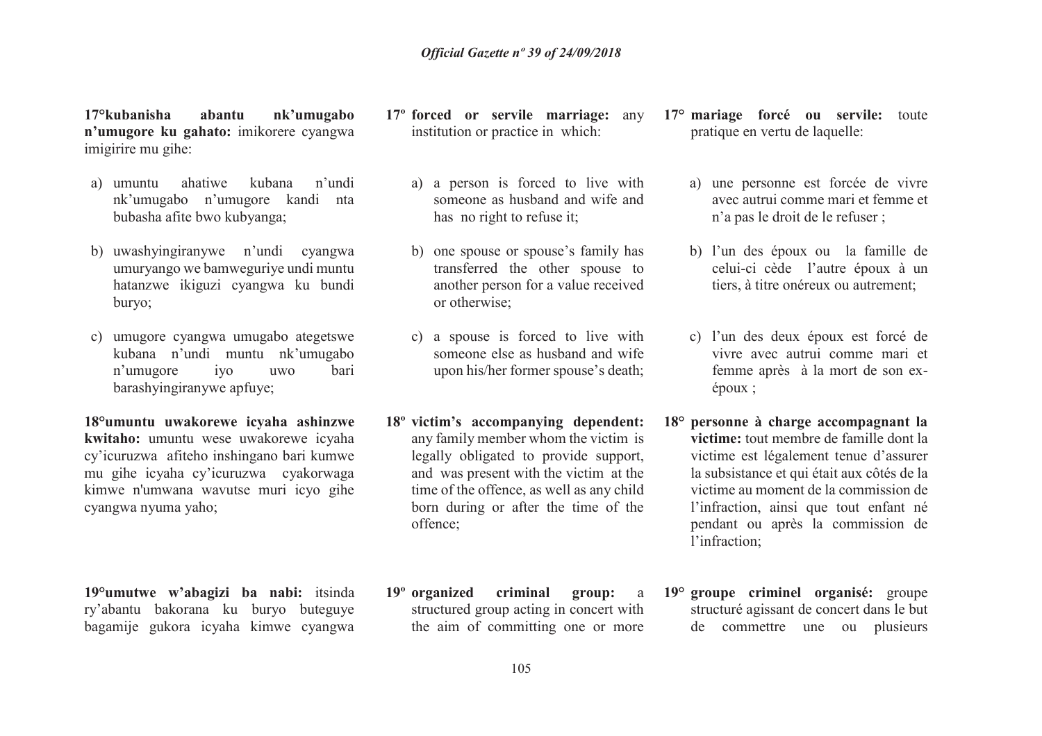**17°kubanisha abantu nk'umugabo n'umugore ku gahato:** imikorere cyangwa imigirire mu gihe:

- a) umuntu ahatiwe kubana n'undi nk'umugabo n'umugore kandi nta bubasha afite bwo kubyanga;
- b) uwashyingiranywe n'undi cyangwa umuryango we bamweguriye undi muntu hatanzwe ikiguzi cyangwa ku bundi buryo;
- c) umugore cyangwa umugabo ategetswe kubana n'undi muntu nk'umugabo n'umugore iyo uwo bari barashyingiranywe apfuye;

**18°umuntu uwakorewe icyaha ashinzwe kwitaho:** umuntu wese uwakorewe icyaha cy'icuruzwa afiteho inshingano bari kumwe mu gihe icyaha cy'icuruzwa cyakorwaga kimwe n'umwana wavutse muri icyo gihe cyangwa nyuma yaho;

**19°umutwe w'abagizi ba nabi:** itsinda ry'abantu bakorana ku buryo buteguye bagamije gukora icyaha kimwe cyangwa

- **17º forced or servile marriage:** any institution or practice in which:
	- a) a person is forced to live with someone as husband and wife and has no right to refuse it;
	- b) one spouse or spouse's family has transferred the other spouse to another person for a value received or otherwise;
	- c) a spouse is forced to live with someone else as husband and wife upon his/her former spouse's death;
- **18º victim's accompanying dependent:** any family member whom the victim is legally obligated to provide support, and was present with the victim at the time of the offence, as well as any child born during or after the time of the offence;
- **19º organized criminal group:** <sup>a</sup> structured group acting in concert with the aim of committing one or more
- **17° mariage forcé ou servile:** toute pratique en vertu de laquelle:
	- a) une personne est forcée de vivre avec autrui comme mari et femme et n'a pas le droit de le refuser ;
	- b) l'un des époux ou la famille de celui-ci cède l'autre époux à un tiers, à titre onéreux ou autrement;
	- c) l'un des deux époux est forcé de vivre avec autrui comme mari et femme après à la mort de son exépoux ;
- **18° personne à charge accompagnant la victime:** tout membre de famille dont la victime est légalement tenue d'assurer la subsistance et qui était aux côtés de la victime au moment de la commission de l'infraction, ainsi que tout enfant né pendant ou après la commission de l'infraction;
- **19° groupe criminel organisé:** groupe structuré agissant de concert dans le but de commettre une ou plusieurs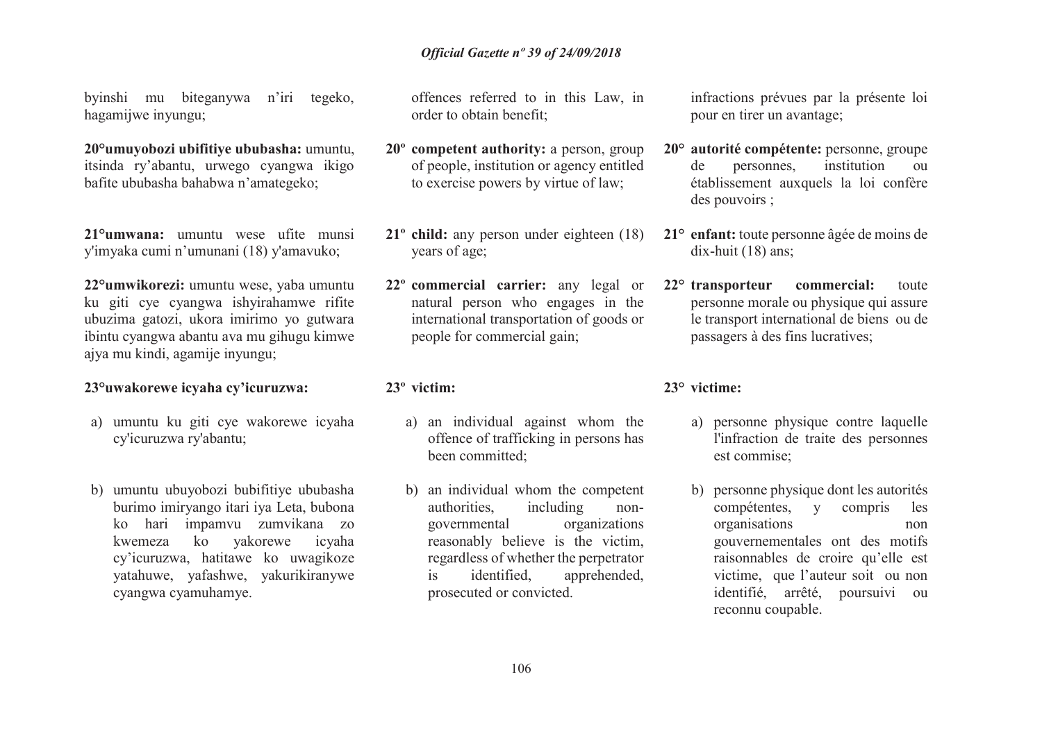byinshi mu biteganywa n'iri tegeko, hagamijwe inyungu;

**20°umuyobozi ubifitiye ububasha:** umuntu, itsinda ry'abantu, urwego cyangwa ikigo bafite ububasha bahabwa n'amategeko;

**21°umwana:** umuntu wese ufite munsi y'imyaka cumi n'umunani (18) <sup>y</sup>'amavuko;

**22°umwikorezi:** umuntu wese, yaba umuntu ku giti cye cyangwa ishyirahamwe rifite ubuzima gatozi, ukora imirimo yo gutwara ibintu cyangwa abantu ava mu gihugu kimwe ajya mu kindi, agamije inyungu;

### **23°uwakorewe icyaha cy'icuruzwa:**

- a) umuntu ku giti cye wakorewe icyaha cy'icuruzwa ry'abantu;
- b) umuntu ubuyobozi bubifitiye ububasha burimo imiryango itari iya Leta, bubona ko hari impamvu zumvikana zo kwemeza ko yakorewe icyaha cy'icuruzwa, hatitawe ko uwagikoze yatahuwe, yafashwe, yakurikiranywe cyangwa cyamuhamye.

offences referred to in this Law, in order to obtain benefit;

- **20º competent authority:** a person, group of people, institution or agency entitled to exercise powers by virtue of law;
- **21º child:** any person under eighteen (18) years of age;
- **22º commercial carrier:** any legal or natural person who engages in the international transportation of goods or people for commercial gain;

### **23º victim:**

- a) an individual against whom the offence of trafficking in persons has been committed;
- b) an individual whom the competent authorities, including nongovernmental organizations reasonably believe is the victim, regardless of whether the perpetrator is identified, apprehended, prosecuted or convicted.

infractions prévues par la présente loi pour en tirer un avantage;

- **20° autorité compétente:** personne, groupe de personnes, institution ou établissement auxquels la loi confère des pouvoirs ;
- **21° enfant:** toute personne âgée de moins de dix-huit (18) ans;
- **22° transporteur commercial:** toute personne morale ou physique qui assure le transport international de biens ou de passagers à des fins lucratives;

### **23° victime:**

- a) personne physique contre laquelle l'infraction de traite des personnes est commise;
- b) personne physique dont les autorités compétentes, y compris les organisations non gouvernementales ont des motifs raisonnables de croire qu'elle est victime, que l'auteur soit ou non identifié, arrêté, poursuivi ou reconnu coupable.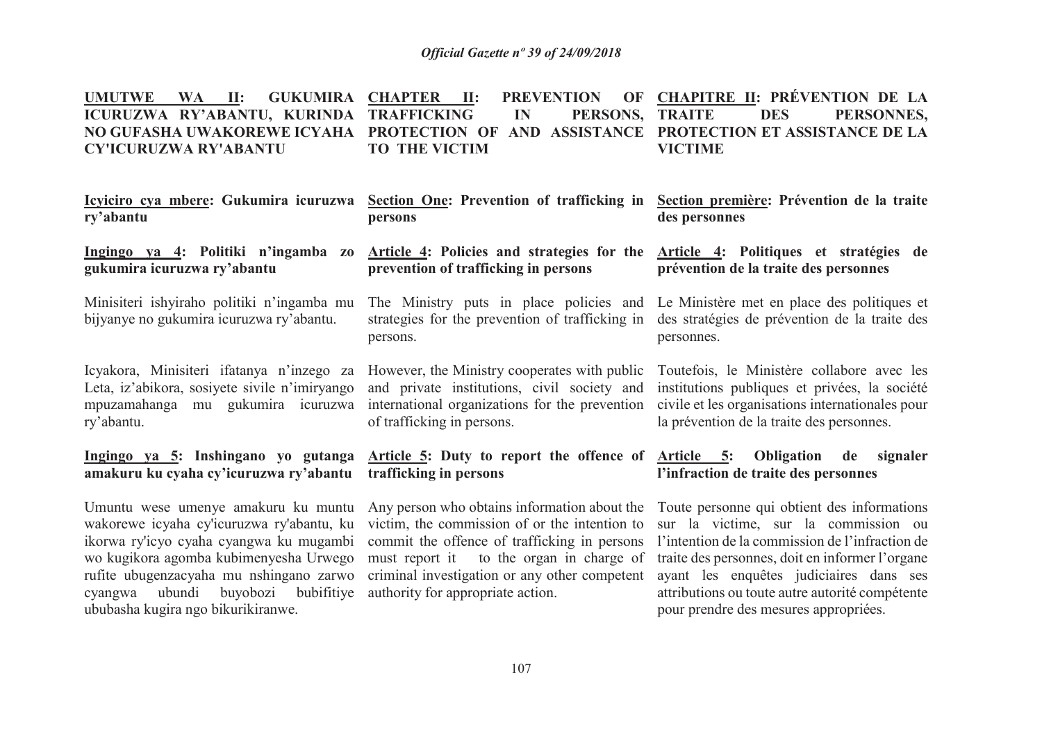| UMUTWE WA II: GUKUMIRA CHAPTER II: PREVENTION OF CHAPITRE II: PRÉVENTION DE LA          |                      |                |  |
|-----------------------------------------------------------------------------------------|----------------------|----------------|--|
| ICURUZWA RY'ABANTU, KURINDA TRAFFICKING   IN   PERSONS, TRAITE   DES   PERSONNES,       |                      |                |  |
| NO GUFASHA UWAKOREWE ICYAHA PROTECTION OF AND ASSISTANCE PROTECTION ET ASSISTANCE DE LA |                      |                |  |
| <b>CY'ICURUZWA RY'ABANTU</b>                                                            | <b>TO THE VICTIM</b> | <b>VICTIME</b> |  |

| ry'abantu                                                                                                                                                                                                                                                                                       | <u>Icyiciro cya mbere:</u> Gukumira icuruzwa Section One: Prevention of trafficking in<br>persons                                                                                                                                                                               | Section première: Prévention de la traite<br>des personnes                                                                                                                                                                                                                                                                       |
|-------------------------------------------------------------------------------------------------------------------------------------------------------------------------------------------------------------------------------------------------------------------------------------------------|---------------------------------------------------------------------------------------------------------------------------------------------------------------------------------------------------------------------------------------------------------------------------------|----------------------------------------------------------------------------------------------------------------------------------------------------------------------------------------------------------------------------------------------------------------------------------------------------------------------------------|
| Ingingo ya 4: Politiki n'ingamba<br>Z <sub>0</sub><br>gukumira icuruzwa ry'abantu                                                                                                                                                                                                               | Article 4: Policies and strategies for the Article 4: Politiques et stratégies de<br>prevention of trafficking in persons                                                                                                                                                       | prévention de la traite des personnes                                                                                                                                                                                                                                                                                            |
| Minisiteri ishyiraho politiki n'ingamba mu<br>bijyanye no gukumira icuruzwa ry'abantu.                                                                                                                                                                                                          | The Ministry puts in place policies and Le Ministère met en place des politiques et<br>strategies for the prevention of trafficking in des stratégies de prévention de la traite des<br>persons.                                                                                | personnes.                                                                                                                                                                                                                                                                                                                       |
| Icyakora, Minisiteri ifatanya n'inzego za<br>Leta, iz'abikora, sosiyete sivile n'imiryango<br>mpuzamahanga mu gukumira icuruzwa<br>ry'abantu.                                                                                                                                                   | However, the Ministry cooperates with public<br>and private institutions, civil society and<br>international organizations for the prevention<br>of trafficking in persons.                                                                                                     | Toutefois, le Ministère collabore avec les<br>institutions publiques et privées, la société<br>civile et les organisations internationales pour<br>la prévention de la traite des personnes.                                                                                                                                     |
| amakuru ku cyaha cy'icuruzwa ry'abantu trafficking in persons                                                                                                                                                                                                                                   | Ingingo ya 5: Inshingano yo gutanga Article 5: Duty to report the offence of Article 5: Obligation                                                                                                                                                                              | de<br>signaler<br>l'infraction de traite des personnes                                                                                                                                                                                                                                                                           |
| Umuntu wese umenye amakuru ku muntu<br>wakorewe icyaha cy'icuruzwa ry'abantu, ku<br>ikorwa ry'icyo cyaha cyangwa ku mugambi<br>wo kugikora agomba kubimenyesha Urwego<br>rufite ubugenzacyaha mu nshingano zarwo<br>ubundi buyobozi bubifitiye<br>cyangwa<br>ububasha kugira ngo bikurikiranwe. | Any person who obtains information about the<br>victim, the commission of or the intention to<br>commit the offence of trafficking in persons<br>must report it to the organ in charge of<br>criminal investigation or any other competent<br>authority for appropriate action. | Toute personne qui obtient des informations<br>sur la victime, sur la commission ou<br>l'intention de la commission de l'infraction de<br>traite des personnes, doit en informer l'organe<br>ayant les enquêtes judiciaires dans ses<br>attributions ou toute autre autorité compétente<br>pour prendre des mesures appropriées. |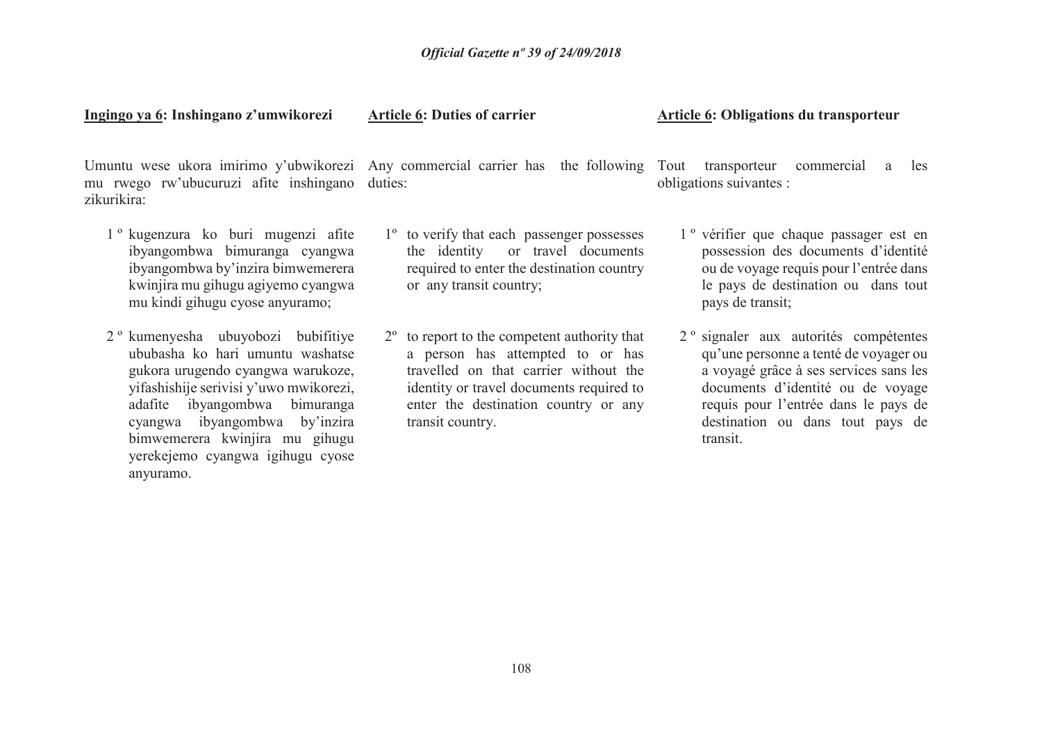**Ingingo ya 6: Inshingano z'umwikorezi** 

**Article 6: Duties of carrier** 

 mu rwego rw'ubucuruzi afite inshingano duties:zikurikira:

- 1 º kugenzura ko buri mugenzi afite ibyangombwa bimuranga cyangwa ibyangombwa by'inzira bimwemerera kwinjira mu gihugu agiyemo cyangwa mu kindi gihugu cyose anyuramo;
- 2 º kumenyesha ubuyobozi bubifitiye ububasha ko hari umuntu washatse gukora urugendo cyangwa warukoze, yifashishije serivisi y'uwo mwikorezi, adafite ibyangombwa bimuranga cyangwa ibyangombwa by'inzira bimwemerera kwinjira mu gihugu yerekejemo cyangwa igihugu cyose anyuramo.

Umuntu wese ukora imirimo y'ubwikorezi Any commercial carrier has the following Tout transporteur commercial a les

- 1º to verify that each passenger possesses the identity or travel documents required to enter the destination country or any transit country;
- 2º to report to the competent authority that a person has attempted to or has travelled on that carrier without the identity or travel documents required to enter the destination country or any transit country.

### **Article 6: Obligations du transporteur**

obligations suivantes :

- 1 º vérifier que chaque passager est en possession des documents d'identité ou de voyage requis pour l'entrée dans le pays de destination ou dans tout pays de transit;
- 2 º signaler aux autorités compétentes qu'une personne a tenté de voyager ou a voyagé grâce à ses services sans les documents d'identité ou de voyage requis pour l'entrée dans le pays de destination ou dans tout pays de transit.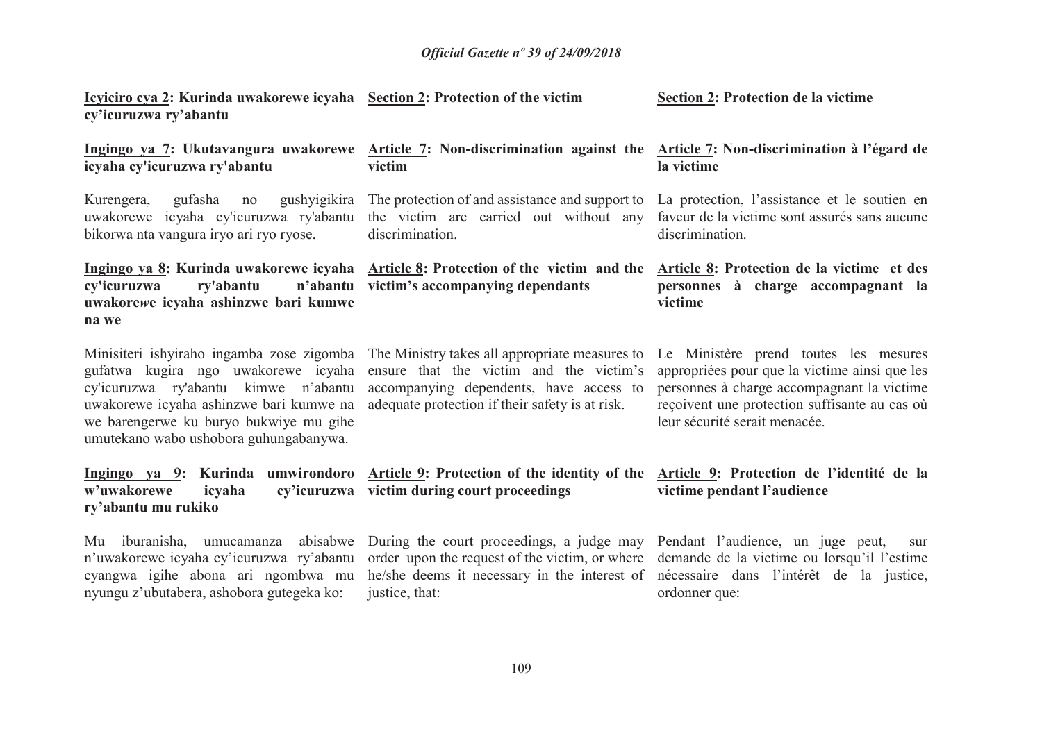| Icyliciro cya 2: Kurinda uwakorewe icyaha Section 2: Protection of the victim<br>cy'icuruzwa ry'abantu                                                                                                     |                                                                                                                                                                                                                                          | Section 2: Protection de la victime                                                                                                                                                                                    |
|------------------------------------------------------------------------------------------------------------------------------------------------------------------------------------------------------------|------------------------------------------------------------------------------------------------------------------------------------------------------------------------------------------------------------------------------------------|------------------------------------------------------------------------------------------------------------------------------------------------------------------------------------------------------------------------|
| Ingingo ya 7: Ukutavangura uwakorewe<br>icyaha cy'icuruzwa ry'abantu                                                                                                                                       | Article 7: Non-discrimination against the Article 7: Non-discrimination à l'égard de<br>victim                                                                                                                                           | la victime                                                                                                                                                                                                             |
| Kurengera,<br>gufasha<br>gushyigikira<br>no<br>uwakorewe icyaha cy'icuruzwa ry'abantu<br>bikorwa nta vangura iryo ari ryo ryose.                                                                           | The protection of and assistance and support to<br>the victim are carried out without any<br>discrimination.                                                                                                                             | La protection, l'assistance et le soutien en<br>faveur de la victime sont assurés sans aucune<br>discrimination.                                                                                                       |
| ry'abantu<br>cy'icuruzwa<br>uwakorewe icyaha ashinzwe bari kumwe<br>na we                                                                                                                                  | Ingingo ya 8: Kurinda uwakorewe icyaha Article 8: Protection of the victim and the<br>n'abantu victim's accompanying dependants                                                                                                          | Article 8: Protection de la victime et des<br>personnes à charge accompagnant la<br>victime                                                                                                                            |
| gufatwa kugira ngo uwakorewe icyaha<br>cy'icuruzwa ry'abantu kimwe n'abantu<br>uwakorewe icyaha ashinzwe bari kumwe na<br>we barengerwe ku buryo bukwiye mu gihe<br>umutekano wabo ushobora guhungabanywa. | Minisiteri ishyiraho ingamba zose zigomba The Ministry takes all appropriate measures to<br>ensure that the victim and the victim's<br>accompanying dependents, have access to<br>adequate protection if their safety is at risk.        | Le Ministère prend toutes les mesures<br>appropriées pour que la victime ainsi que les<br>personnes à charge accompagnant la victime<br>reçoivent une protection suffisante au cas où<br>leur sécurité serait menacée. |
| w'uwakorewe<br>icyaha<br>ry'abantu mu rukiko                                                                                                                                                               | Ingingo ya 9: Kurinda umwirondoro Article 9: Protection of the identity of the<br>cy'icuruzwa victim during court proceedings                                                                                                            | Article 9: Protection de l'identité de la<br>victime pendant l'audience                                                                                                                                                |
| Mu iburanisha, umucamanza abisabwe<br>n'uwakorewe icyaha cy'icuruzwa ry'abantu<br>cyangwa igihe abona ari ngombwa mu<br>nyungu z'ubutabera, ashobora gutegeka ko:                                          | During the court proceedings, a judge may Pendant l'audience, un juge peut,<br>order upon the request of the victim, or where<br>he/she deems it necessary in the interest of nécessaire dans l'intérêt de la justice,<br>justice, that: | sur<br>demande de la victime ou lorsqu'il l'estime<br>ordonner que:                                                                                                                                                    |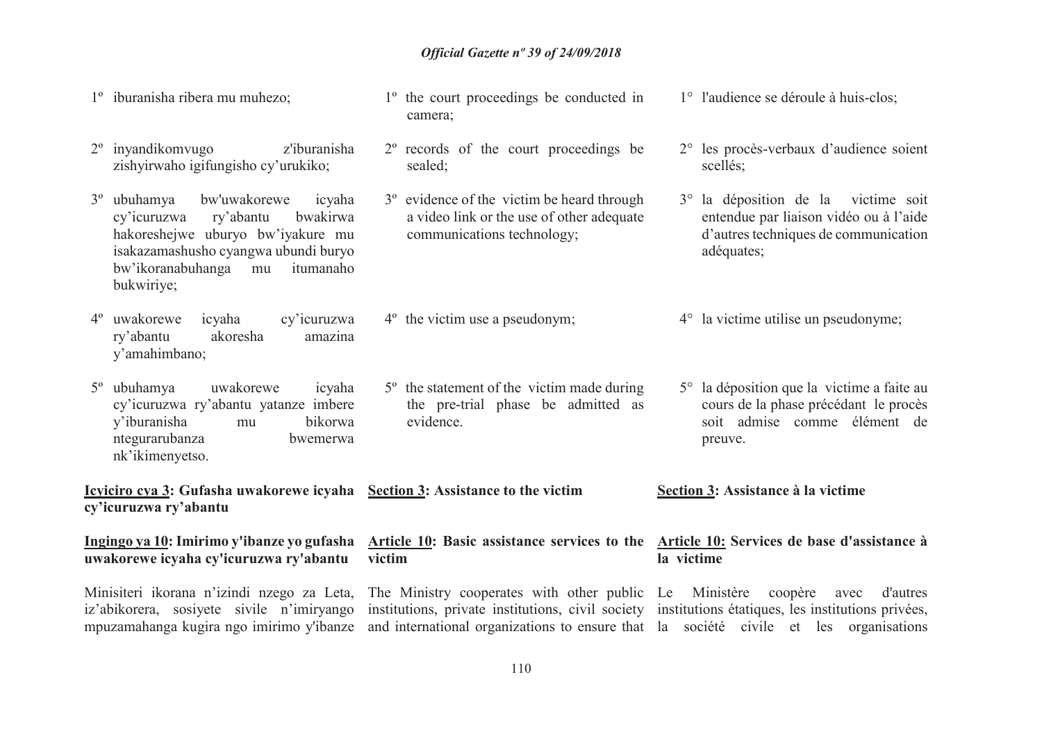- 1º iburanisha ribera mu muhezo;
- 2º inyandikomvugo z'iburanisha zishyirwaho igifungisho cy'urukiko;
- 3<sup>°</sup> ubuhamva bw'uwakorewe icyaha<br>ry'abantu bwakirwa cy'icuruzwa bwakirwa hakoreshejwe uburyo bw'iyakure mu isakazamashusho cyangwa ubundi buryo itumanaho bw'ikoranabuhanga mu bukwiriye;
- 4º uwakorewe icyaha cy'icuruzwa ry'abantu akoresha amazina y'amahimbano;
- 5º ubuhamya uwakorewe icyaha cy'icuruzwa ry'abantu yatanze imbere y'iburanisha mu bikorwa ntegurarubanza bwemerwa nk'ikimenyetso.

**Icyiciro cya 3: Gufasha uwakorewe icyaha Section 3: Assistance to the victim cy'icuruzwa ry'abantu**

**uwakorewe icyaha cy'icuruzwa ry'abantu** 

Minisiteri ikorana n'izindi nzego za Leta, The Ministry cooperates with other public Le Ministère coopère avec d'autres

- 1º the court proceedings be conducted in camera;
- 2º records of the court proceedings be sealed;
- 3º evidence of the victim be heard through a video link or the use of other adequate communications technology;
- 4º the victim use a pseudonym;
- 5º the statement of the victim made during the pre-trial phase be admitted as evidence.
- 

**Ingingo ya 10:Imirimo y'ibanze yo gufasha Article 10: Basic assistance services to the Article 10: Services de base d'assistance à victim** 

iz'abikorera, sosiyete sivile n'imiryango institutions, private institutions, civil society institutions étatiques, les institutions privées,

- 1° l'audience se déroule à huis-clos;
- 2° les procès-verbaux d'audience soient scellés;
- 3° la déposition de la victime soit entendue par liaison vidéo ou à l'aide d'autres techniques de communication adéquates;
- 4° la victime utilise un pseudonyme;
- 5° la déposition que la victime a faite au cours de la phase précédant le procès soit admise comme élément de preuve.
- **Section 3: Assistance à la victime**

## **la victime**

mpuzamahanga kugira ngo imirimo y'ibanze and international organizations to ensure that la société civile et les organisations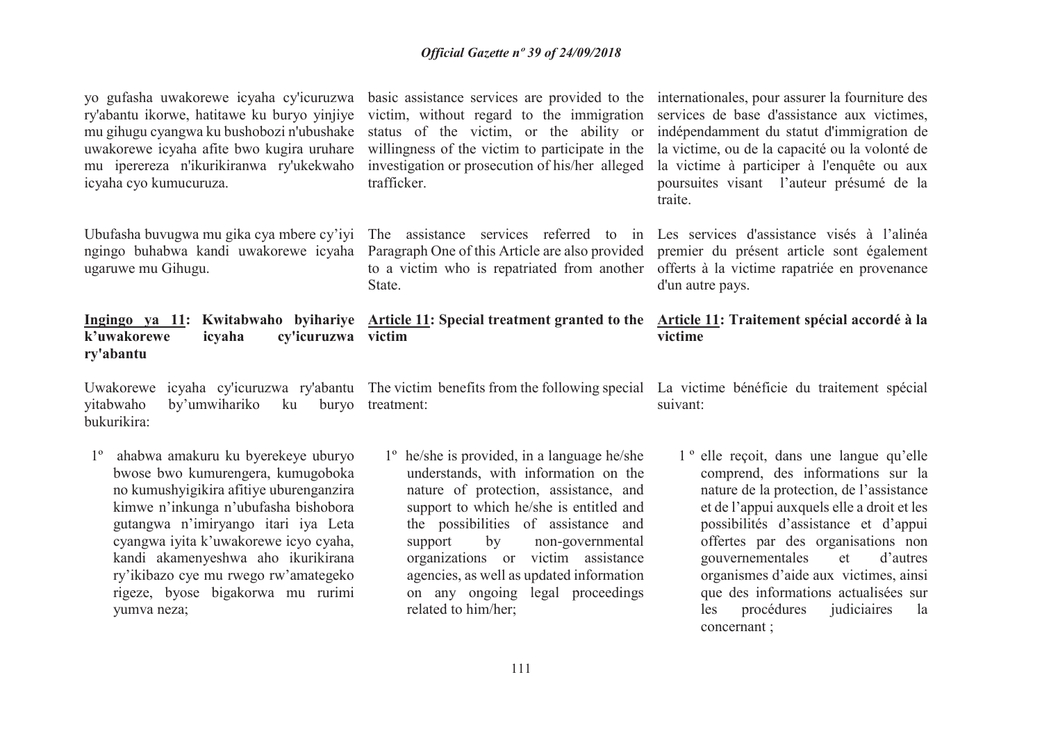ry'abantu ikorwe, hatitawe ku buryo yinjiye victim, without regard to the immigration services de base d'assistance aux victimes, mu gihugu cyangwa ku bushobozi n'ubushake uwakorewe icyaha afite bwo kugira uruhare willingness of the victim to participate in the la victime, ou de la capacité ou la volonté de mu iperereza n'ikurikiranwa ry'ukekwaho investigation or prosecution of his/her alleged la victime à participer à l'enquête ou aux icyaha cyo kumucuruza.

Ubufasha buvugwa mu gika cya mbere cy'iyi The assistance services referred to in Les services d'assistance visés à l'alinéa ugaruwe mu Gihugu.

### **k'uwakorewe icyaha cy'icuruzwa victim ry'abantu**

Uwakorewe icyaha cy'icuruzwa ry'abantu The victim benefits from the following special La victime bénéficie du traitement spécial yitabwaho by'umwihariko ku bukurikira:buryo treatment:

1º ahabwa amakuru ku byerekeye uburyo bwose bwo kumurengera, kumugoboka no kumushyigikira afitiye uburenganzira kimwe n'inkunga n'ubufasha bishobora gutangwa n'imiryango itari iya Leta cyangwa iyita k'uwakorewe icyo cyaha, kandi akamenyeshwa aho ikurikirana ry'ikibazo cye mu rwego rw'amategeko rigeze, byose bigakorwa mu rurimi yumva neza;

trafficker.

 ngingo buhabwa kandi uwakorewe icyaha Paragraph One of this Article are also provided premier du présent article sont également to a victim who is repatriated from another offerts à la victime rapatriée en provenance State.

1º he/she is provided, in a language he/she understands, with information on the nature of protection, assistance, and support to which he/she is entitled and the possibilities of assistance and support by non-governmental organizations or victim assistance agencies, as well as updated information on any ongoing legal proceedings related to him/her;

yo gufasha uwakorewe icyaha cy'icuruzwa basic assistance services are provided to the internationales, pour assurer la fourniture des status of the victim, or the ability or indépendamment du statut d'immigration de poursuites visant l'auteur présumé de la traite.

d'un autre pays.

#### **Ingingo ya 11: Kwitabwaho byihariye Article 11: Special treatment granted to the Article 11: Traitement spécial accordé à la victime**

suivant:

1 º elle reçoit, dans une langue qu'elle comprend, des informations sur la nature de la protection, de l'assistance et de l'appui auxquels elle a droit et les possibilités d'assistance et d'appui offertes par des organisations non gouvernementales et d'autres organismes d'aide aux victimes, ainsi que des informations actualisées sur les procédures judiciaires la concernant ;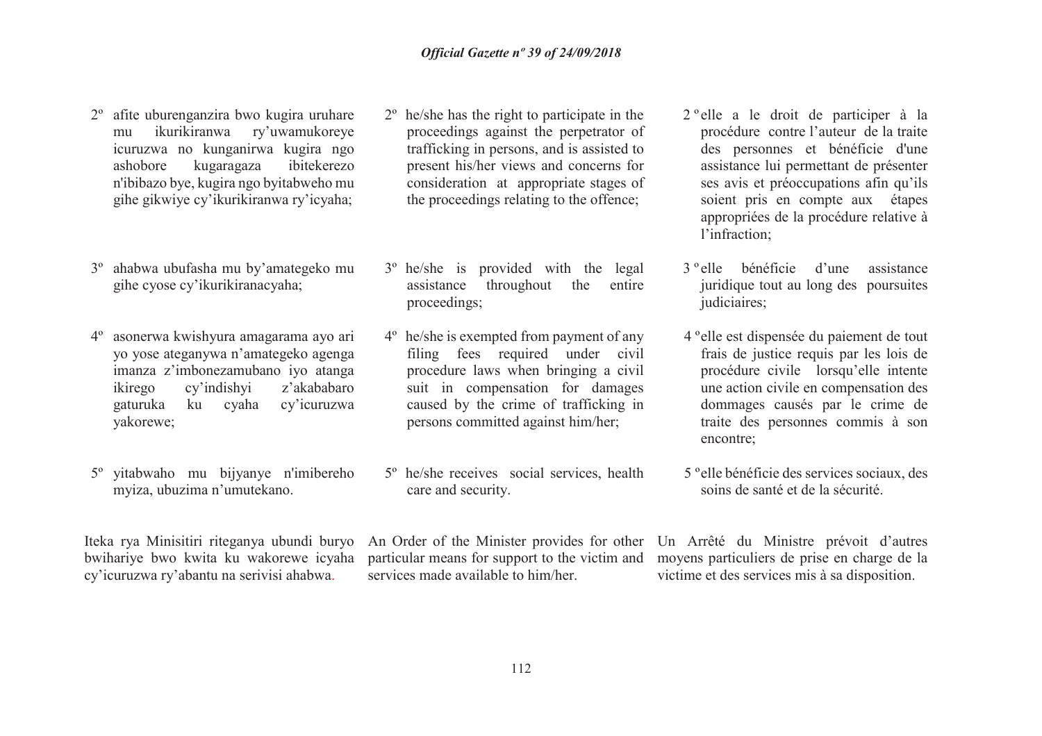- 2º afite uburenganzira bwo kugira uruhare mu ikurikiranwa ry'uwamukoreye icuruzwa no kunganirwa kugira ngo ashobore kugaragaza ibitekerezo n'ibibazo bye, kugira ngo byitabweho mu gihe gikwiye cy'ikurikiranwa ry'icyaha;
- 3º ahabwa ubufasha mu by'amategeko mu gihe cyose cy'ikurikiranacyaha;
- 4º asonerwa kwishyura amagarama ayo ari yo yose ateganywa n'amategeko agenga imanza z'imbonezamubano iyo atanga ikirego cy'indishyi z'akababaro gaturuka ku cyaha cy'icuruzwa yakorewe;
- 5º <sup>y</sup>itabwaho mu bijyanye n'imibereho myiza, ubuzima n'umutekano.

cy'icuruzwa ry'abantu na serivisi ahabwa.

- 2º he/she has the right to participate in the proceedings against the perpetrator of trafficking in persons, and is assisted to present his/her views and concerns for consideration at appropriate stages of the proceedings relating to the offence;
- 3º he/she is provided with the legal assistance throughout the entire proceedings;
- 4º he/she is exempted from payment of any filing fees required under civil procedure laws when bringing a civil suit in compensation for damages caused by the crime of trafficking in persons committed against him/her;
- 5º he/she receives social services, health care and security.

services made available to him/her.

- 2 º elle a le droit de participer à la procédure contre l'auteur de la traite des personnes et bénéficie d'une assistance lui permettant de présenter ses avis et préoccupations afin qu'ils soient pris en compte aux étapes appropriées de la procédure relative à l'infraction;
- 3 º elle bénéficie d'une assistance juridique tout au long des poursuites judiciaires;
- 4 ºelle est dispensée du paiement de tout frais de justice requis par les lois de procédure civile lorsqu'elle intente une action civile en compensation des dommages causés par le crime de traite des personnes commis à son encontre;
- 5 ºelle bénéficie des services sociaux, des soins de santé et de la sécurité.

Iteka rya Minisitiri riteganya ubundi buryo An Order of the Minister provides for other Un Arrêté du Ministre prévoit d'autres bwihariye bwo kwita ku wakorewe icyaha particular means for support to the victim and moyens particuliers de prise en charge de la victime et des services mis à sa disposition.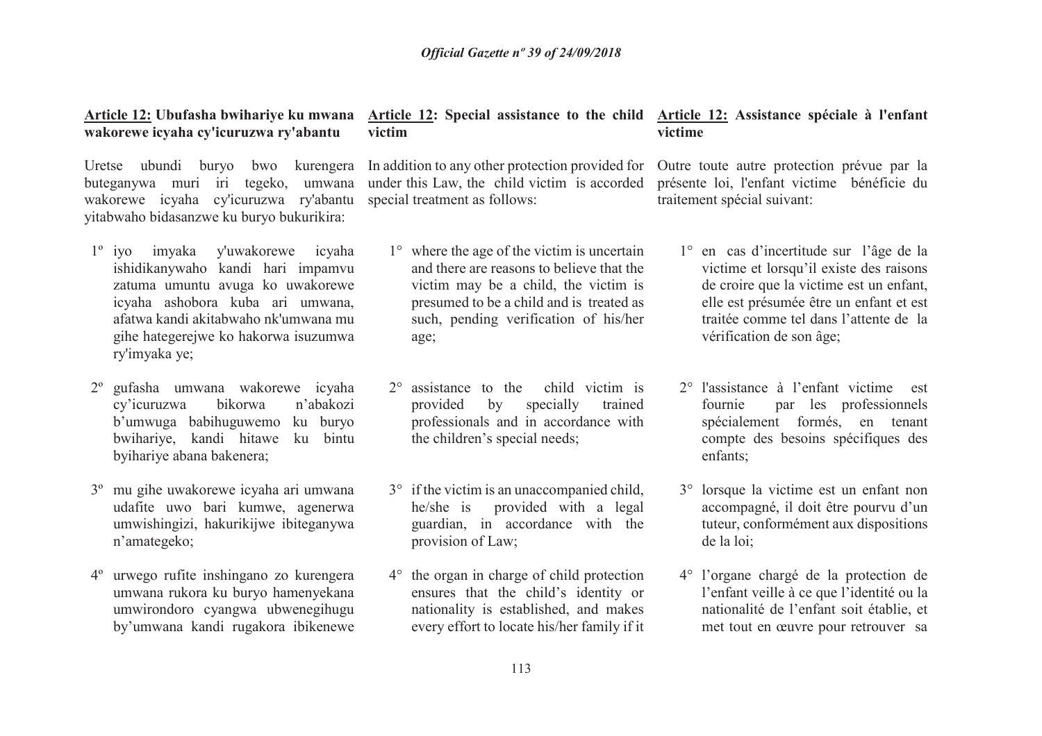### **Article 12: Ubufasha bwihariye ku mwana wakorewe icyaha cy'icuruzwa ry'abantu**

Uretse ubundi buryo bwo kurengera buteganywa muri iri tegeko, umwana wakorewe icyaha cy'icuruzwa ry'abantu yitabwaho bidasanzwe ku buryo bukurikira:

- 1º iyo imyaka y'uwakorewe icyaha ishidikanywaho kandi hari impamvu zatuma umuntu avuga ko uwakorewe icyaha ashobora kuba ari umwana, afatwa kandi akitabwaho nk'umwana mu gihe hategerejwe ko hakorwa isuzumwa ry'imyaka ye;
- 2º gufasha umwana wakorewe icyaha cy'icuruzwa bikorwa n'abakozi b'umwuga babihuguwemo ku buryo bwihariye, kandi hitawe ku bintu byihariye abana bakenera;
- 3º mu gihe uwakorewe icyaha ari umwana udafite uwo bari kumwe, agenerwa umwishingizi, hakurikijwe ibiteganywa n'amategeko;
- 4º urwego rufite inshingano zo kurengera umwana rukora ku buryo hamenyekana umwirondoro cyangwa ubwenegihugu by'umwana kandi rugakora ibikenewe

### **Article 12: Special assistance to the child Article 12: Assistance spéciale à l'enfant victim**

In addition to any other protection provided for Outre toute autre protection prévue par la under this Law, the child victim is accorded special treatment as follows:

- 1° where the age of the victim is uncertain and there are reasons to believe that the victim may be a child, the victim is presumed to be a child and is treated as such, pending verification of his/her age;
- 2° assistance to the child victim is provided by specially trained professionals and in accordance with the children's special needs;
- 3° if the victim is an unaccompanied child, he/she is provided with a legal guardian, in accordance with the provision of Law;
- 4° the organ in charge of child protection ensures that the child's identity or nationality is established, and makes every effort to locate his/her family if it

### **victime**

 présente loi, l'enfant victime bénéficie du traitement spécial suivant:

- 1° en cas d'incertitude sur l'âge de la victime et lorsqu'il existe des raisons de croire que la victime est un enfant, elle est présumée être un enfant et est traitée comme tel dans l'attente de la vérification de son âge;
- 2° l'assistance à l'enfant victime est fournie par les professionnels spécialement formés, en tenant compte des besoins spécifiques des enfants;
- 3° lorsque la victime est un enfant non accompagné, il doit être pourvu d'un tuteur, conformément aux dispositions de la loi;
- 4° l'organe chargé de la protection de l'enfant veille à ce que l'identité ou la nationalité de l'enfant soit établie, et met tout en œuvre pour retrouver sa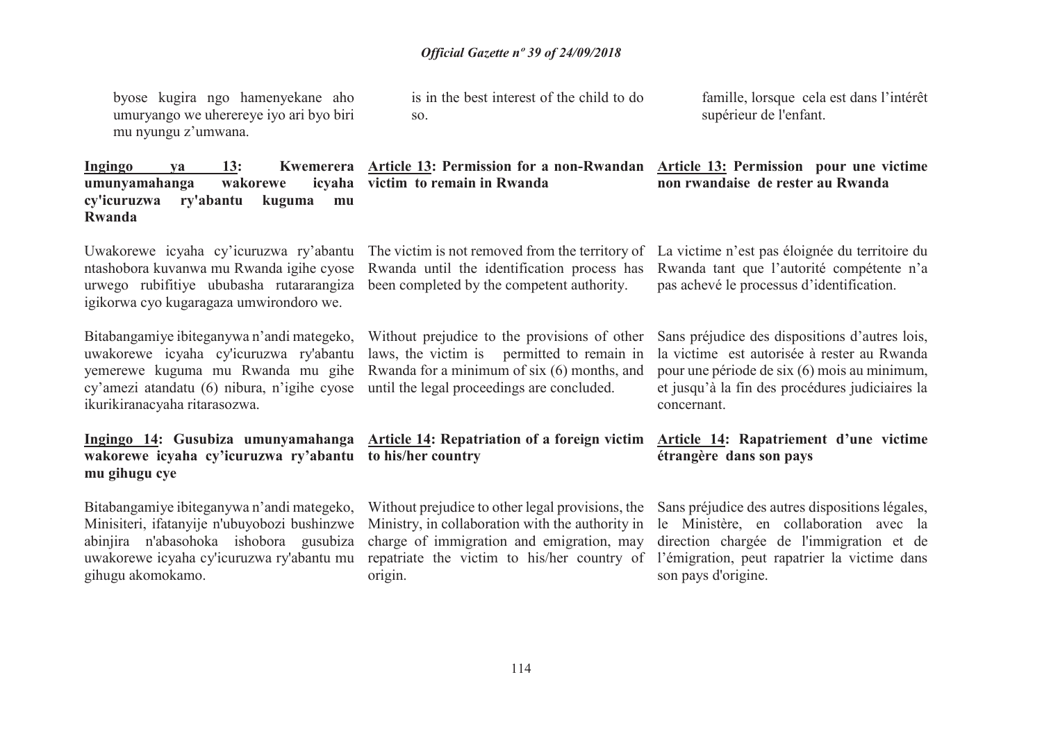byose kugira ngo hamenyekane aho umuryango we uherereye iyo ari byo biri mu nyungu z'umwana.

is in the best interest of the child to do so.

famille, lorsque cela est dans l'intérêt supérieur de l'enfant.

| 13:<br><b>Ingingo</b><br>Kwemerera<br>va<br>umunyamahanga<br>wakorewe<br>cy'icuruzwa<br>ry'abantu<br>kuguma<br>mu<br>Rwanda                                                                               | Article 13: Permission for a non-Rwandan Article 13: Permission pour une victime<br>icyaha victim to remain in Rwanda                                                                                                                                    | non rwandaise de rester au Rwanda                                                                                                                                                                               |
|-----------------------------------------------------------------------------------------------------------------------------------------------------------------------------------------------------------|----------------------------------------------------------------------------------------------------------------------------------------------------------------------------------------------------------------------------------------------------------|-----------------------------------------------------------------------------------------------------------------------------------------------------------------------------------------------------------------|
| Uwakorewe icyaha cy'icuruzwa ry'abantu<br>ntashobora kuvanwa mu Rwanda igihe cyose<br>urwego rubifitiye ububasha rutararangiza<br>igikorwa cyo kugaragaza umwirondoro we.                                 | The victim is not removed from the territory of<br>Rwanda until the identification process has<br>been completed by the competent authority.                                                                                                             | La victime n'est pas éloignée du territoire du<br>Rwanda tant que l'autorité compétente n'a<br>pas achevé le processus d'identification.                                                                        |
| Bitabangamiye ibiteganywa n'andi mategeko,<br>uwakorewe icyaha cy'icuruzwa ry'abantu<br>yemerewe kuguma mu Rwanda mu gihe<br>cy'amezi atandatu (6) nibura, n'igihe cyose<br>ikurikiranacyaha ritarasozwa. | Without prejudice to the provisions of other<br>laws, the victim is permitted to remain in<br>Rwanda for a minimum of six (6) months, and<br>until the legal proceedings are concluded.                                                                  | Sans préjudice des dispositions d'autres lois,<br>la victime est autorisée à rester au Rwanda<br>pour une période de six (6) mois au minimum,<br>et jusqu'à la fin des procédures judiciaires la<br>concernant. |
| wakorewe icyaha cy'icuruzwa ry'abantu to his/her country<br>mu gihugu cye                                                                                                                                 | Ingingo 14: Gusubiza umunyamahanga Article 14: Repatriation of a foreign victim                                                                                                                                                                          | Article 14: Rapatriement d'une victime<br>étrangère dans son pays                                                                                                                                               |
| Bitabangamiye ibiteganywa n'andi mategeko,<br>Minisiteri, ifatanyije n'ubuyobozi bushinzwe<br>abinjira n'abasohoka ishobora gusubiza<br>uwakorewe icyaha cy'icuruzwa ry'abantu mu<br>gihugu akomokamo.    | Without prejudice to other legal provisions, the<br>Ministry, in collaboration with the authority in<br>charge of immigration and emigration, may<br>repatriate the victim to his/her country of l'émigration, peut rapatrier la victime dans<br>origin. | Sans préjudice des autres dispositions légales,<br>le Ministère, en collaboration avec la<br>direction chargée de l'immigration et de<br>son pays d'origine.                                                    |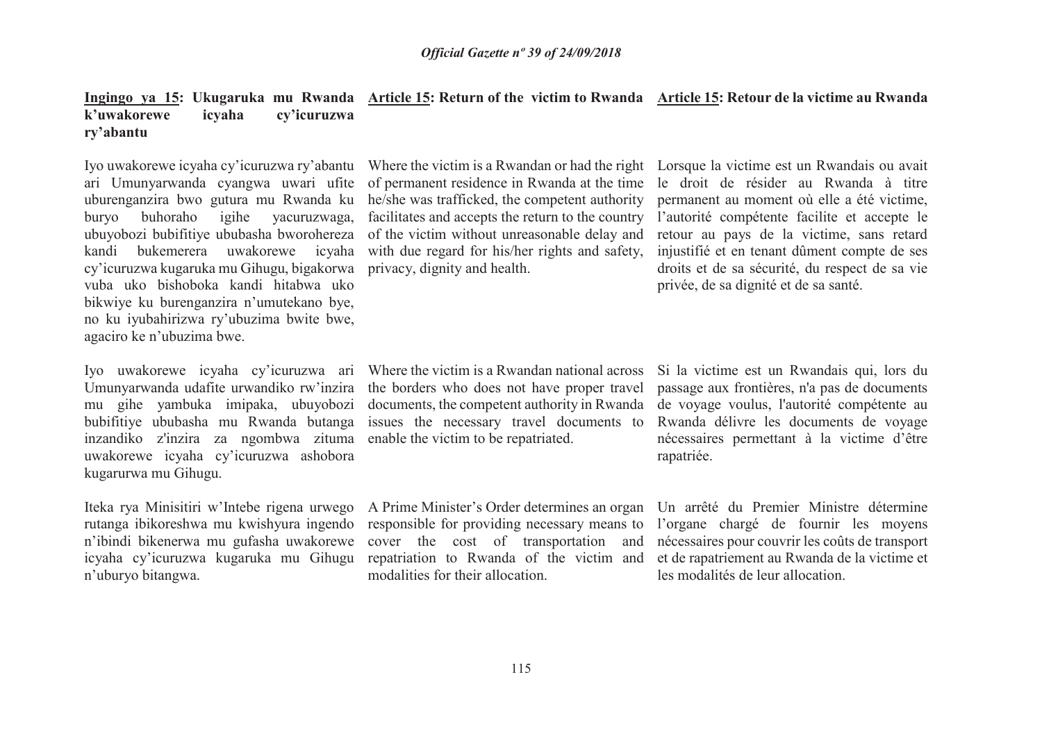### **Ingingo ya 15: Ukugaruka mu Rwanda Article 15: Return of the victim to Rwanda Article 15: Retour de la victime au Rwanda k'uwakorewe icyaha cy'icuruzwa ry'abantu**

Iyo uwakorewe icyaha cy'icuruzwa ry'abantu Where the victim is a Rwandan or had the right Lorsque la victime est un Rwandais ou avait ari Umunyarwanda cyangwa uwari ufite uburenganzira bwo gutura mu Rwanda ku buryo buhoraho igihe yacuruzwaga, kandi bukemerera uwakorewe icyaha cy'icuruzwa kugaruka mu Gihugu, bigakorwa privacy, dignity and health. vuba uko bishoboka kandi hitabwa uko bikwiye ku burenganzira n'umutekano bye, no ku iyubahirizwa ry'ubuzima bwite bwe, agaciro ke n'ubuzima bwe.

Iyo uwakorewe icyaha cy'icuruzwa ari Umunyarwanda udafite urwandiko rw'inzira mu gihe yambuka imipaka, ubuyobozi bubifitiye ububasha mu Rwanda butanga inzandiko z'inzira za ngombwa zituma enable the victim to be repatriated.uwakorewe icyaha cy'icuruzwa ashobora kugarurwa mu Gihugu.

 rutanga ibikoreshwa mu kwishyura ingendo n'ibindi bikenerwa mu gufasha uwakorewe n'uburyo bitangwa.

ubuyobozi bubifitiye ububasha bworohereza of the victim without unreasonable delay and retour au pays de la victime, sans retard of permanent residence in Rwanda at the time he/she was trafficked, the competent authority facilitates and accepts the return to the country with due regard for his/her rights and safety,

 le droit de résider au Rwanda à titre permanent au moment où elle a été victime, l'autorité compétente facilite et accepte le injustifié et en tenant dûment compte de ses droits et de sa sécurité, du respect de sa vie privée, de sa dignité et de sa santé.

Where the victim is a Rwandan national across the borders who does not have proper travel documents, the competent authority in Rwanda issues the necessary travel documents to

Iteka rya Minisitiri w'Intebe rigena urwego A Prime Minister's Order determines an organ Un arrêté du Premier Ministre détermine icyaha cy'icuruzwa kugaruka mu Gihugu repatriation to Rwanda of the victim and responsible for providing necessary means to cover the cost of transportation and modalities for their allocation.

Si la victime est un Rwandais qui, lors du passage aux frontières, n'a pas de documents de voyage voulus, l'autorité compétente au Rwanda délivre les documents de voyage nécessaires permettant à la victime d'être rapatriée.

l'organe chargé de fournir les moyens nécessaires pour couvrir les coûts de transport et de rapatriement au Rwanda de la victime et les modalités de leur allocation.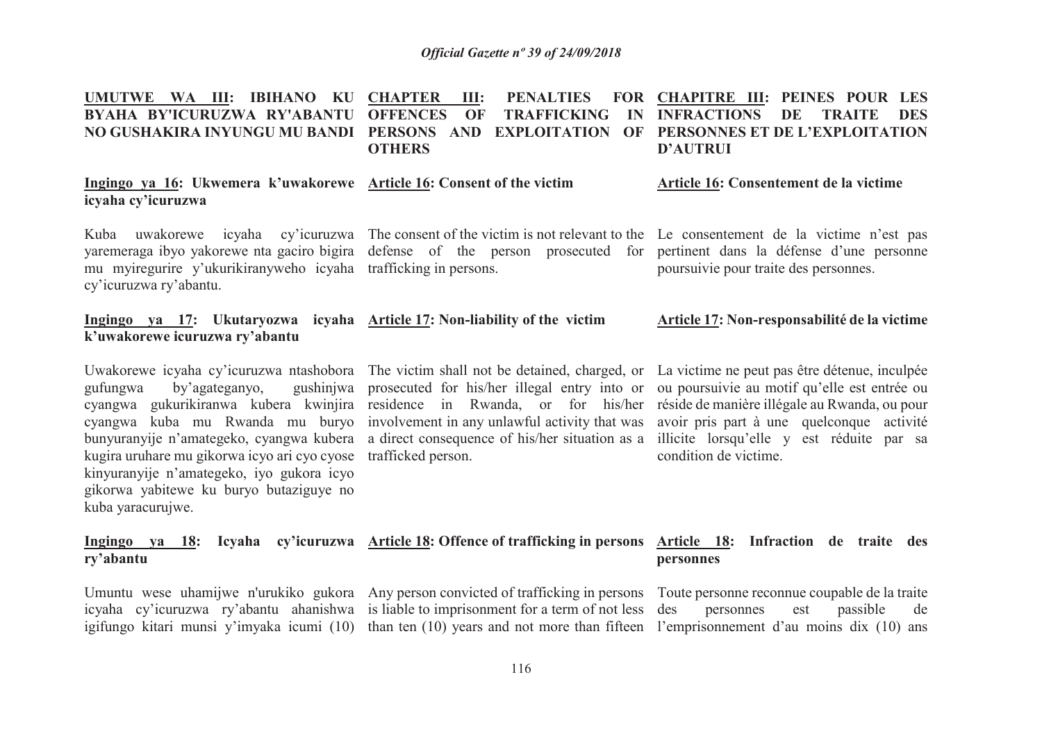#### **UMUTWE WA III: IBIHANO KU CHAPTER III: PENALTIES FOR BYAHA BY'ICURUZWA RY'ABANTU NO GUSHAKIRA INYUNGU MU BANDI PERSONS AND EXPLOITATION OF PERSONNES ET DE L'EXPLOITATION OFFENCES OF TRAFFICKING IN INFRACTIONS DE TRAITE DES OTHERSCHAPITRE III: PEINES POUR LES D'AUTRUI**

**Ingingo ya 16: Ukwemera k'uwakorewe Article 16: Consent of the victimicyaha cy'icuruzwa**

 mu myiregurire y'ukurikiranyweho icyaha trafficking in persons.cy'icuruzwa ry'abantu.

### **Ingingo ya 17: Ukutaryozwa icyaha k'uwakorewe icuruzwa ry'abantu**

gufungwa by'agateganyo, kugira uruhare mu gikorwa icyo ari cyo cyose trafficked person.kinyuranyije n'amategeko, iyo gukora icyo gikorwa yabitewe ku buryo butaziguye no kuba yaracurujwe.

### Kuba uwakorewe icyaha cy'icuruzwa The consent of the victim is not relevant to the Le consentement de la victime n'est pas yaremeraga ibyo yakorewe nta gaciro bigira defense of the person prosecuted for pertinent dans la défense d'une personne

| <b>Article 17: Non-liability of the victim</b> | Article |
|------------------------------------------------|---------|

Uwakorewe icyaha cy'icuruzwa ntashobora The victim shall not be detained, charged, or La victime ne peut pas être détenue, inculpée prosecuted for his/her illegal entry into or ou poursuivie au motif qu'elle est entrée ou cyangwa gukurikiranwa kubera kwinjira residence in Rwanda, or for his/her réside-de-manière-illégale-au-Rwanda, ou-pour cyangwa kuba mu Rwanda mu buryo involvement in any unlawful activity that was avoir pris part à une quelconque activité bunyuranyije n'amategeko, cyangwa kubera a direct consequence of his/her situation as a illicite lorsqu'elle y est réduite par sa

poursuivie pour traite des personnes.

**Article 16: Consentement de la victime**

### **Article 17: Non-responsabilité de la victime**

condition de victime.

#### **Ingingo ya 18: Icyaha cy'icuruzwa Article 18: Offence of trafficking in persons Article 18: Infraction de traite des ry'abantupersonnes**

Umuntu wese uhamijwe n'urukiko gukora Any person convicted of trafficking in persons Toute personne reconnue coupable de la traite

 icyaha cy'icuruzwa ry'abantu ahanishwa is liable to imprisonment for a term of not less igifungo kitari munsi y'imyaka icumi (10) than ten (10) years and not more than fifteen l'emprisonnement d'au moins dix (10) ans

des personnes est passible de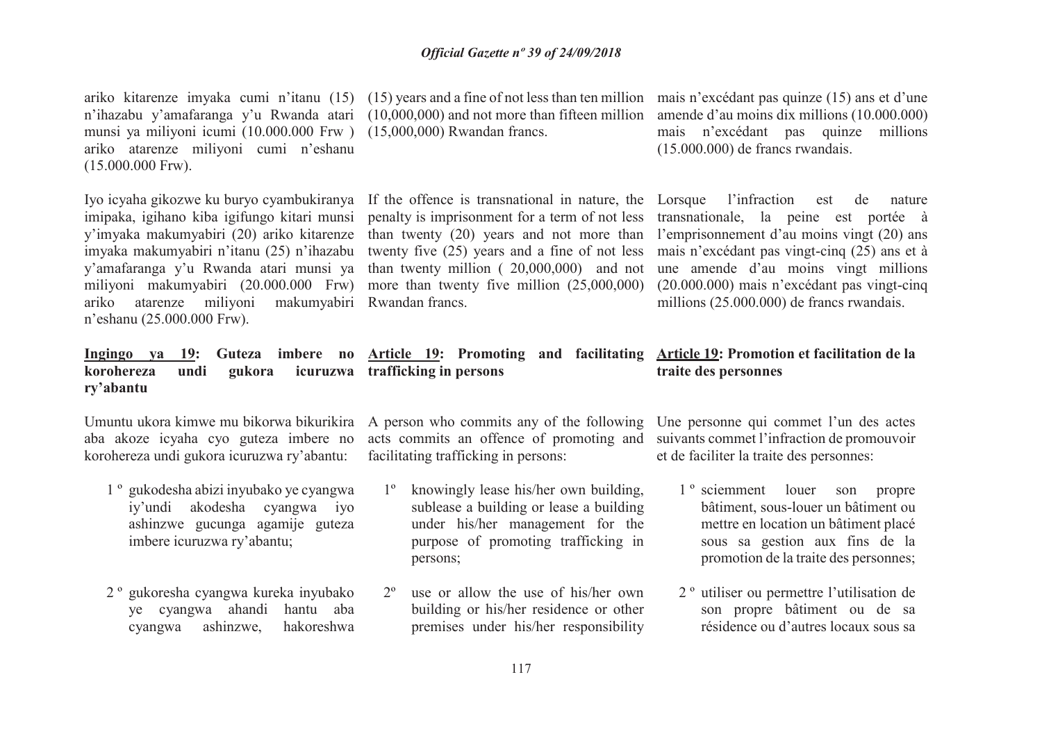n'ihazabu y'amafaranga y'u Rwanda atari (10,000,000) and not more than fifteen million amende d'au moins dix millions (10.000.000) munsi ya miliyoni icumi (10.000.000 Frw ) (15,000,000) Rwandan francs. ariko atarenze miliyoni cumi n'eshanu (15.000.000 Frw).

 y'imyaka makumyabiri (20) ariko kitarenze than twenty (20) years and not more than l'emprisonnement d'au moins vingt (20) ans y'amafaranga y'u Rwanda atari munsi ya than twenty million ( 20,000,000) and not une amende d'au moins vingt millions miliyoni makumyabiri (20.000.000 Frw) more than twenty five million (25,000,000) (20.000.000) mais n'excédant pas vingt-cinq ariko atarenze miliyoni makumyabiri Rwandan francs.n'eshanu (25.000.000 Frw).

### **korohereza undi gukora icuruzwa trafficking in personsry'abantu**

 aba akoze icyaha cyo guteza imbere no korohereza undi gukora icuruzwa ry'abantu:

- 1 º gukodesha abizi inyubako ye cyangwa iy'undi akodesha cyangwa iyo ashinzwe gucunga agamije guteza imbere icuruzwa ry'abantu;
- 2 º gukoresha cyangwa kureka inyubako ye cyangwa ahandi hantu aba cyangwa ashinzwe, hakoreshwa

Iyo icyaha gikozwe ku buryo cyambukiranya If the offence is transnational in nature, the Lorsque l'infraction est de nature imipaka, igihano kiba igifungo kitari munsi penalty is imprisonment for a term of not less transnationale, la peine est portée à imyaka makumyabiri n'itanu (25) n'ihazabu twenty five (25) years and a fine of not less mais n'excédant pas vingt-cinq (25) ans et à

# **Ingingo ya 19: Guteza imbere no Article 19: Promoting and facilitating Article 19: Promotion et facilitation de la**

Umuntu ukora kimwe mu bikorwa bikurikira A person who commits any of the following Une personne qui commet l'un des actes acts commits an offence of promoting and suivants commet l'infraction de promouvoir facilitating trafficking in persons:

- 1º knowingly lease his/her own building, sublease a building or lease a building under his/her management for the purpose of promoting trafficking in persons;
- $2^{\circ}$  use or allow the use of his/her own building or his/her residence or other premises under his/her responsibility

ariko kitarenze imyaka cumi n'itanu (15) (15) years and a fine of not less than ten million mais n'excédant pas quinze (15) ans et d'une mais n'excédant pas quinze millions (15.000.000) de francs rwandais.

millions (25.000.000) de francs rwandais.

## **traite des personnes**

et de faciliter la traite des personnes:

- 1 º sciemment louer son propre bâtiment, sous-louer un bâtiment ou mettre en location un bâtiment placé sous sa gestion aux fins de la promotion de la traite des personnes;
- 2 º utiliser ou permettre l'utilisation de son propre bâtiment ou de sa résidence ou d'autres locaux sous sa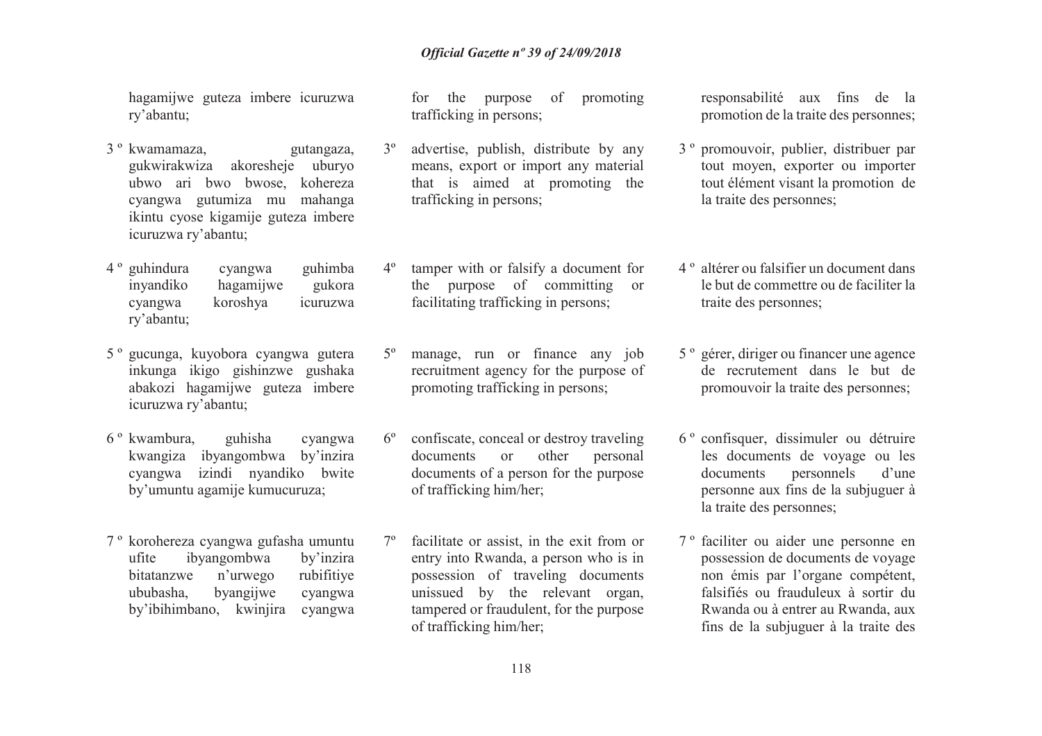hagamijwe guteza imbere icuruzwa ry'abantu;

- 3 º kwamamaza, gutangaza, gukwirakwiza akoresheje uburyo ubwo ari bwo bwose, kohereza cyangwa gutumiza mu mahanga ikintu cyose kigamije guteza imbere icuruzwa ry'abantu;
- 4 º guhindura cyangwa guhimba inyandiko hagamijwe gukora cyangwa koroshya icuruzwa ry'abantu;
- 5 º gucunga, kuyobora cyangwa gutera inkunga ikigo gishinzwe gushaka abakozi hagamijwe guteza imbere icuruzwa ry'abantu;
- 6 º kwambura, guhisha cyangwa kwangiza ibyangombwa by'inzira cyangwa izindi nyandiko bwite by'umuntu agamije kumucuruza;
- 7 º korohereza cyangwa gufasha umuntu ufite ibyangombwa by'inzira bitatanzwe n'urwego rubifitiye cyangwa ububasha, byangijwe by'ibihimbano, kwinjira cyangwa

for the purpose of promoting trafficking in persons;

- 3º advertise, publish, distribute by any means, export or import any material that is aimed at promoting the trafficking in persons;
- 4º tamper with or falsify a document for the purpose of committing or facilitating trafficking in persons;
- 5º manage, run or finance any job recruitment agency for the purpose of promoting trafficking in persons;
- 6º confiscate, conceal or destroy traveling documents or other personal documents of a person for the purpose of trafficking him/her;
- 7º facilitate or assist, in the exit from or entry into Rwanda, a person who is in possession of traveling documents unissued by the relevant organ, tampered or fraudulent, for the purpose of trafficking him/her;

responsabilité aux fins de la promotion de la traite des personnes;

- 3 º promouvoir, publier, distribuer par tout moyen, exporter ou importer tout élément visant la promotion de la traite des personnes;
- 4 º altérer ou falsifier un document dans le but de commettre ou de faciliter la traite des personnes;
- 5 º gérer, diriger ou financer une agence de recrutement dans le but de promouvoir la traite des personnes;
- 6 º confisquer, dissimuler ou détruire les documents de voyage ou les documents personnels d'une personne aux fins de la subjuguer à la traite des personnes;
- 7 º faciliter ou aider une personne en possession de documents de voyage non émis par l'organe compétent, falsifiés ou frauduleux à sortir du Rwanda ou à entrer au Rwanda, aux fins de la subjuguer à la traite des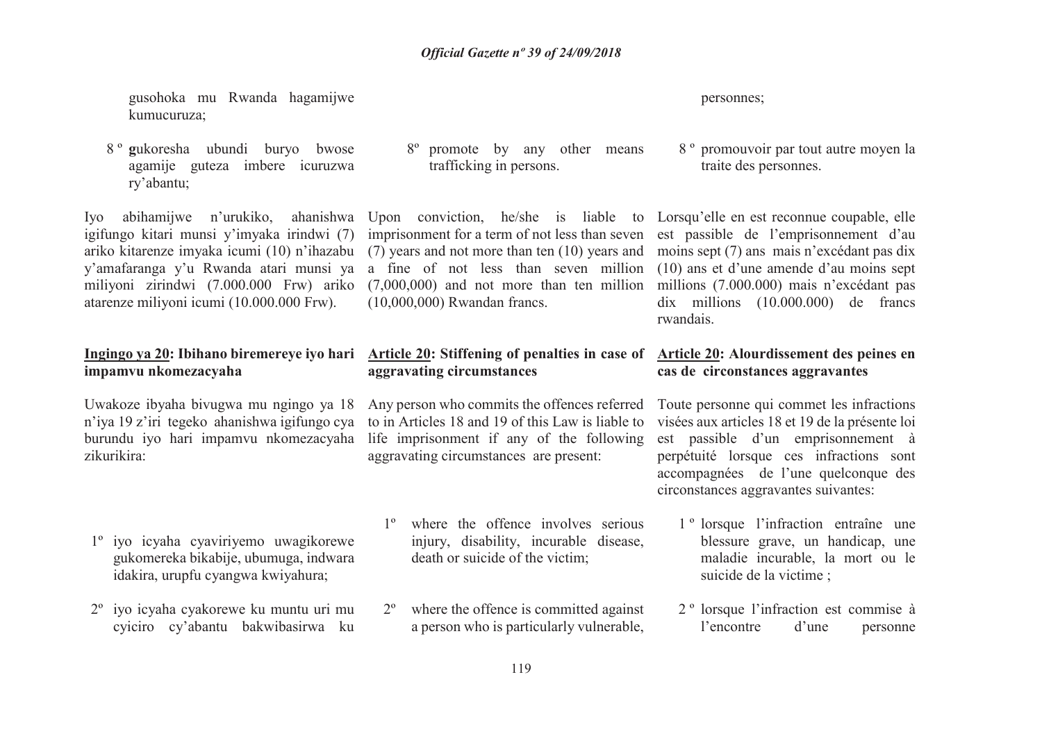gusohoka mu Rwanda hagamijwe kumucuruza;

8 º **<sup>g</sup>**ukoresha ubundi buryo bwose agamije guteza imbere icuruzwa ry'abantu;

Iyo abihamijwe n'urukiko, ahanishwa Upon conviction, he/she is liable to Lorsqu'elle en est reconnue coupable, elle igifungo kitari munsi y'imyaka irindwi (7) ariko kitarenze imyaka icumi (10) n'ihazabu y'amafaranga y'u Rwanda atari munsi ya a fine of not less than seven million (10) ans et d'une amende d'au moins sept miliyoni zirindwi (7.000.000 Frw) ariko atarenze miliyoni icumi (10.000.000 Frw).

## **impamvu nkomezacyaha**

Uwakoze ibyaha bivugwa mu ngingo ya 18 n'iya 19 z'iri tegeko ahanishwa igifungo cya zikurikira:

- 1º iyo icyaha cyaviriyemo uwagikorewe gukomereka bikabije, ubumuga, indwara idakira, urupfu cyangwa kwiyahura;
- 2º iyo icyaha cyakorewe ku muntu uri mu cyiciro cy'abantu bakwibasirwa ku

8º promote by any other means trafficking in persons.

 imprisonment for a term of not less than seven est passible de l'emprisonnement d'au (7) years and not more than ten (10) years and moins sept (7) ans mais n'excédant pas dix (7,000,000) and not more than ten million millions (7.000.000) mais n'excédant pas (10,000,000) Rwandan francs.

### **Ingingo ya 20: Ibihano biremereye iyo hari Article 20: Stiffening of penalties in case of Article 20: Alourdissement des peines en aggravating circumstances**

 burundu iyo hari impamvu nkomezacyaha life imprisonment if any of the following Any person who commits the offences referred Toute personne qui commet les infractions to in Articles 18 and 19 of this Law is liable to aggravating circumstances are present:

- 1º where the offence involves serious injury, disability, incurable disease, death or suicide of the victim;
- 2º where the offence is committed against a person who is particularly vulnerable,

personnes;

8 º promouvoir par tout autre moyen la traite des personnes.

 dix millions (10.000.000) de francs rwandais.

### **cas de circonstances aggravantes**

 visées aux articles 18 et 19 de la présente loi est passible d'un emprisonnement à perpétuité lorsque ces infractions sont accompagnées de l'une quelconque des circonstances aggravantes suivantes:

- 1 º lorsque l'infraction entraîne une blessure grave, un handicap, une maladie incurable, la mort ou le suicide de la victime ;
- 2 º lorsque l'infraction est commise à l'encontre d'une personne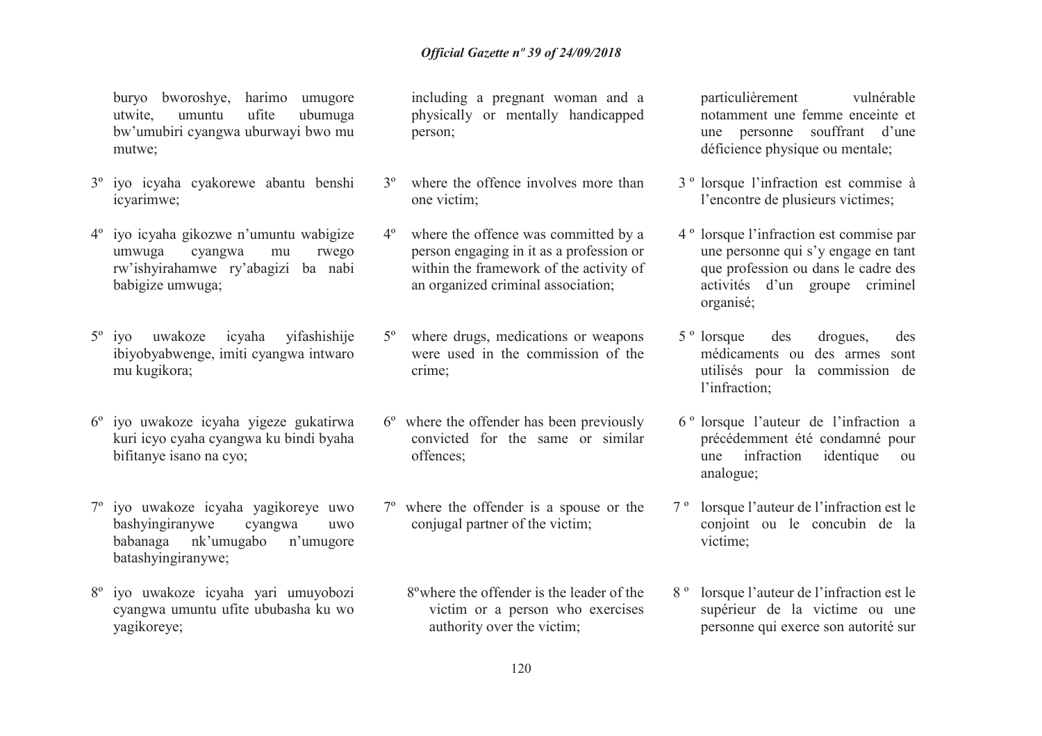buryo bworoshye, harimo umugore utwite, umuntu ufite ubumuga bw'umubiri cyangwa uburwayi bwo mu mutwe;

- 3º iyo icyaha cyakorewe abantu benshi icyarimwe;
- 4º iyo icyaha gikozwe n'umuntu wabigize umwuga cyangwa mu rwego rw'ishyirahamwe ry'abagizi ba nabi babigize umwuga;
- 5<sup>°</sup> iyo uwakoze icyaha yifashishije ibiyobyabwenge, imiti cyangwa intwaro mu kugikora;
- 6º iyo uwakoze icyaha yigeze gukatirwa kuri icyo cyaha cyangwa ku bindi byaha bifitanye isano na cyo;
- 7º iyo uwakoze icyaha yagikoreye uwo bashyingiranywe cyangwa uwo babanaga nk'umugabo n'umugore batashyingiranywe;
- 8º iyo uwakoze icyaha yari umuyobozi cyangwa umuntu ufite ububasha ku wo yagikoreye;

including a pregnant woman and a physically or mentally handicapped person;

- 3ºwhere the offence involves more than one victim;
- 4º where the offence was committed by a person engaging in it as a profession or within the framework of the activity of an organized criminal association;
- 5º where drugs, medications or weapons were used in the commission of the crime;
- 6º where the offender has been previously convicted for the same or similar offences;
- 7º where the offender is a spouse or the conjugal partner of the victim;
	- 8ºwhere the offender is the leader of the victim or a person who exercises authority over the victim;

particulièrement vulnérable notamment une femme enceinte et une personne souffrant d'une déficience physique ou mentale;

- 3 º lorsque l'infraction est commise à l'encontre de plusieurs victimes;
- 4 º lorsque l'infraction est commise par une personne qui s'y engage en tant que profession ou dans le cadre des activités d'un groupe criminel organisé;
- 5 º lorsque des drogues, des médicaments ou des armes sont utilisés pour la commission de l'infraction;
- 6 º lorsque l'auteur de l'infraction a précédemment été condamné pour une infraction identique ou analogue;
- 7 º lorsque l'auteur de l'infraction est le conjoint ou le concubin de la victime;
- 8 º lorsque l'auteur de l'infraction est le supérieur de la victime ou une personne qui exerce son autorité sur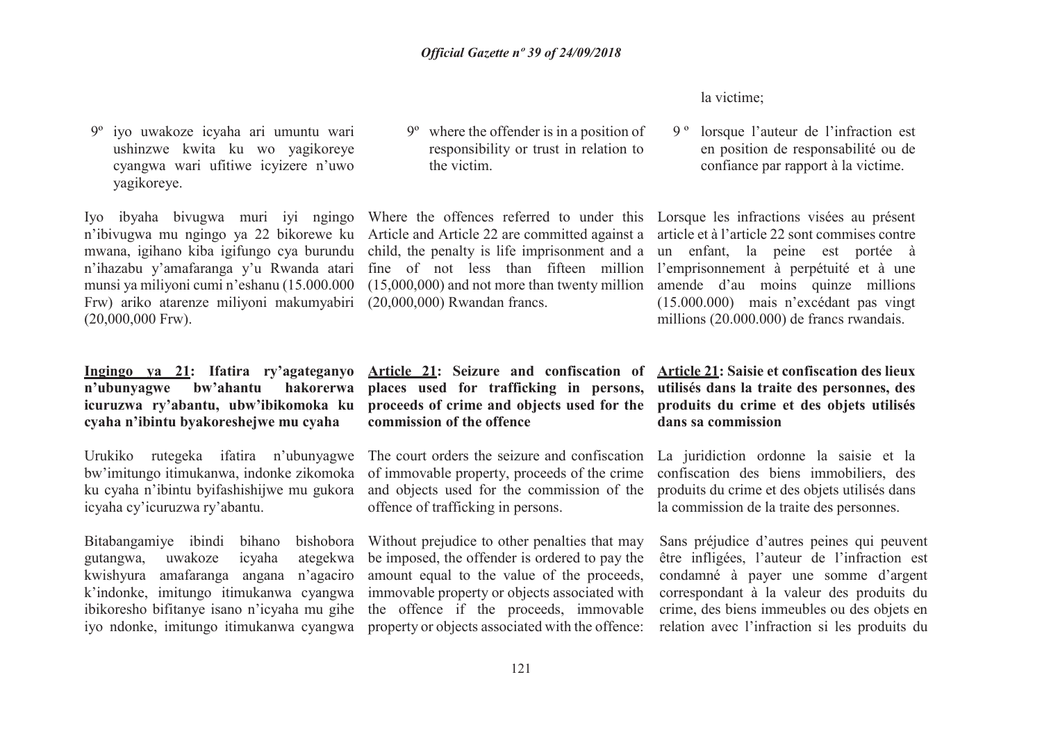#### la victime;

9 º lorsque l'auteur de l'infraction est en position de responsabilité ou de confiance par rapport à la victime.

 (15.000.000) mais n'excédant pas vingt millions (20.000.000) de francs rwandais.

# **utilisés dans la traite des personnes, des dans sa commission**

La juridiction ordonne la saisie et la confiscation des biens immobiliers, des la commission de la traite des personnes.

Sans préjudice d'autres peines qui peuvent être infligées, l'auteur de l'infraction est condamné à payer une somme d'argent correspondant à la valeur des produits du crime, des biens immeubles ou des objets en relation avec l'infraction si les produits du

9º iyo uwakoze icyaha ari umuntu wari ushinzwe kwita ku wo yagikoreye cyangwa wari ufitiwe icyizere n'uwo yagikoreye.

Iyo ibyaha bivugwa muri iyi ngingo Where the offences referred to under this Lorsque les infractions visées au présent n'ibivugwa mu ngingo ya 22 bikorewe ku Article and Article 22 are committed against a article et à l'article 22 sont commises contre mwana, igihano kiba igifungo cya burundu n'ihazabu y'amafaranga y'u Rwanda atari munsi ya miliyoni cumi n'eshanu (15.000.000 Frw) ariko atarenze miliyoni makumyabiri (20,000,000) Rwandan francs.(20,000,000 Frw).

### **Ingingo ya 21: Ifatira ry'agateganyo n'ubunyagwe bw'ahantu hakorerwa icuruzwa ry'abantu, ubw'ibikomoka ku cyaha n'ibintu byakoreshejwe mu cyaha**

Urukiko rutegeka ifatira n'ubunyagwe bw'imitungo itimukanwa, indonke zikomoka ku cyaha n'ibintu byifashishijwe mu gukora icyaha cy'icuruzwa ry'abantu.

Bitabangamiye ibindi bihano gutangwa,kwishyura amafaranga angana n'agaciro k'indonke, imitungo itimukanwa cyangwa iyo ndonke, imitungo itimukanwa cyangwa property or objects associated with the offence:

9º where the offender is in a position of responsibility or trust in relation to the victim.

child, the penalty is life imprisonment and a un enfant, la peine est portée à fine of not less than fifteen million l'emprisonnement à perpétuité et à une (15,000,000) and not more than twenty million amende d'au moins quinze millions

**Article 21: Seizure and confiscation of Article 21: Saisie et confiscation des lieux places used for trafficking in persons, proceeds of crime and objects used for the produits du crime et des objets utilisés commission of the offence**

The court orders the seizure and confiscation of immovable property, proceeds of the crime and objects used for the commission of the produits du crime et des objets utilisés dans offence of trafficking in persons.

 uwakoze icyaha ategekwa be imposed, the offender is ordered to pay the ibikoresho bifitanye isano n'icyaha mu gihe the offence if the proceeds, immovable bishobora Without prejudice to other penalties that may amount equal to the value of the proceeds, immovable property or objects associated with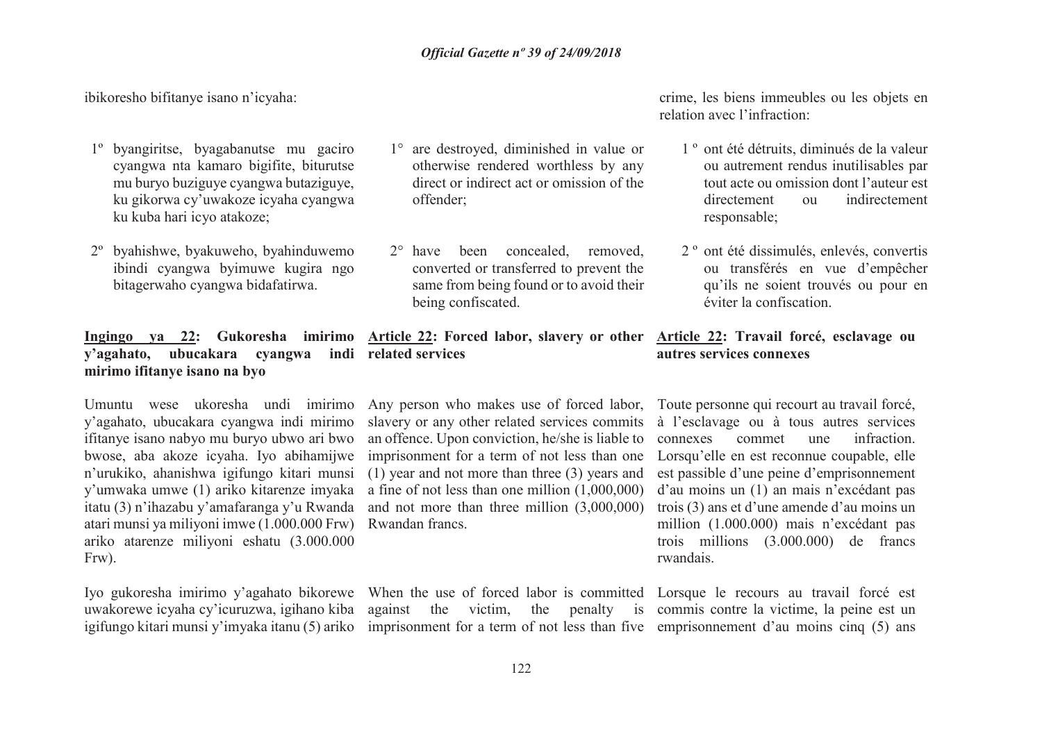ibikoresho bifitanye isano n'icyaha:

- 1º byangiritse, byagabanutse mu gaciro cyangwa nta kamaro bigifite, biturutse mu buryo buziguye cyangwa butaziguye, ku gikorwa cy'uwakoze icyaha cyangwa ku kuba hari icyo atakoze;
- 2º byahishwe, byakuweho, byahinduwemo ibindi cyangwa byimuwe kugira ngo bitagerwaho cyangwa bidafatirwa.

### **y'agahato, ubucakara cyangwa indi related servicesmirimo ifitanye isano na byo**

 y'agahato, ubucakara cyangwa indi mirimo ifitanye isano nabyo mu buryo ubwo ari bwo bwose, aba akoze icyaha. Iyo abihamijwe n'urukiko, ahanishwa igifungo kitari munsi atari munsi ya miliyoni imwe (1.000.000 Frw) Rwandan francs. ariko atarenze miliyoni eshatu (3.000.000 Frw).

igifungo kitari munsi y'imyaka itanu (5) ariko imprisonment for a term of not less than five emprisonnement d'au moins cinq (5) ans

- 1° are destroyed, diminished in value or otherwise rendered worthless by any direct or indirect act or omission of the offender;
- 2° have been concealed, removed, converted or transferred to prevent the same from being found or to avoid their being confiscated.

### **Ingingo ya 22: Gukoresha imirimo Article 22: Forced labor, slavery or other Article 22: Travail forcé, esclavage ou**

Umuntu wese ukoresha undi imirimo Any person who makes use of forced labor, Toute personne qui recourt au travail forcé, y'umwaka umwe (1) ariko kitarenze imyaka a fine of not less than one million (1,000,000) itatu (3) n'ihazabu y'amafaranga y'u Rwanda and not more than three million (3,000,000) slavery or any other related services commits à l'esclavage ou à tous autres services an offence. Upon conviction, he/she is liable to imprisonment for a term of not less than one (1) year and not more than three (3) years and

Iyo gukoresha imirimo y'agahato bikorewe When the use of forced labor is committed Lorsque le recours au travail forcé est uwakorewe icyaha cy'icuruzwa, igihano kiba against the victim, the penalty is commis contre la victime, la peine est un

crime, les biens immeubles ou les objets en relation avec l'infraction:

- 1 º ont été détruits, diminués de la valeur ou autrement rendus inutilisables par tout acte ou omission dont l'auteur est directement ou indirectement responsable;
- 2 º ont été dissimulés, enlevés, convertis ou transférés en vue d'empêcher qu'ils ne soient trouvés ou pour en éviter la confiscation.

### **autres services connexes**

connexes commet une infraction. Lorsqu'elle en est reconnue coupable, elle est passible d'une peine d'emprisonnement d'au moins un (1) an mais n'excédant pas trois (3) ans et d'une amende d'au moins un million (1.000.000) mais n'excédant pas trois millions (3.000.000) de francs rwandais.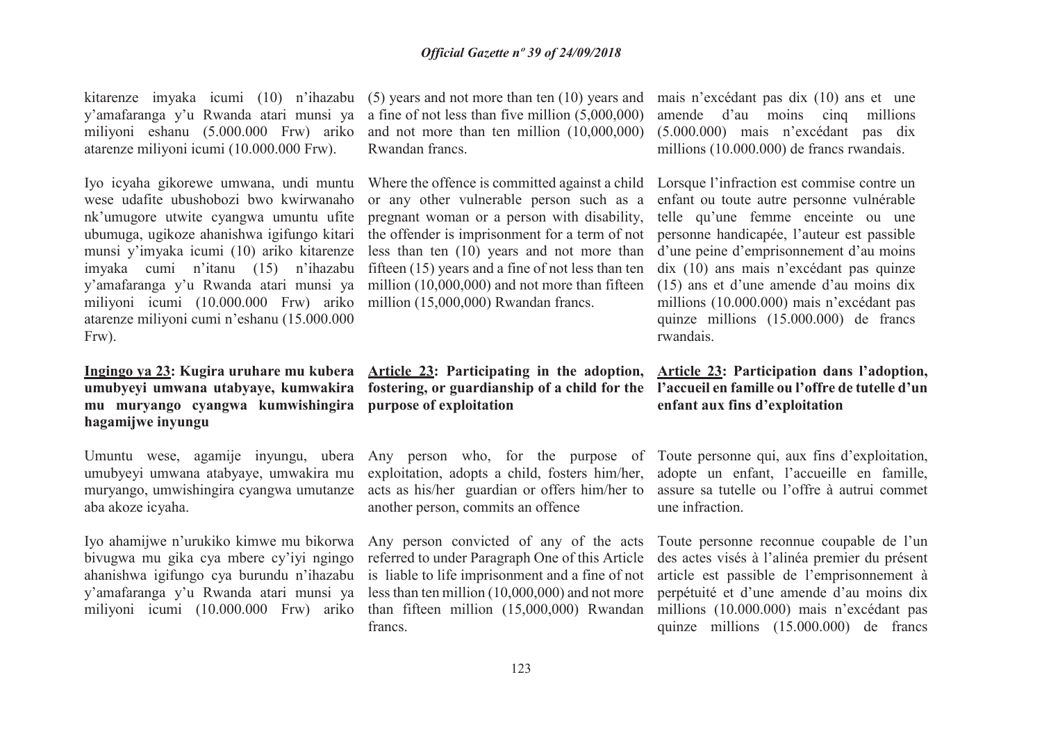kitarenze imyaka icumi (10) n'ihazabu (5) years and not more than ten (10) years and mais n'excédant pas dix (10) ans et une miliyoni eshanu (5.000.000 Frw) ariko atarenze miliyoni icumi (10.000.000 Frw).

 wese udafite ubushobozi bwo kwirwanaho nk'umugore utwite cyangwa umuntu ufite munsi y'imyaka icumi (10) ariko kitarenze imyaka cumi n'itanu (15) n'ihazabu miliyoni icumi (10.000.000 Frw) ariko million (15,000,000) Rwandan francs. atarenze miliyoni cumi n'eshanu (15.000.000 Frw).

# **mu muryango cyangwa kumwishingira purpose of exploitationhagamijwe inyungu**

 umubyeyi umwana atabyaye, umwakira mu muryango, umwishingira cyangwa umutanze aba akoze icyaha.

Iyo ahamijwe n'urukiko kimwe mu bikorwa Any person convicted of any of the acts y'amafaranga y'u Rwanda atari munsi ya

 y'amafaranga y'u Rwanda atari munsi ya a fine of not less than five million (5,000,000) and not more than ten million (10,000,000) Rwandan francs.

Iyo icyaha gikorewe umwana, undi muntu Where the offence is committed against a child Lorsque l'infraction est commise contre un ubumuga, ugikoze ahanishwa igifungo kitari the offender is imprisonment for a term of not personne handicapée, l'auteur est passible y'amafaranga y'u Rwanda atari munsi ya million (10,000,000) and not more than fifteen (15) ans et d'une amende d'au moins dix or any other vulnerable person such as a enfant ou toute autre personne vulnérable pregnant woman or a person with disability, telle qu'une femme enceinte ou une less than ten (10) years and not more than d'une peine d'emprisonnement d'au moins fifteen (15) years and a fine of not less than ten

### **Ingingo ya 23: Kugira uruhare mu kubera Article 23: Participating in the adoption, Article 23: Participation dans l'adoption, umubyeyi umwana utabyaye, kumwakira fostering, or guardianship of a child for the l'accueil en famille ou l'offre de tutelle d'un**

 exploitation, adopts a child, fosters him/her, adopte un enfant, l'accueille en famille, acts as his/her guardian or offers him/her to assure sa tutelle ou l'offre à autrui commet another person, commits an offence

 bivugwa mu gika cya mbere cy'iyi ngingo referred to under Paragraph One of this Article francs.

 amende d'au moins cinq millions (5.000.000) mais n'excédant pas dix millions (10.000.000) de francs rwandais.

 dix (10) ans mais n'excédant pas quinze millions (10.000.000) mais n'excédant pas quinze millions (15.000.000) de francs rwandais.

# **enfant aux fins d'exploitation**

Umuntu wese, agamije inyungu, ubera Any person who, for the purpose of Toute personne qui, aux fins d'exploitation, une infraction.

ahanishwa igifungo cya burundu n'ihazabu is liable to life imprisonment and a fine of not article est passible de l'emprisonnement à miliyoni icumi (10.000.000 Frw) ariko than fifteen million (15,000,000) Rwandan millions (10.000.000) mais n'excédant pas less than ten million (10,000,000) and not more perpétuité et d'une amende d'au moins dix Toute personne reconnue coupable de l'un des actes visés à l'alinéa premier du présent quinze millions (15.000.000) de francs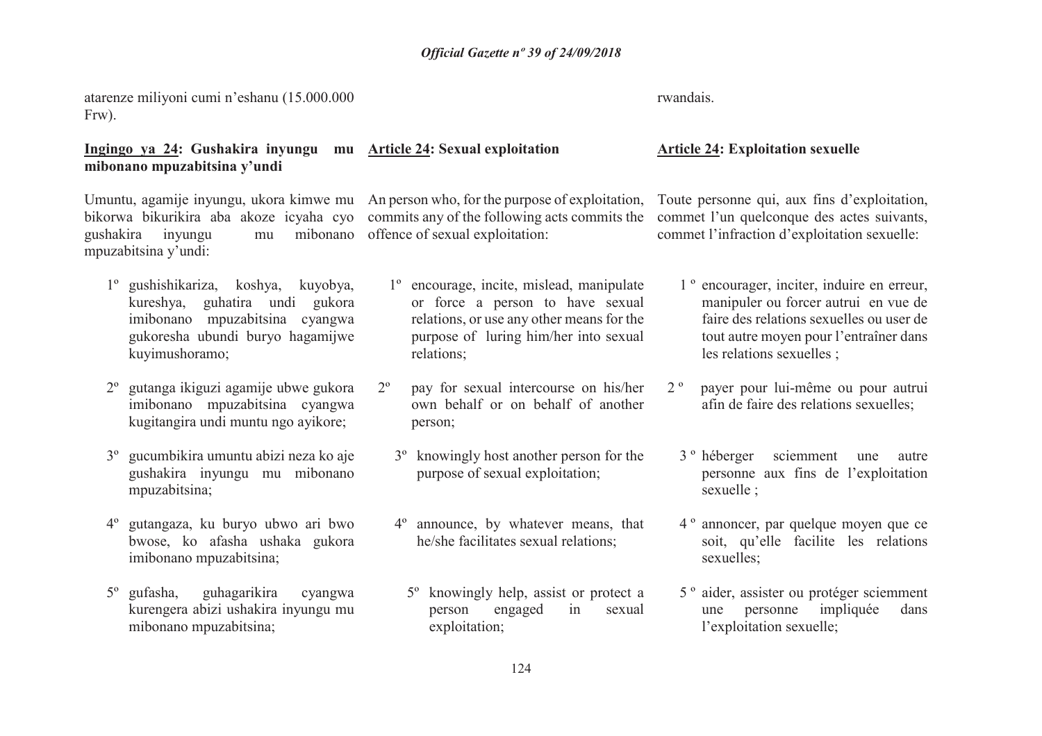### atarenze miliyoni cumi n'eshanu (15.000.000 Frw).

### **Ingingo ya 24: Gushakira inyungu mu Article 24: Sexual exploitation mibonano mpuzabitsina y'undi**

gushakira inyungu mpuzabitsina y'undi:

- 1º gushishikariza, koshya, kuyobya, kureshya, guhatira undi gukora imibonano mpuzabitsina cyangwa gukoresha ubundi buryo hagamijwe kuyimushoramo;
- 2º gutanga ikiguzi agamije ubwe gukora imibonano mpuzabitsina cyangwa kugitangira undi muntu ngo ayikore;
- 3º gucumbikira umuntu abizi neza ko aje gushakira inyungu mu mibonano mpuzabitsina;
- 4º gutangaza, ku buryo ubwo ari bwo bwose, ko afasha ushaka gukora imibonano mpuzabitsina;
- 5º gufasha, guhagarikira cyangwa kurengera abizi ushakira inyungu mu mibonano mpuzabitsina;

Umuntu, agamije inyungu, ukora kimwe mu An person who, for the purpose of exploitation, Toute personne qui, aux fins d'exploitation, bikorwa bikurikira aba akoze icyaha cyo commits any of the following acts commits the commet l'un quelconque des actes suivants, offence of sexual exploitation:

- 1º encourage, incite, mislead, manipulate or force a person to have sexual relations, or use any other means for the purpose of luring him/her into sexual relations;
- 2º pay for sexual intercourse on his/her own behalf or on behalf of another person;
	- 3º knowingly host another person for the purpose of sexual exploitation;
	- 4º announce, by whatever means, that he/she facilitates sexual relations;
		- 5º knowingly help, assist or protect a person engaged in sexual exploitation;

rwandais.

### **Article 24: Exploitation sexuelle**

commet l'infraction d'exploitation sexuelle:

- 1 º encourager, inciter, induire en erreur, manipuler ou forcer autrui en vue de faire des relations sexuelles ou user de tout autre moyen pour l'entraîner dans les relations sexuelles ;
- 2 º payer pour lui-même ou pour autrui afin de faire des relations sexuelles;
	- 3 º héberger sciemment une autre personne aux fins de l'exploitation sexuelle ;
	- 4 º annoncer, par quelque moyen que ce soit, qu'elle facilite les relations sexuelles;
	- 5 º aider, assister ou protéger sciemment une personne impliquée dans l'exploitation sexuelle;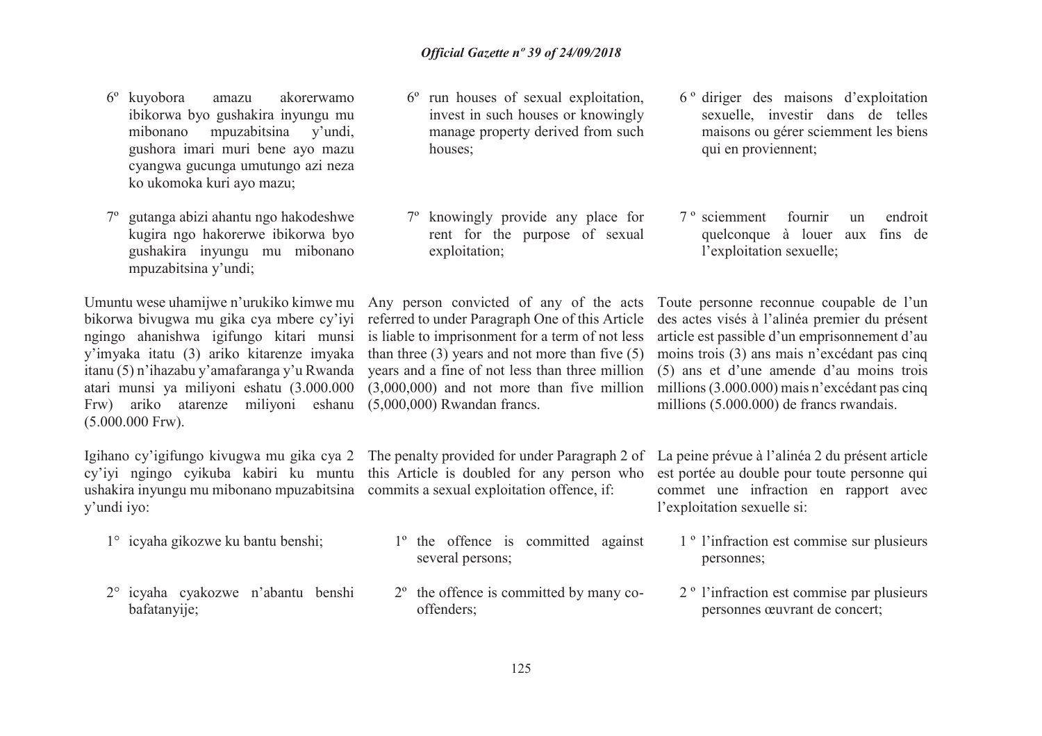- 6º kuyobora amazu akorerwamo ibikorwa byo gushakira inyungu mu mibonano mpuzabitsina y'undi, gushora imari muri bene ayo mazu cyangwa gucunga umutungo azi neza ko ukomoka kuri ayo mazu;
- 7º gutanga abizi ahantu ngo hakodeshwe kugira ngo hakorerwe ibikorwa byo gushakira inyungu mu mibonano mpuzabitsina y'undi;

 Frw) ariko atarenze miliyoni eshanu (5,000,000) Rwandan francs.(5.000.000 Frw).

Igihano cy'igifungo kivugwa mu gika cya 2 The penalty provided for under Paragraph 2 of La peine prévue à l'alinéa 2 du présent article ushakira inyungu mu mibonano mpuzabitsina commits a sexual exploitation offence, if: y'undi iyo:

- 1° icyaha gikozwe ku bantu benshi;
- 2° icyaha cyakozwe n'abantu benshi bafatanyije;
- 6º run houses of sexual exploitation, invest in such houses or knowingly manage property derived from such houses;
- 7º knowingly provide any place for rent for the purpose of sexual exploitation;

 bikorwa bivugwa mu gika cya mbere cy'iyi referred to under Paragraph One of this Article ngingo ahanishwa igifungo kitari munsi is liable to imprisonment for a term of not less article est passible d'un emprisonnement d'au y'imyaka itatu (3) ariko kitarenze imyaka than three (3) years and not more than five (5) moins trois (3) ans mais n'excédant pas cinq itanu (5) n'ihazabu y'amafaranga y'u Rwanda years and a fine of not less than three million (5) ans et d'une amende d'au moins trois atari munsi ya miliyoni eshatu (3.000.000 (3,000,000) and not more than five million millions (3.000.000) mais n'excédant pas cinq

cy'iyi ngingo cyikuba kabiri ku muntu this Article is doubled for any person who

- 1º the offence is committed against several persons;
- 2º the offence is committed by many cooffenders;
- 6 º diriger des maisons d'exploitation sexuelle, investir dans de telles maisons ou gérer sciemment les biens qui en proviennent;
- 7 º sciemment fournir un endroit quelconque à louer aux fins de l'exploitation sexuelle;

Umuntu wese uhamijwe n'urukiko kimwe mu Any person convicted of any of the acts Toute personne reconnue coupable de l'un des actes visés à l'alinéa premier du présent millions (5.000.000) de francs rwandais.

> est portée au double pour toute personne qui commet une infraction en rapport avec l'exploitation sexuelle si:

- 1 º l'infraction est commise sur plusieurs personnes;
- 2 º l'infraction est commise par plusieurs personnes œuvrant de concert;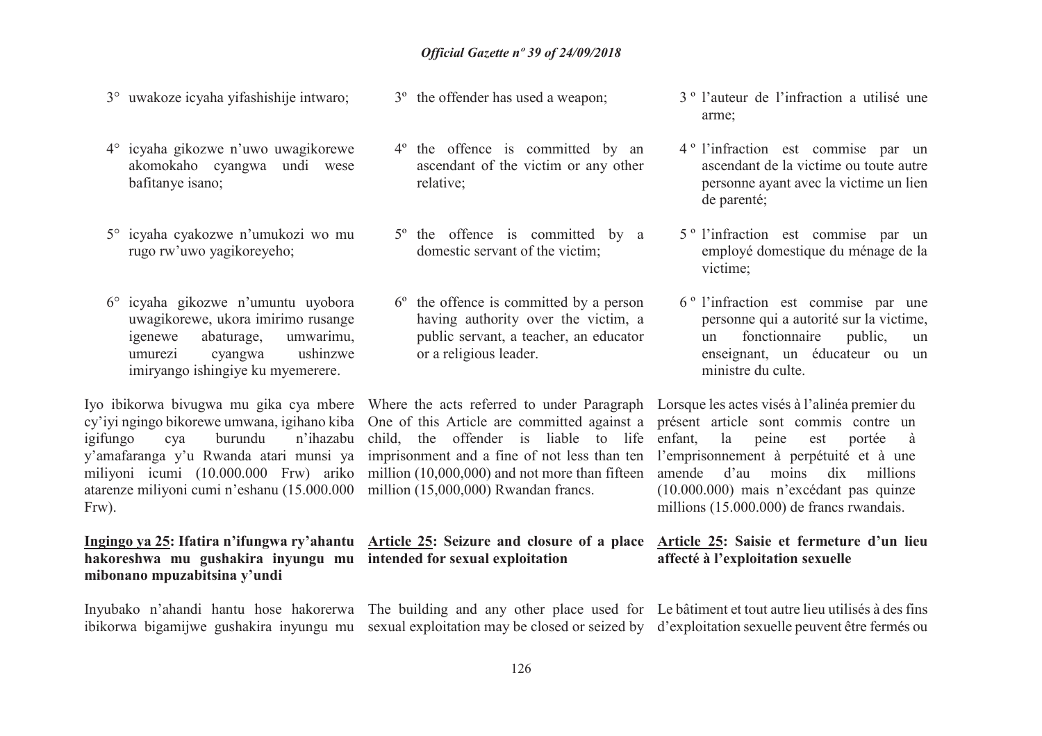- 3° uwakoze icyaha yifashishije intwaro;
- 4° icyaha gikozwe n'uwo uwagikorewe akomokaho cyangwa undi wese bafitanye isano;
- 5° icyaha cyakozwe n'umukozi wo mu rugo rw'uwo yagikoreyeho;
- 6° icyaha gikozwe n'umuntu uyobora uwagikorewe, ukora imirimo rusange umwarimu, igenewe abaturage,umurezi cyangwa ushinzwe imiryango ishingiye ku myemerere.

 cy'iyi ngingo bikorewe umwana, igihano kiba One of this Article are committed against a présent article sont commis contre un igifungo cya burunduy'amafaranga y'u Rwanda atari munsi ya imprisonment and a fine of not less than ten l'emprisonnement à perpétuité et à une miliyoni icumi (10.000.000 Frw) ariko million (10,000,000) and not more than fifteen amende d'au moins dix millions atarenze miliyoni cumi n'eshanu (15.000.000 million (15,000,000) Rwandan francs. Frw).

### **hakoreshwa mu gushakira inyungu mu intended for sexual exploitation mibonano mpuzabitsina y'undi**

- 3º the offender has used a weapon;
- 4º the offence is committed by an ascendant of the victim or any other relative;
- 5º the offence is committed by a domestic servant of the victim;
- 6º the offence is committed by a person having authority over the victim, a public servant, a teacher, an educator or a religious leader.

Iyo ibikorwa bivugwa mu gika cya mbere Where the acts referred to under Paragraph Lorsque les actes visés à l'alinéa premier du <sup>n</sup>'ihazabu child, the offender is liable to life

# **Ingingo ya 25: Ifatira n'ifungwa ry'ahantu Article 25: Seizure and closure of a place Article 25: Saisie et fermeture d'un lieu**

- 3 º l'auteur de l'infraction a utilisé une arme;
- 4 º l'infraction est commise par un ascendant de la victime ou toute autre personne ayant avec la victime un lien de parenté;
- 5 º l'infraction est commise par un employé domestique du ménage de la victime;
- 6 º l'infraction est commise par une personne qui a autorité sur la victime, un fonctionnaire public, un enseignant, un éducateur ou un ministre du culte.

 enfant, la peine est portée à (10.000.000) mais n'excédant pas quinze millions (15.000.000) de francs rwandais.

# **affecté à l'exploitation sexuelle**

Inyubako n'ahandi hantu hose hakorerwa The building and any other place used for Le bâtiment et tout autre lieu utilisés à des fins ibikorwa bigamijwe gushakira inyungu mu sexual exploitation may be closed or seized by d'exploitation sexuelle peuvent être fermés ou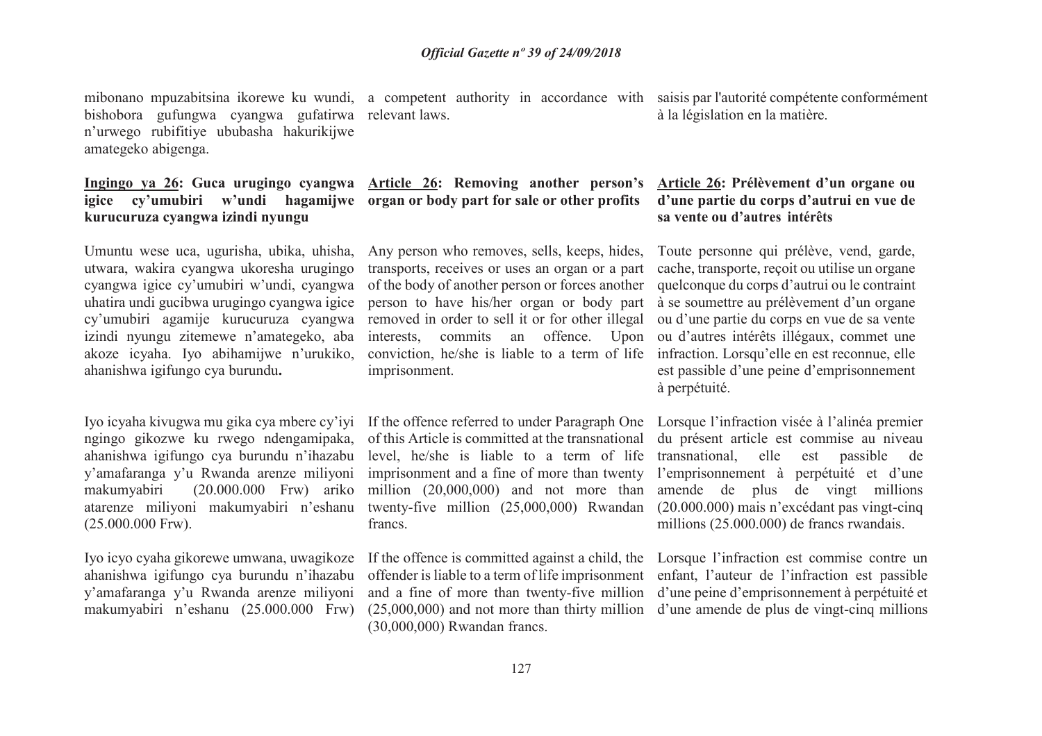bishobora gufungwa cyangwa gufatirwa relevant laws. n'urwego rubifitiye ububasha hakurikijwe amategeko abigenga.

### **igice cy'umubiri w'undi hagamijwe organ or body part for sale or other profitskurucuruza cyangwa izindi nyungu**

Umuntu wese uca, ugurisha, ubika, uhisha, utwara, wakira cyangwa ukoresha urugingo cyangwa igice cy'umubiri w'undi, cyangwa uhatira undi gucibwa urugingo cyangwa igice izindi nyungu zitemewe n'amategeko, aba akoze icyaha. Iyo abihamijwe n'urukiko, ahanishwa igifungo cya burundu**.**

 ngingo gikozwe ku rwego ndengamipaka, ahanishwa igifungo cya burundu n'ihazabu y'amafaranga y'u Rwanda arenze miliyoni makumyabiri (20.000.000 Frw) ariko atarenze miliyoni makumyabiri n'eshanu (25.000.000 Frw).

 ahanishwa igifungo cya burundu <sup>n</sup>'ihazabu y'amafaranga y'u Rwanda arenze miliyoni makumyabiri n'eshanu (25.000.000 Frw)

# **Ingingo ya 26: Guca urugingo cyangwa Article 26: Removing another person's**

cy'umubiri agamije kurucuruza cyangwa removed in order to sell it or for other illegal ou d'une partie du corps en vue de sa vente transports, receives or uses an organ or a part of the body of another person or forces another person to have his/her organ or body part interests, commits an offence. Upon ou d'autres intérêts illégaux, commet une conviction, he/she is liable to a term of life infraction. Lorsqu'elle en est reconnue, elle imprisonment.

Iyo icyaha kivugwa mu gika cya mbere cy'iyi If the offence referred to under Paragraph One Lorsque l'infraction visée à l'alinéa premier of this Article is committed at the transnational du présent article est commise au niveau level, he/she is liable to a term of life transnational, imprisonment and a fine of more than twenty l'emprisonnement à perpétuité et d'une million (20,000,000) and not more than amende de plus de vingt millions twenty-five million (25,000,000) Rwandan (20.000.000) mais n'excédant pas vingt-cinq francs.

Iyo icyo cyaha gikorewe umwana, uwagikoze If the offence is committed against a child, the Lorsque l'infraction est commise contre un and a fine of more than twenty-five million d'une peine d'emprisonnement à perpétuité et(30,000,000) Rwandan francs.

mibonano mpuzabitsina ikorewe ku wundi, a competent authority in accordance with saisis par l'autorité compétente conformément à la législation en la matière.

### **Article 26: Prélèvement d'un organe ou d'une partie du corps d'autrui en vue de sa vente ou d'autres intérêts**

Any person who removes, sells, keeps, hides, Toute personne qui prélève, vend, garde, cache, transporte, reçoit ou utilise un organe quelconque du corps d'autrui ou le contraint à se soumettre au prélèvement d'un organe est passible d'une peine d'emprisonnement à perpétuité.

> elle est passible de millions (25.000.000) de francs rwandais.

 offender is liable to a term of life imprisonment enfant, l'auteur de l'infraction est passible (25,000,000) and not more than thirty million d'une amende de plus de vingt-cinq millions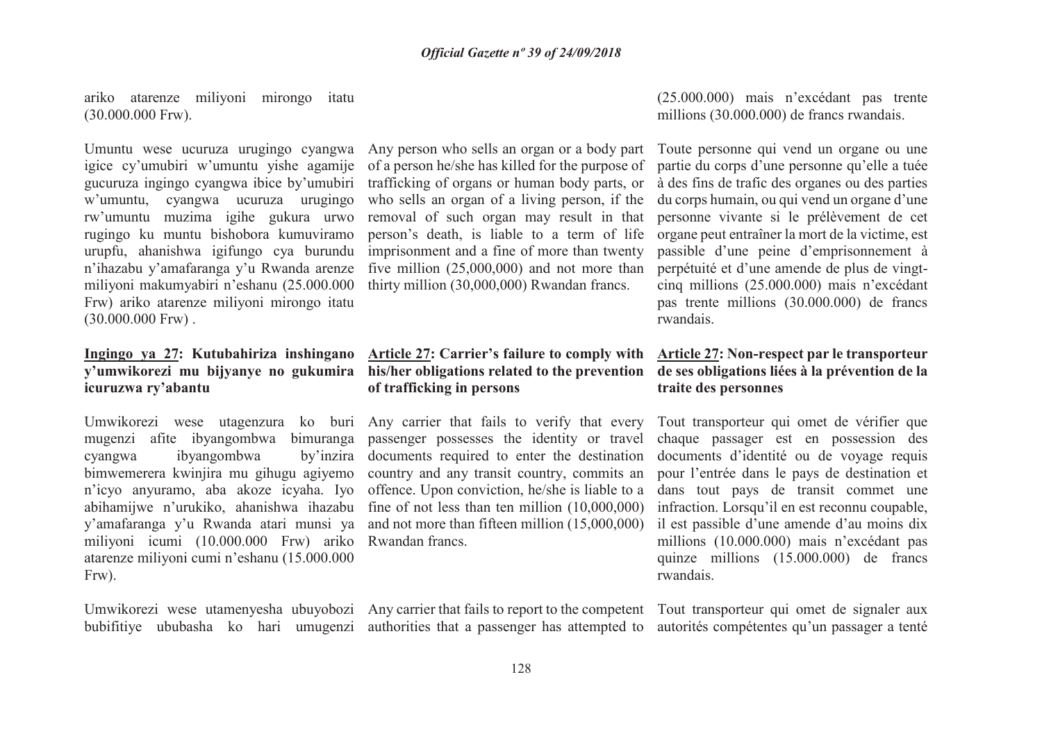ariko atarenze miliyoni mirongo itatu (30.000.000 Frw).

Umuntu wese ucuruza urugingo cyangwa Any person who sells an organ or a body part Toute personne qui vend un organe ou une w'umuntu, cyangwa ucuruza urugingo rw'umuntu muzima igihe gukura urwo rugingo ku muntu bishobora kumuviramo urupfu, ahanishwa igifungo cya burundu n'ihazabu y'amafaranga y'u Rwanda arenze miliyoni makumyabiri n'eshanu (25.000.000 Frw) ariko atarenze miliyoni mirongo itatu  $(30.000.000$  Frw $)$ .

# **icuruzwa ry'abantu**

cyangwa ibyangombwa miliyoni icumi (10.000.000 Frw) ariko Rwandan francs.atarenze miliyoni cumi n'eshanu (15.000.000 Frw).

 gucuruza ingingo cyangwa ibice by'umubiri trafficking of organs or human body parts, or who sells an organ of a living person, if the imprisonment and a fine of more than twenty five million (25,000,000) and not more than thirty million (30,000,000) Rwandan francs.

### **Ingingo ya 27: Kutubahiriza inshingano Article 27: Carrier's failure to comply with Article 27: Non-respect par le transporteur y'umwikorezi mu bijyanye no gukumira his/her obligations related to the prevention de ses obligations liées à la prévention de la of trafficking in persons**

 mugenzi afite ibyangombwa bimuranga passenger possesses the identity or travel bimwemerera kwinjira mu gihugu agiyemo country and any transit country, commits an n'icyo anyuramo, aba akoze icyaha. Iyo offence. Upon conviction, he/she is liable to a abihamijwe n'urukiko, ahanishwa ihazabu fine of not less than ten million (10,000,000) y'amafaranga y'u Rwanda atari munsi ya and not more than fifteen million (15,000,000) documents required to enter the destination

bubifitiye ububasha ko hari umugenzi authorities that a passenger has attempted to autorités compétentes qu'un passager a tenté

(25.000.000) mais n'excédant pas trente millions (30.000.000) de francs rwandais.

igice cy'umubiri w'umuntu yishe agamije of a person he/she has killed for the purpose of partie du corps d'une personne qu'elle a tuée removal of such organ may result in that personne vivante si le prélèvement de cet person's death, is liable to a term of life organe peut entraîner la mort de la victime, est à des fins de trafic des organes ou des parties du corps humain, ou qui vend un organe d'une passible d'une peine d'emprisonnement à perpétuité et d'une amende de plus de vingt cinq millions (25.000.000) mais n'excédant pas trente millions (30.000.000) de francs rwandais.

# **traite des personnes**

Umwikorezi wese utagenzura ko buri Any carrier that fails to verify that every Tout transporteur qui omet de vérifier que chaque passager est en possession des documents d'identité ou de voyage requis pour l'entrée dans le pays de destination et dans tout pays de transit commet une infraction. Lorsqu'il en est reconnu coupable, il est passible d'une amende d'au moins dix millions (10.000.000) mais n'excédant pas quinze millions (15.000.000) de francs rwandais.

Umwikorezi wese utamenyesha ubuyobozi Any carrier that fails to report to the competent Tout transporteur qui omet de signaler aux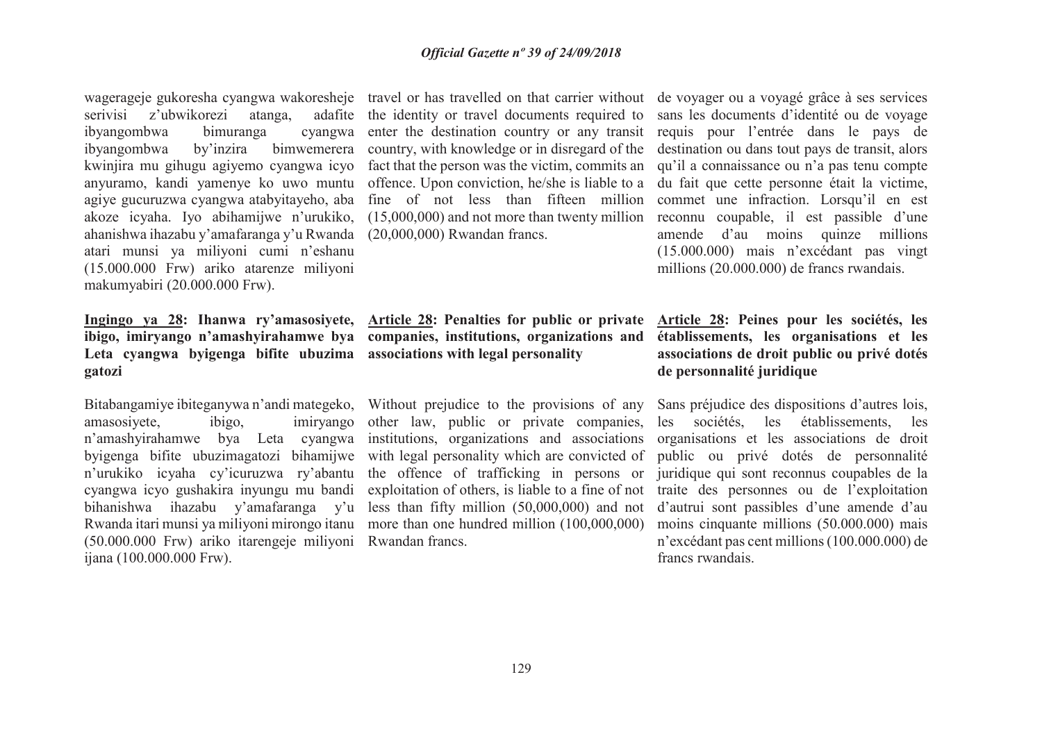serivisi z'ubwikorezi atanga, ibyangombwa bimuranga ahanishwa ihazabu y'amafaranga y'u Rwanda (20,000,000) Rwandan francs. atari munsi ya miliyoni cumi n'eshanu (15.000.000 Frw) ariko atarenze miliyoni makumyabiri (20.000.000 Frw).

## **Leta cyangwa byigenga bifite ubuzima associations with legal personalitygatozi**

amasosiyete, ibigo, (50.000.000 Frw) ariko itarengeje miliyoni Rwandan francs. ijana (100.000.000 Frw).

wagerageje gukoresha cyangwa wakoresheje travel or has travelled on that carrier without de voyager ou a voyagé grâce à ses services the identity or travel documents required to sans les documents d'identité ou de voyage enter the destination country or any transit requis pour l'entrée dans le pays de ibyangombwa by'inzira bimwemerera country, with knowledge or in disregard of the destination ou dans tout pays de transit, alors kwinjira mu gihugu agiyemo cyangwa icyo fact that the person was the victim, commits an qu'il a connaissance ou n'a pas tenu compte anyuramo, kandi yamenye ko uwo muntu offence. Upon conviction, he/she is liable to a du fait que cette personne était la victime, agiye gucuruzwa cyangwa atabyitayeho, aba fine of not less than fifteen million commet une infraction. Lorsqu'il en est akoze icyaha. Iyo abihamijwe n'urukiko, (15,000,000) and not more than twenty million reconnu coupable, il est passible d'une

**Ingingo ya 28: Ihanwa ry'amasosiyete, Article 28: Penalties for public or private ibigo, imiryango n'amashyirahamwe bya companies, institutions, organizations and** 

Bitabangamiye ibiteganywa <sup>n</sup>'andi mategeko, Without prejudice to the provisions of any n'amashyirahamwe bya Leta cyangwa institutions, organizations and associations byigenga bifite ubuzimagatozi bihamijwe with legal personality which are convicted of n'urukiko icyaha cy'icuruzwa ry'abantu the offence of trafficking in persons or cyangwa icyo gushakira inyungu mu bandi exploitation of others, is liable to a fine of not traite des personnes ou de l'exploitation bihanishwa ihazabu y'amafaranga y'u less than fifty million (50,000,000) and not Rwanda itari munsi ya miliyoni mirongo itanu more than one hundred million (100,000,000) other law, public or private companies, les sociétés, les établissements, les

 amende d'au moins quinze millions (15.000.000) mais n'excédant pas vingt millions (20.000.000) de francs rwandais.

### **Article 28: Peines pour les sociétés, les établissements, les organisations et les associations de droit public ou privé dotés de personnalité juridique**

Sans préjudice des dispositions d'autres lois, organisations et les associations de droit public ou privé dotés de personnalité juridique qui sont reconnus coupables de la d'autrui sont passibles d'une amende d'au moins cinquante millions (50.000.000) mais n'excédant pas cent millions (100.000.000) de francs rwandais.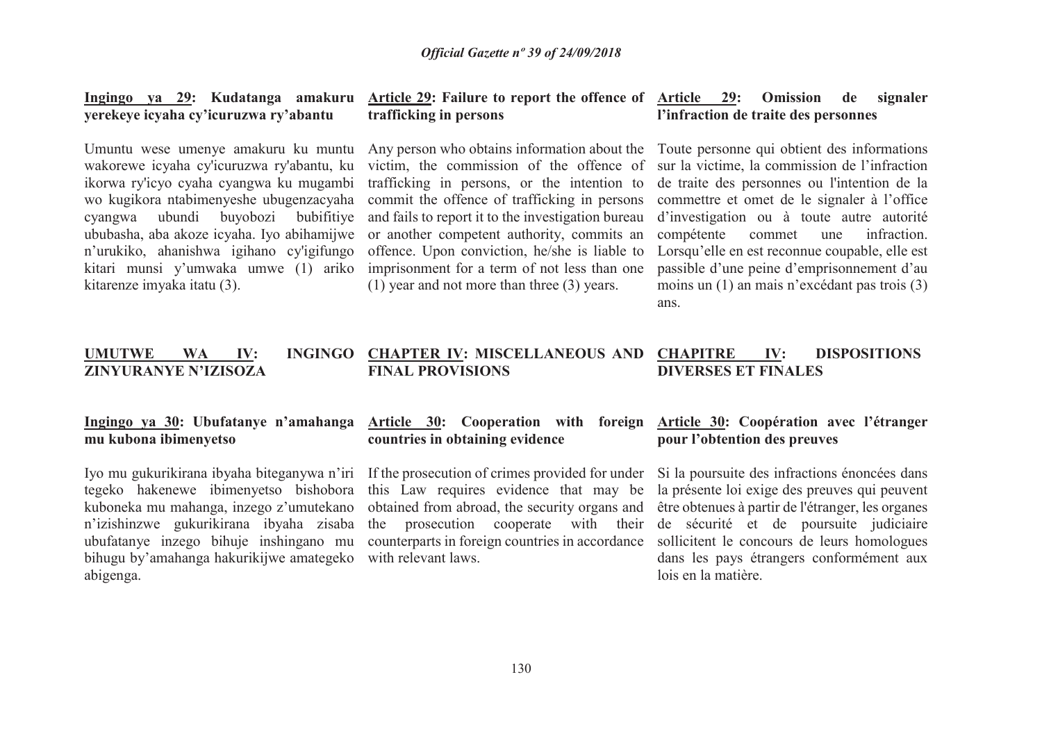### **yerekeye icyaha cy'icuruzwa ry'abantu**

Umuntu wese umenye amakuru ku muntu wakorewe icyaha cy'icuruzwa ry'abantu, ku ikorwa ry'icyo cyaha cyangwa ku mugambi wo kugikora ntabimenyeshe ubugenzacyaha cyangwa ubundi buyobozi bubifitiye ububasha, aba akoze icyaha. Iyo abihamijwe n'urukiko, ahanishwa igihano cy'igifungo kitari munsi y'umwaka umwe (1) ariko kitarenze imyaka itatu (3).

#### **Ingingo ya 29: Kudatanga amakuru Article 29: Failure to report the offence of Article 29: Omission de signaler trafficking in persons**

Any person who obtains information about the Toute personne qui obtient des informations victim, the commission of the offence of trafficking in persons, or the intention to commit the offence of trafficking in persons and fails to report it to the investigation bureau or another competent authority, commits an offence. Upon conviction, he/she is liable to imprisonment for a term of not less than one (1) year and not more than three (3) years.

### **l'infraction de traite des personnes**

 sur la victime, la commission de l'infraction de traite des personnes ou l'intention de la commettre et omet de le signaler à l'office d'investigation ou à toute autre autorité compétente commet une infraction. Lorsqu'elle en est reconnue coupable, elle est passible d'une peine d'emprisonnement d'au moins un (1) an mais n'excédant pas trois (3) ans.

#### **UMUTWE WA IV: INGINGO CHAPTER IV: MISCELLANEOUS AND ZINYURANYE N'IZISOZAFINAL PROVISIONS IV: DISPOSITIONS DIVERSES ET FINALES**

### **mu kubona ibimenyetso**

 kuboneka mu mahanga, inzego z'umutekano ubufatanye inzego bihuje inshingano mu bihugu by'amahanga hakurikijwe amategeko with relevant laws.abigenga.

### **countries in obtaining evidence**

tegeko hakenewe ibimenyetso bishobora this Law requires evidence that may be la présente loi exige des preuves qui peuvent n'izishinzwe gukurikirana ibyaha zisaba the prosecution cooperate with their de sécurité et de poursuite judiciaire obtained from abroad, the security organs and être obtenues à partir de l'étranger, les organes counterparts in foreign countries in accordance sollicitent le concours de leurs homologues

### **Ingingo ya 30: Ubufatanye n'amahangaArticle 30: Cooperation with foreign Article 30: Coopération avec l'étranger pour l'obtention des preuves**

Iyo mu gukurikirana ibyaha biteganywa n'iri If the prosecution of crimes provided for under Si la poursuite des infractions énoncées dans dans les pays étrangers conformément aux lois en la matière.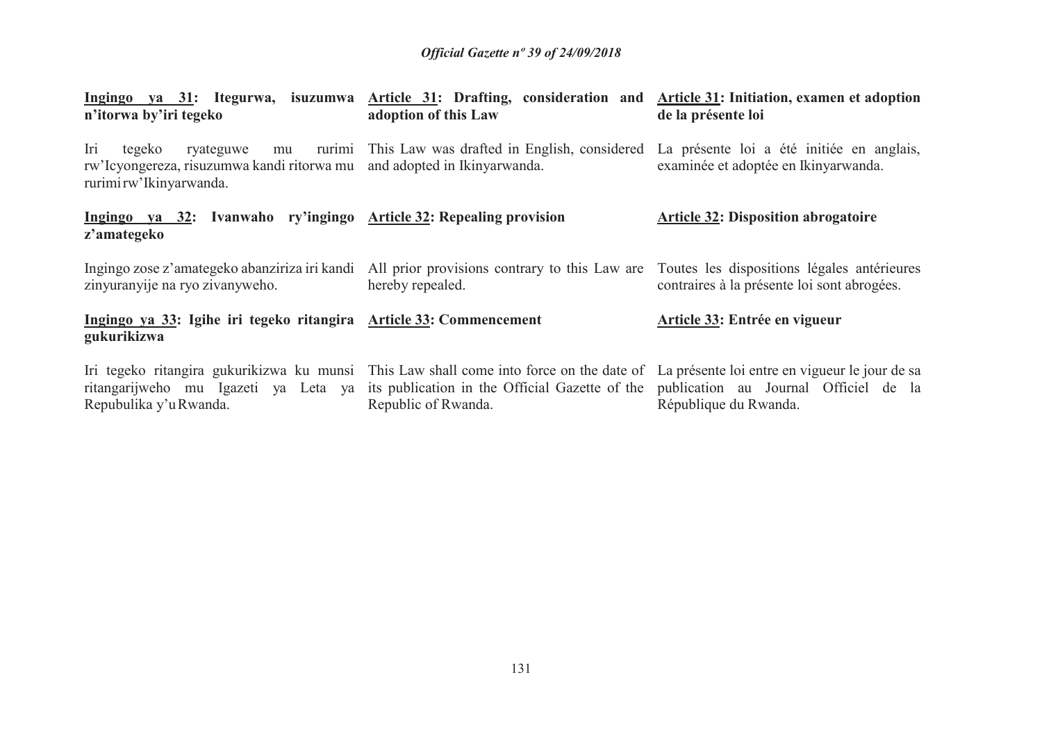| n'itorwa by'iri tegeko                                                                                                                 | Ingingo ya 31: Itegurwa, isuzumwa Article 31: Drafting, consideration and Article 31: Initiation, examen et adoption<br>adoption of this Law                                                                                                                                               | de la présente loi                                                                |  |
|----------------------------------------------------------------------------------------------------------------------------------------|--------------------------------------------------------------------------------------------------------------------------------------------------------------------------------------------------------------------------------------------------------------------------------------------|-----------------------------------------------------------------------------------|--|
| Iri<br>tegeko<br>ryateguwe<br>mu<br>rw'Icyongereza, risuzumwa kandi ritorwa mu and adopted in Ikinyarwanda.<br>rurimi rw'lkinyarwanda. | rurimi This Law was drafted in English, considered                                                                                                                                                                                                                                         | La présente loi a été initiée en anglais,<br>examinée et adoptée en Ikinyarwanda. |  |
| Ingingo va 32: Ivanwaho ry'ingingo Article 32: Repealing provision<br>z'amategeko                                                      |                                                                                                                                                                                                                                                                                            | <b>Article 32: Disposition abrogatoire</b>                                        |  |
| zinyuranyije na ryo zivanyweho.                                                                                                        | Ingingo zose z'amategeko abanziriza iri kandi All prior provisions contrary to this Law are Toutes les dispositions légales antérieures<br>hereby repealed.                                                                                                                                | contraires à la présente loi sont abrogées.                                       |  |
| Ingingo ya 33: Igihe iri tegeko ritangira Article 33: Commencement<br>gukurikizwa                                                      |                                                                                                                                                                                                                                                                                            | Article 33: Entrée en vigueur                                                     |  |
| Repubulika y'u Rwanda.                                                                                                                 | Iri tegeko ritangira gukurikizwa ku munsi This Law shall come into force on the date of La présente loi entre en vigueur le jour de sa<br>ritangarijweho mu Igazeti ya Leta ya its publication in the Official Gazette of the publication au Journal Officiel de la<br>Republic of Rwanda. | République du Rwanda.                                                             |  |